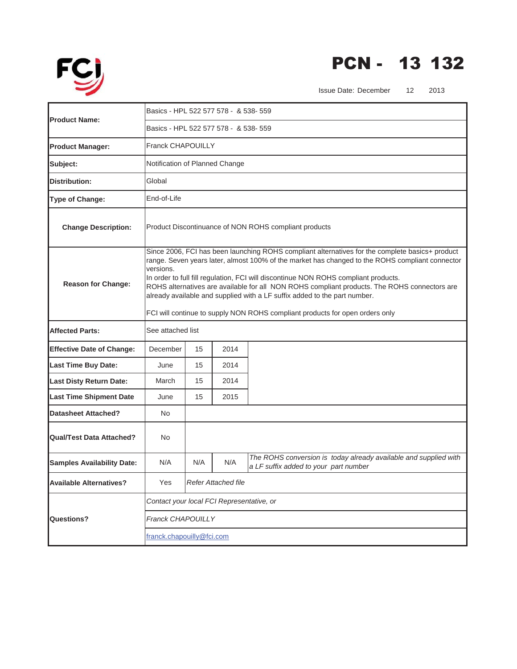

## PCN - 13 132

Issue Date: December 12 2013

|                                   | Basics - HPL 522 577 578 - & 538- 559                                                             |                                                                                                                                                                                                                                                                                                                                                                                                                                                                        |                            |                                                                                                           |
|-----------------------------------|---------------------------------------------------------------------------------------------------|------------------------------------------------------------------------------------------------------------------------------------------------------------------------------------------------------------------------------------------------------------------------------------------------------------------------------------------------------------------------------------------------------------------------------------------------------------------------|----------------------------|-----------------------------------------------------------------------------------------------------------|
| <b>IProduct Name:</b>             | Basics - HPL 522 577 578 - & 538- 559                                                             |                                                                                                                                                                                                                                                                                                                                                                                                                                                                        |                            |                                                                                                           |
| <b>Product Manager:</b>           | <b>Franck CHAPOUILLY</b>                                                                          |                                                                                                                                                                                                                                                                                                                                                                                                                                                                        |                            |                                                                                                           |
| Subject:                          | Notification of Planned Change                                                                    |                                                                                                                                                                                                                                                                                                                                                                                                                                                                        |                            |                                                                                                           |
| <b>Distribution:</b>              | Global                                                                                            |                                                                                                                                                                                                                                                                                                                                                                                                                                                                        |                            |                                                                                                           |
| Type of Change:                   | End-of-Life                                                                                       |                                                                                                                                                                                                                                                                                                                                                                                                                                                                        |                            |                                                                                                           |
| <b>Change Description:</b>        | Product Discontinuance of NON ROHS compliant products                                             |                                                                                                                                                                                                                                                                                                                                                                                                                                                                        |                            |                                                                                                           |
| <b>Reason for Change:</b>         | versions.                                                                                         | Since 2006, FCI has been launching ROHS compliant alternatives for the complete basics+ product<br>range. Seven years later, almost 100% of the market has changed to the ROHS compliant connector<br>In order to full fill regulation, FCI will discontinue NON ROHS compliant products.<br>ROHS alternatives are available for all NON ROHS compliant products. The ROHS connectors are<br>already available and supplied with a LF suffix added to the part number. |                            |                                                                                                           |
| <b>Affected Parts:</b>            | FCI will continue to supply NON ROHS compliant products for open orders only<br>See attached list |                                                                                                                                                                                                                                                                                                                                                                                                                                                                        |                            |                                                                                                           |
|                                   |                                                                                                   |                                                                                                                                                                                                                                                                                                                                                                                                                                                                        |                            |                                                                                                           |
| <b>Effective Date of Change:</b>  | December                                                                                          | 15                                                                                                                                                                                                                                                                                                                                                                                                                                                                     | 2014                       |                                                                                                           |
| <b>Last Time Buy Date:</b>        | June                                                                                              | 15                                                                                                                                                                                                                                                                                                                                                                                                                                                                     | 2014                       |                                                                                                           |
| <b>Last Disty Return Date:</b>    | March                                                                                             | 15                                                                                                                                                                                                                                                                                                                                                                                                                                                                     | 2014                       |                                                                                                           |
| <b>Last Time Shipment Date</b>    | June                                                                                              | 15                                                                                                                                                                                                                                                                                                                                                                                                                                                                     | 2015                       |                                                                                                           |
| <b>Datasheet Attached?</b>        | N <sub>o</sub>                                                                                    |                                                                                                                                                                                                                                                                                                                                                                                                                                                                        |                            |                                                                                                           |
| <b>Qual/Test Data Attached?</b>   | No                                                                                                |                                                                                                                                                                                                                                                                                                                                                                                                                                                                        |                            |                                                                                                           |
| <b>Samples Availability Date:</b> | N/A                                                                                               | N/A                                                                                                                                                                                                                                                                                                                                                                                                                                                                    | N/A                        | The ROHS conversion is today already available and supplied with<br>a LF suffix added to your part number |
| <b>Available Alternatives?</b>    | Yes                                                                                               |                                                                                                                                                                                                                                                                                                                                                                                                                                                                        | <b>Refer Attached file</b> |                                                                                                           |
|                                   | Contact your local FCI Representative, or                                                         |                                                                                                                                                                                                                                                                                                                                                                                                                                                                        |                            |                                                                                                           |
| <b>Questions?</b>                 | <b>Franck CHAPOUILLY</b>                                                                          |                                                                                                                                                                                                                                                                                                                                                                                                                                                                        |                            |                                                                                                           |
|                                   | franck.chapouilly@fci.com                                                                         |                                                                                                                                                                                                                                                                                                                                                                                                                                                                        |                            |                                                                                                           |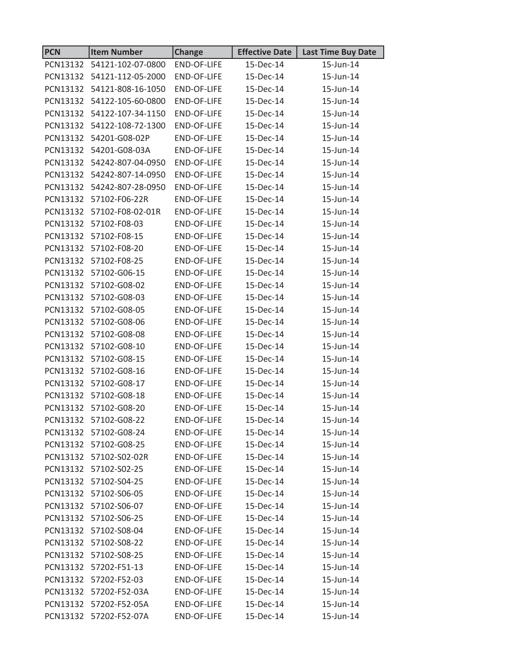| <b>PCN</b> | <b>Item Number</b>         | <b>Change</b>      | <b>Effective Date</b> | <b>Last Time Buy Date</b> |
|------------|----------------------------|--------------------|-----------------------|---------------------------|
| PCN13132   | 54121-102-07-0800          | END-OF-LIFE        | 15-Dec-14             | 15-Jun-14                 |
|            | PCN13132 54121-112-05-2000 | <b>END-OF-LIFE</b> | 15-Dec-14             | 15-Jun-14                 |
|            | PCN13132 54121-808-16-1050 | <b>END-OF-LIFE</b> | 15-Dec-14             | 15-Jun-14                 |
|            | PCN13132 54122-105-60-0800 | END-OF-LIFE        | 15-Dec-14             | 15-Jun-14                 |
| PCN13132   | 54122-107-34-1150          | <b>END-OF-LIFE</b> | 15-Dec-14             | 15-Jun-14                 |
|            | PCN13132 54122-108-72-1300 | <b>END-OF-LIFE</b> | 15-Dec-14             | 15-Jun-14                 |
|            | PCN13132 54201-G08-02P     | <b>END-OF-LIFE</b> | 15-Dec-14             | 15-Jun-14                 |
|            | PCN13132 54201-G08-03A     | END-OF-LIFE        | 15-Dec-14             | 15-Jun-14                 |
|            | PCN13132 54242-807-04-0950 | END-OF-LIFE        | 15-Dec-14             | 15-Jun-14                 |
| PCN13132   | 54242-807-14-0950          | <b>END-OF-LIFE</b> | 15-Dec-14             | 15-Jun-14                 |
|            | PCN13132 54242-807-28-0950 | <b>END-OF-LIFE</b> | 15-Dec-14             | 15-Jun-14                 |
| PCN13132   | 57102-F06-22R              | <b>END-OF-LIFE</b> | 15-Dec-14             | 15-Jun-14                 |
|            | PCN13132 57102-F08-02-01R  | <b>END-OF-LIFE</b> | 15-Dec-14             | 15-Jun-14                 |
|            | PCN13132 57102-F08-03      | <b>END-OF-LIFE</b> | 15-Dec-14             | 15-Jun-14                 |
| PCN13132   | 57102-F08-15               | <b>END-OF-LIFE</b> | 15-Dec-14             | 15-Jun-14                 |
|            | PCN13132 57102-F08-20      | <b>END-OF-LIFE</b> | 15-Dec-14             | 15-Jun-14                 |
| PCN13132   | 57102-F08-25               | <b>END-OF-LIFE</b> | 15-Dec-14             | 15-Jun-14                 |
|            | PCN13132 57102-G06-15      | END-OF-LIFE        | 15-Dec-14             | 15-Jun-14                 |
| PCN13132   | 57102-G08-02               | <b>END-OF-LIFE</b> | 15-Dec-14             | 15-Jun-14                 |
| PCN13132   | 57102-G08-03               | END-OF-LIFE        | 15-Dec-14             | 15-Jun-14                 |
|            | PCN13132 57102-G08-05      | <b>END-OF-LIFE</b> | 15-Dec-14             | 15-Jun-14                 |
| PCN13132   | 57102-G08-06               | END-OF-LIFE        | 15-Dec-14             | 15-Jun-14                 |
|            | PCN13132 57102-G08-08      | END-OF-LIFE        | 15-Dec-14             | 15-Jun-14                 |
| PCN13132   | 57102-G08-10               | END-OF-LIFE        | 15-Dec-14             | 15-Jun-14                 |
|            | PCN13132 57102-G08-15      | <b>END-OF-LIFE</b> | 15-Dec-14             | 15-Jun-14                 |
|            | PCN13132 57102-G08-16      | <b>END-OF-LIFE</b> | 15-Dec-14             | 15-Jun-14                 |
|            | PCN13132 57102-G08-17      | END-OF-LIFE        | 15-Dec-14             | 15-Jun-14                 |
|            | PCN13132 57102-G08-18      | END-OF-LIFE        | 15-Dec-14             | 15-Jun-14                 |
|            | PCN13132 57102-G08-20      | END-OF-LIFE        | 15-Dec-14             | 15-Jun-14                 |
|            | PCN13132 57102-G08-22      | END-OF-LIFE        | 15-Dec-14             | 15-Jun-14                 |
|            | PCN13132 57102-G08-24      | END-OF-LIFE        | 15-Dec-14             | 15-Jun-14                 |
|            | PCN13132 57102-G08-25      | END-OF-LIFE        | 15-Dec-14             | 15-Jun-14                 |
|            | PCN13132 57102-S02-02R     | END-OF-LIFE        | 15-Dec-14             | 15-Jun-14                 |
|            | PCN13132 57102-S02-25      | END-OF-LIFE        | 15-Dec-14             | 15-Jun-14                 |
|            | PCN13132 57102-S04-25      | END-OF-LIFE        | 15-Dec-14             | 15-Jun-14                 |
|            | PCN13132 57102-S06-05      | END-OF-LIFE        | 15-Dec-14             | 15-Jun-14                 |
|            | PCN13132 57102-S06-07      | END-OF-LIFE        | 15-Dec-14             | 15-Jun-14                 |
|            | PCN13132 57102-S06-25      | <b>END-OF-LIFE</b> | 15-Dec-14             | 15-Jun-14                 |
|            | PCN13132 57102-S08-04      | END-OF-LIFE        | 15-Dec-14             | 15-Jun-14                 |
|            | PCN13132 57102-S08-22      | END-OF-LIFE        | 15-Dec-14             | 15-Jun-14                 |
|            | PCN13132 57102-S08-25      | <b>END-OF-LIFE</b> | 15-Dec-14             | 15-Jun-14                 |
|            | PCN13132 57202-F51-13      | END-OF-LIFE        | 15-Dec-14             | 15-Jun-14                 |
|            | PCN13132 57202-F52-03      | END-OF-LIFE        | 15-Dec-14             | 15-Jun-14                 |
|            | PCN13132 57202-F52-03A     | END-OF-LIFE        | 15-Dec-14             | 15-Jun-14                 |
|            | PCN13132 57202-F52-05A     | <b>END-OF-LIFE</b> | 15-Dec-14             | 15-Jun-14                 |
|            | PCN13132 57202-F52-07A     | END-OF-LIFE        | 15-Dec-14             | 15-Jun-14                 |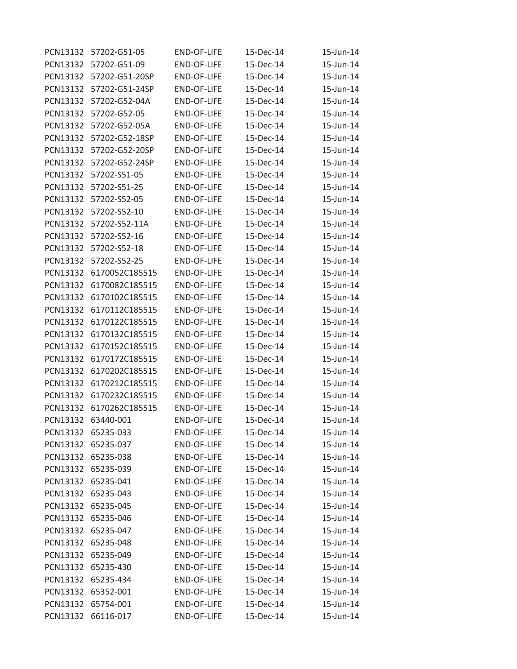| PCN13132 | 57202-G51-05       | <b>END-OF-LIFE</b> | 15-Dec-14 | 15-Jun-14 |
|----------|--------------------|--------------------|-----------|-----------|
| PCN13132 | 57202-G51-09       | <b>END-OF-LIFE</b> | 15-Dec-14 | 15-Jun-14 |
| PCN13132 | 57202-G51-20SP     | <b>END-OF-LIFE</b> | 15-Dec-14 | 15-Jun-14 |
| PCN13132 | 57202-G51-24SP     | <b>END-OF-LIFE</b> | 15-Dec-14 | 15-Jun-14 |
| PCN13132 | 57202-G52-04A      | <b>END-OF-LIFE</b> | 15-Dec-14 | 15-Jun-14 |
| PCN13132 | 57202-G52-05       | <b>END-OF-LIFE</b> | 15-Dec-14 | 15-Jun-14 |
| PCN13132 | 57202-G52-05A      | <b>END-OF-LIFE</b> | 15-Dec-14 | 15-Jun-14 |
| PCN13132 | 57202-G52-18SP     | <b>END-OF-LIFE</b> | 15-Dec-14 | 15-Jun-14 |
| PCN13132 | 57202-G52-20SP     | <b>END-OF-LIFE</b> | 15-Dec-14 | 15-Jun-14 |
| PCN13132 | 57202-G52-24SP     | <b>END-OF-LIFE</b> | 15-Dec-14 | 15-Jun-14 |
| PCN13132 | 57202-S51-05       | <b>END-OF-LIFE</b> | 15-Dec-14 | 15-Jun-14 |
| PCN13132 | 57202-S51-25       | <b>END-OF-LIFE</b> | 15-Dec-14 | 15-Jun-14 |
| PCN13132 | 57202-S52-05       | <b>END-OF-LIFE</b> | 15-Dec-14 | 15-Jun-14 |
| PCN13132 | 57202-S52-10       | <b>END-OF-LIFE</b> | 15-Dec-14 | 15-Jun-14 |
| PCN13132 | 57202-S52-11A      | <b>END-OF-LIFE</b> | 15-Dec-14 | 15-Jun-14 |
| PCN13132 | 57202-S52-16       | <b>END-OF-LIFE</b> | 15-Dec-14 | 15-Jun-14 |
| PCN13132 | 57202-S52-18       | <b>END-OF-LIFE</b> | 15-Dec-14 | 15-Jun-14 |
| PCN13132 | 57202-S52-25       | <b>END-OF-LIFE</b> | 15-Dec-14 | 15-Jun-14 |
| PCN13132 | 6170052C185515     | <b>END-OF-LIFE</b> | 15-Dec-14 | 15-Jun-14 |
| PCN13132 | 6170082C185515     | <b>END-OF-LIFE</b> | 15-Dec-14 | 15-Jun-14 |
| PCN13132 | 6170102C185515     | <b>END-OF-LIFE</b> | 15-Dec-14 | 15-Jun-14 |
| PCN13132 | 6170112C185515     | <b>END-OF-LIFE</b> | 15-Dec-14 | 15-Jun-14 |
| PCN13132 | 6170122C185515     | <b>END-OF-LIFE</b> | 15-Dec-14 | 15-Jun-14 |
| PCN13132 | 6170132C185515     | <b>END-OF-LIFE</b> | 15-Dec-14 | 15-Jun-14 |
| PCN13132 | 6170152C185515     | <b>END-OF-LIFE</b> | 15-Dec-14 | 15-Jun-14 |
| PCN13132 | 6170172C185515     | <b>END-OF-LIFE</b> | 15-Dec-14 | 15-Jun-14 |
| PCN13132 | 6170202C185515     | <b>END-OF-LIFE</b> | 15-Dec-14 | 15-Jun-14 |
| PCN13132 | 6170212C185515     | <b>END-OF-LIFE</b> | 15-Dec-14 | 15-Jun-14 |
| PCN13132 | 6170232C185515     | <b>END-OF-LIFE</b> | 15-Dec-14 | 15-Jun-14 |
| PCN13132 | 6170262C185515     | <b>END-OF-LIFE</b> | 15-Dec-14 | 15-Jun-14 |
| PCN13132 | 63440-001          | <b>END-OF-LIFE</b> | 15-Dec-14 | 15-Jun-14 |
| PCN13132 | 65235-033          | END-OF-LIFE        | 15-Dec-14 | 15-Jun-14 |
| PCN13132 | 65235-037          | END-OF-LIFE        | 15-Dec-14 | 15-Jun-14 |
| PCN13132 | 65235-038          | END-OF-LIFE        | 15-Dec-14 | 15-Jun-14 |
| PCN13132 | 65235-039          | <b>END-OF-LIFE</b> | 15-Dec-14 | 15-Jun-14 |
| PCN13132 | 65235-041          | END-OF-LIFE        | 15-Dec-14 | 15-Jun-14 |
|          | PCN13132 65235-043 | END-OF-LIFE        | 15-Dec-14 | 15-Jun-14 |
| PCN13132 | 65235-045          | END-OF-LIFE        | 15-Dec-14 | 15-Jun-14 |
|          | PCN13132 65235-046 | END-OF-LIFE        | 15-Dec-14 | 15-Jun-14 |
| PCN13132 | 65235-047          | END-OF-LIFE        | 15-Dec-14 | 15-Jun-14 |
| PCN13132 | 65235-048          | END-OF-LIFE        | 15-Dec-14 | 15-Jun-14 |
| PCN13132 | 65235-049          | <b>END-OF-LIFE</b> | 15-Dec-14 | 15-Jun-14 |
| PCN13132 | 65235-430          | END-OF-LIFE        | 15-Dec-14 | 15-Jun-14 |
|          | PCN13132 65235-434 | <b>END-OF-LIFE</b> | 15-Dec-14 | 15-Jun-14 |
| PCN13132 | 65352-001          | END-OF-LIFE        | 15-Dec-14 | 15-Jun-14 |
| PCN13132 | 65754-001          | END-OF-LIFE        | 15-Dec-14 | 15-Jun-14 |
| PCN13132 | 66116-017          | END-OF-LIFE        | 15-Dec-14 | 15-Jun-14 |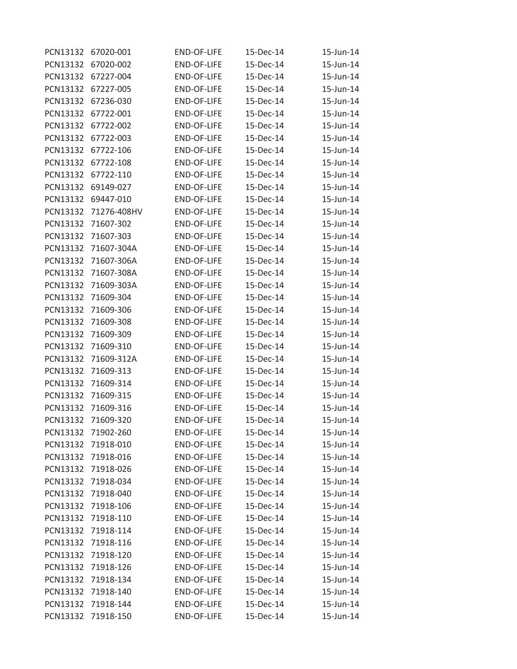| PCN13132 | 67020-001          | <b>END-OF-LIFE</b> | 15-Dec-14 | 15-Jun-14 |
|----------|--------------------|--------------------|-----------|-----------|
| PCN13132 | 67020-002          | <b>END-OF-LIFE</b> | 15-Dec-14 | 15-Jun-14 |
| PCN13132 | 67227-004          | <b>END-OF-LIFE</b> | 15-Dec-14 | 15-Jun-14 |
| PCN13132 | 67227-005          | <b>END-OF-LIFE</b> | 15-Dec-14 | 15-Jun-14 |
| PCN13132 | 67236-030          | <b>END-OF-LIFE</b> | 15-Dec-14 | 15-Jun-14 |
| PCN13132 | 67722-001          | <b>END-OF-LIFE</b> | 15-Dec-14 | 15-Jun-14 |
| PCN13132 | 67722-002          | <b>END-OF-LIFE</b> | 15-Dec-14 | 15-Jun-14 |
| PCN13132 | 67722-003          | END-OF-LIFE        | 15-Dec-14 | 15-Jun-14 |
| PCN13132 | 67722-106          | <b>END-OF-LIFE</b> | 15-Dec-14 | 15-Jun-14 |
| PCN13132 | 67722-108          | <b>END-OF-LIFE</b> | 15-Dec-14 | 15-Jun-14 |
| PCN13132 | 67722-110          | <b>END-OF-LIFE</b> | 15-Dec-14 | 15-Jun-14 |
| PCN13132 | 69149-027          | END-OF-LIFE        | 15-Dec-14 | 15-Jun-14 |
| PCN13132 | 69447-010          | <b>END-OF-LIFE</b> | 15-Dec-14 | 15-Jun-14 |
| PCN13132 | 71276-408HV        | <b>END-OF-LIFE</b> | 15-Dec-14 | 15-Jun-14 |
| PCN13132 | 71607-302          | <b>END-OF-LIFE</b> | 15-Dec-14 | 15-Jun-14 |
| PCN13132 | 71607-303          | END-OF-LIFE        | 15-Dec-14 | 15-Jun-14 |
| PCN13132 | 71607-304A         | <b>END-OF-LIFE</b> | 15-Dec-14 | 15-Jun-14 |
| PCN13132 | 71607-306A         | <b>END-OF-LIFE</b> | 15-Dec-14 | 15-Jun-14 |
| PCN13132 | 71607-308A         | <b>END-OF-LIFE</b> | 15-Dec-14 | 15-Jun-14 |
| PCN13132 | 71609-303A         | <b>END-OF-LIFE</b> | 15-Dec-14 | 15-Jun-14 |
| PCN13132 | 71609-304          | <b>END-OF-LIFE</b> | 15-Dec-14 | 15-Jun-14 |
| PCN13132 | 71609-306          | <b>END-OF-LIFE</b> | 15-Dec-14 | 15-Jun-14 |
| PCN13132 | 71609-308          | <b>END-OF-LIFE</b> | 15-Dec-14 | 15-Jun-14 |
| PCN13132 | 71609-309          | END-OF-LIFE        | 15-Dec-14 | 15-Jun-14 |
| PCN13132 | 71609-310          | <b>END-OF-LIFE</b> | 15-Dec-14 | 15-Jun-14 |
| PCN13132 | 71609-312A         | END-OF-LIFE        | 15-Dec-14 | 15-Jun-14 |
| PCN13132 | 71609-313          | END-OF-LIFE        | 15-Dec-14 | 15-Jun-14 |
| PCN13132 | 71609-314          | <b>END-OF-LIFE</b> | 15-Dec-14 | 15-Jun-14 |
| PCN13132 | 71609-315          | <b>END-OF-LIFE</b> | 15-Dec-14 | 15-Jun-14 |
| PCN13132 | 71609-316          | <b>END-OF-LIFE</b> | 15-Dec-14 | 15-Jun-14 |
| PCN13132 | 71609-320          | <b>END-OF-LIFE</b> | 15-Dec-14 | 15-Jun-14 |
|          | PCN13132 71902-260 | END-OF-LIFE        | 15-Dec-14 | 15-Jun-14 |
| PCN13132 | 71918-010          | END-OF-LIFE        | 15-Dec-14 | 15-Jun-14 |
|          | PCN13132 71918-016 | END-OF-LIFE        | 15-Dec-14 | 15-Jun-14 |
| PCN13132 | 71918-026          | <b>END-OF-LIFE</b> | 15-Dec-14 | 15-Jun-14 |
| PCN13132 | 71918-034          | END-OF-LIFE        | 15-Dec-14 | 15-Jun-14 |
| PCN13132 | 71918-040          | <b>END-OF-LIFE</b> | 15-Dec-14 | 15-Jun-14 |
| PCN13132 | 71918-106          | END-OF-LIFE        | 15-Dec-14 | 15-Jun-14 |
|          | PCN13132 71918-110 | <b>END-OF-LIFE</b> | 15-Dec-14 | 15-Jun-14 |
| PCN13132 | 71918-114          | END-OF-LIFE        | 15-Dec-14 | 15-Jun-14 |
| PCN13132 | 71918-116          | <b>END-OF-LIFE</b> | 15-Dec-14 | 15-Jun-14 |
| PCN13132 | 71918-120          | END-OF-LIFE        | 15-Dec-14 | 15-Jun-14 |
| PCN13132 | 71918-126          | END-OF-LIFE        | 15-Dec-14 | 15-Jun-14 |
| PCN13132 | 71918-134          | END-OF-LIFE        | 15-Dec-14 | 15-Jun-14 |
| PCN13132 | 71918-140          | END-OF-LIFE        | 15-Dec-14 | 15-Jun-14 |
| PCN13132 | 71918-144          | END-OF-LIFE        | 15-Dec-14 | 15-Jun-14 |
| PCN13132 | 71918-150          | END-OF-LIFE        | 15-Dec-14 | 15-Jun-14 |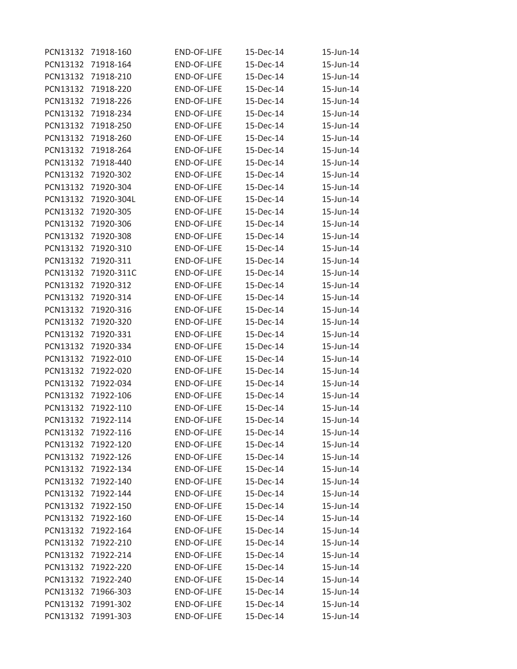| PCN13132 | 71918-160          | <b>END-OF-LIFE</b> | 15-Dec-14 | 15-Jun-14 |
|----------|--------------------|--------------------|-----------|-----------|
| PCN13132 | 71918-164          | <b>END-OF-LIFE</b> | 15-Dec-14 | 15-Jun-14 |
| PCN13132 | 71918-210          | <b>END-OF-LIFE</b> | 15-Dec-14 | 15-Jun-14 |
| PCN13132 | 71918-220          | <b>END-OF-LIFE</b> | 15-Dec-14 | 15-Jun-14 |
| PCN13132 | 71918-226          | <b>END-OF-LIFE</b> | 15-Dec-14 | 15-Jun-14 |
| PCN13132 | 71918-234          | <b>END-OF-LIFE</b> | 15-Dec-14 | 15-Jun-14 |
| PCN13132 | 71918-250          | <b>END-OF-LIFE</b> | 15-Dec-14 | 15-Jun-14 |
| PCN13132 | 71918-260          | <b>END-OF-LIFE</b> | 15-Dec-14 | 15-Jun-14 |
| PCN13132 | 71918-264          | <b>END-OF-LIFE</b> | 15-Dec-14 | 15-Jun-14 |
| PCN13132 | 71918-440          | <b>END-OF-LIFE</b> | 15-Dec-14 | 15-Jun-14 |
| PCN13132 | 71920-302          | <b>END-OF-LIFE</b> | 15-Dec-14 | 15-Jun-14 |
| PCN13132 | 71920-304          | END-OF-LIFE        | 15-Dec-14 | 15-Jun-14 |
| PCN13132 | 71920-304L         | <b>END-OF-LIFE</b> | 15-Dec-14 | 15-Jun-14 |
| PCN13132 | 71920-305          | <b>END-OF-LIFE</b> | 15-Dec-14 | 15-Jun-14 |
| PCN13132 | 71920-306          | <b>END-OF-LIFE</b> | 15-Dec-14 | 15-Jun-14 |
| PCN13132 | 71920-308          | <b>END-OF-LIFE</b> | 15-Dec-14 | 15-Jun-14 |
| PCN13132 | 71920-310          | <b>END-OF-LIFE</b> | 15-Dec-14 | 15-Jun-14 |
| PCN13132 | 71920-311          | <b>END-OF-LIFE</b> | 15-Dec-14 | 15-Jun-14 |
| PCN13132 | 71920-311C         | <b>END-OF-LIFE</b> | 15-Dec-14 | 15-Jun-14 |
| PCN13132 | 71920-312          | END-OF-LIFE        | 15-Dec-14 | 15-Jun-14 |
| PCN13132 | 71920-314          | <b>END-OF-LIFE</b> | 15-Dec-14 | 15-Jun-14 |
| PCN13132 | 71920-316          | END-OF-LIFE        | 15-Dec-14 | 15-Jun-14 |
| PCN13132 | 71920-320          | END-OF-LIFE        | 15-Dec-14 | 15-Jun-14 |
| PCN13132 | 71920-331          | <b>END-OF-LIFE</b> | 15-Dec-14 | 15-Jun-14 |
| PCN13132 | 71920-334          | <b>END-OF-LIFE</b> | 15-Dec-14 | 15-Jun-14 |
| PCN13132 | 71922-010          | END-OF-LIFE        | 15-Dec-14 | 15-Jun-14 |
| PCN13132 | 71922-020          | <b>END-OF-LIFE</b> | 15-Dec-14 | 15-Jun-14 |
| PCN13132 | 71922-034          | <b>END-OF-LIFE</b> | 15-Dec-14 | 15-Jun-14 |
| PCN13132 | 71922-106          | <b>END-OF-LIFE</b> | 15-Dec-14 | 15-Jun-14 |
| PCN13132 | 71922-110          | <b>END-OF-LIFE</b> | 15-Dec-14 | 15-Jun-14 |
| PCN13132 | 71922-114          | <b>END-OF-LIFE</b> | 15-Dec-14 | 15-Jun-14 |
|          | PCN13132 71922-116 | END-OF-LIFE        | 15-Dec-14 | 15-Jun-14 |
| PCN13132 | 71922-120          | END-OF-LIFE        | 15-Dec-14 | 15-Jun-14 |
|          | PCN13132 71922-126 | END-OF-LIFE        | 15-Dec-14 | 15-Jun-14 |
| PCN13132 | 71922-134          | <b>END-OF-LIFE</b> | 15-Dec-14 | 15-Jun-14 |
| PCN13132 | 71922-140          | END-OF-LIFE        | 15-Dec-14 | 15-Jun-14 |
| PCN13132 | 71922-144          | END-OF-LIFE        | 15-Dec-14 | 15-Jun-14 |
| PCN13132 | 71922-150          | END-OF-LIFE        | 15-Dec-14 | 15-Jun-14 |
|          | PCN13132 71922-160 | <b>END-OF-LIFE</b> | 15-Dec-14 | 15-Jun-14 |
| PCN13132 | 71922-164          | END-OF-LIFE        | 15-Dec-14 | 15-Jun-14 |
| PCN13132 | 71922-210          | <b>END-OF-LIFE</b> | 15-Dec-14 | 15-Jun-14 |
| PCN13132 | 71922-214          | <b>END-OF-LIFE</b> | 15-Dec-14 | 15-Jun-14 |
| PCN13132 | 71922-220          | END-OF-LIFE        | 15-Dec-14 | 15-Jun-14 |
|          | PCN13132 71922-240 | END-OF-LIFE        | 15-Dec-14 | 15-Jun-14 |
| PCN13132 | 71966-303          | END-OF-LIFE        | 15-Dec-14 | 15-Jun-14 |
| PCN13132 | 71991-302          | END-OF-LIFE        | 15-Dec-14 | 15-Jun-14 |
| PCN13132 | 71991-303          | END-OF-LIFE        | 15-Dec-14 | 15-Jun-14 |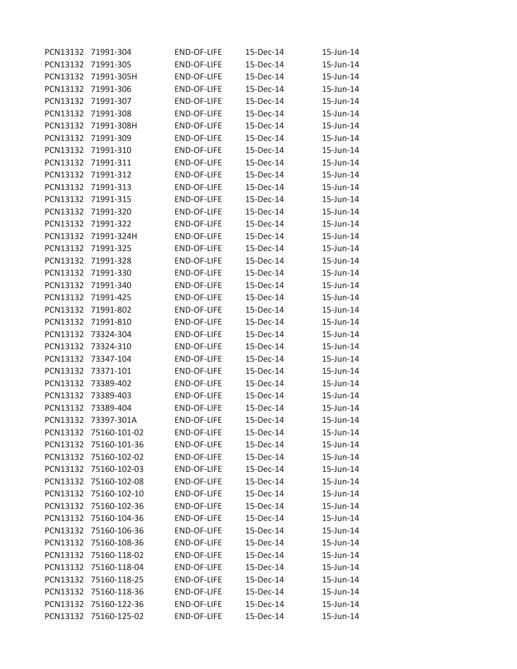| PCN13132 | 71991-304             | <b>END-OF-LIFE</b> | 15-Dec-14 | 15-Jun-14 |
|----------|-----------------------|--------------------|-----------|-----------|
| PCN13132 | 71991-305             | <b>END-OF-LIFE</b> | 15-Dec-14 | 15-Jun-14 |
| PCN13132 | 71991-305H            | <b>END-OF-LIFE</b> | 15-Dec-14 | 15-Jun-14 |
| PCN13132 | 71991-306             | <b>END-OF-LIFE</b> | 15-Dec-14 | 15-Jun-14 |
| PCN13132 | 71991-307             | <b>END-OF-LIFE</b> | 15-Dec-14 | 15-Jun-14 |
| PCN13132 | 71991-308             | <b>END-OF-LIFE</b> | 15-Dec-14 | 15-Jun-14 |
| PCN13132 | 71991-308H            | <b>END-OF-LIFE</b> | 15-Dec-14 | 15-Jun-14 |
| PCN13132 | 71991-309             | END-OF-LIFE        | 15-Dec-14 | 15-Jun-14 |
| PCN13132 | 71991-310             | <b>END-OF-LIFE</b> | 15-Dec-14 | 15-Jun-14 |
| PCN13132 | 71991-311             | <b>END-OF-LIFE</b> | 15-Dec-14 | 15-Jun-14 |
| PCN13132 | 71991-312             | <b>END-OF-LIFE</b> | 15-Dec-14 | 15-Jun-14 |
| PCN13132 | 71991-313             | END-OF-LIFE        | 15-Dec-14 | 15-Jun-14 |
| PCN13132 | 71991-315             | <b>END-OF-LIFE</b> | 15-Dec-14 | 15-Jun-14 |
| PCN13132 | 71991-320             | <b>END-OF-LIFE</b> | 15-Dec-14 | 15-Jun-14 |
| PCN13132 | 71991-322             | <b>END-OF-LIFE</b> | 15-Dec-14 | 15-Jun-14 |
| PCN13132 | 71991-324H            | <b>END-OF-LIFE</b> | 15-Dec-14 | 15-Jun-14 |
| PCN13132 | 71991-325             | <b>END-OF-LIFE</b> | 15-Dec-14 | 15-Jun-14 |
| PCN13132 | 71991-328             | <b>END-OF-LIFE</b> | 15-Dec-14 | 15-Jun-14 |
| PCN13132 | 71991-330             | <b>END-OF-LIFE</b> | 15-Dec-14 | 15-Jun-14 |
| PCN13132 | 71991-340             | END-OF-LIFE        | 15-Dec-14 | 15-Jun-14 |
| PCN13132 | 71991-425             | <b>END-OF-LIFE</b> | 15-Dec-14 | 15-Jun-14 |
| PCN13132 | 71991-802             | <b>END-OF-LIFE</b> | 15-Dec-14 | 15-Jun-14 |
| PCN13132 | 71991-810             | <b>END-OF-LIFE</b> | 15-Dec-14 | 15-Jun-14 |
| PCN13132 | 73324-304             | END-OF-LIFE        | 15-Dec-14 | 15-Jun-14 |
| PCN13132 | 73324-310             | <b>END-OF-LIFE</b> | 15-Dec-14 | 15-Jun-14 |
| PCN13132 | 73347-104             | END-OF-LIFE        | 15-Dec-14 | 15-Jun-14 |
| PCN13132 | 73371-101             | END-OF-LIFE        | 15-Dec-14 | 15-Jun-14 |
| PCN13132 | 73389-402             | <b>END-OF-LIFE</b> | 15-Dec-14 | 15-Jun-14 |
| PCN13132 | 73389-403             | END-OF-LIFE        | 15-Dec-14 | 15-Jun-14 |
| PCN13132 | 73389-404             | <b>END-OF-LIFE</b> | 15-Dec-14 | 15-Jun-14 |
| PCN13132 | 73397-301A            | <b>END-OF-LIFE</b> | 15-Dec-14 | 15-Jun-14 |
|          | PCN13132 75160-101-02 | END-OF-LIFE        | 15-Dec-14 | 15-Jun-14 |
| PCN13132 | 75160-101-36          | END-OF-LIFE        | 15-Dec-14 | 15-Jun-14 |
|          | PCN13132 75160-102-02 | END-OF-LIFE        | 15-Dec-14 | 15-Jun-14 |
| PCN13132 | 75160-102-03          | <b>END-OF-LIFE</b> | 15-Dec-14 | 15-Jun-14 |
| PCN13132 | 75160-102-08          | <b>END-OF-LIFE</b> | 15-Dec-14 | 15-Jun-14 |
| PCN13132 | 75160-102-10          | END-OF-LIFE        | 15-Dec-14 | 15-Jun-14 |
| PCN13132 | 75160-102-36          | END-OF-LIFE        | 15-Dec-14 | 15-Jun-14 |
|          | PCN13132 75160-104-36 | END-OF-LIFE        | 15-Dec-14 | 15-Jun-14 |
| PCN13132 | 75160-106-36          | END-OF-LIFE        | 15-Dec-14 | 15-Jun-14 |
| PCN13132 | 75160-108-36          | <b>END-OF-LIFE</b> | 15-Dec-14 | 15-Jun-14 |
| PCN13132 | 75160-118-02          | <b>END-OF-LIFE</b> | 15-Dec-14 | 15-Jun-14 |
| PCN13132 | 75160-118-04          | END-OF-LIFE        | 15-Dec-14 | 15-Jun-14 |
|          | PCN13132 75160-118-25 | END-OF-LIFE        | 15-Dec-14 | 15-Jun-14 |
| PCN13132 | 75160-118-36          | END-OF-LIFE        | 15-Dec-14 | 15-Jun-14 |
|          | PCN13132 75160-122-36 | END-OF-LIFE        | 15-Dec-14 | 15-Jun-14 |
| PCN13132 | 75160-125-02          | END-OF-LIFE        | 15-Dec-14 | 15-Jun-14 |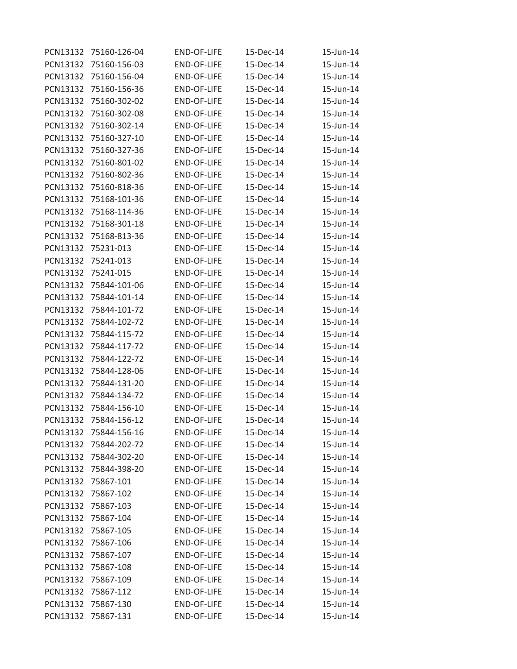| PCN13132 | 75160-126-04          | <b>END-OF-LIFE</b> | 15-Dec-14 | 15-Jun-14 |
|----------|-----------------------|--------------------|-----------|-----------|
| PCN13132 | 75160-156-03          | <b>END-OF-LIFE</b> | 15-Dec-14 | 15-Jun-14 |
| PCN13132 | 75160-156-04          | <b>END-OF-LIFE</b> | 15-Dec-14 | 15-Jun-14 |
| PCN13132 | 75160-156-36          | <b>END-OF-LIFE</b> | 15-Dec-14 | 15-Jun-14 |
| PCN13132 | 75160-302-02          | <b>END-OF-LIFE</b> | 15-Dec-14 | 15-Jun-14 |
| PCN13132 | 75160-302-08          | <b>END-OF-LIFE</b> | 15-Dec-14 | 15-Jun-14 |
| PCN13132 | 75160-302-14          | <b>END-OF-LIFE</b> | 15-Dec-14 | 15-Jun-14 |
| PCN13132 | 75160-327-10          | END-OF-LIFE        | 15-Dec-14 | 15-Jun-14 |
| PCN13132 | 75160-327-36          | <b>END-OF-LIFE</b> | 15-Dec-14 | 15-Jun-14 |
| PCN13132 | 75160-801-02          | <b>END-OF-LIFE</b> | 15-Dec-14 | 15-Jun-14 |
| PCN13132 | 75160-802-36          | <b>END-OF-LIFE</b> | 15-Dec-14 | 15-Jun-14 |
| PCN13132 | 75160-818-36          | <b>END-OF-LIFE</b> | 15-Dec-14 | 15-Jun-14 |
| PCN13132 | 75168-101-36          | <b>END-OF-LIFE</b> | 15-Dec-14 | 15-Jun-14 |
| PCN13132 | 75168-114-36          | <b>END-OF-LIFE</b> | 15-Dec-14 | 15-Jun-14 |
| PCN13132 | 75168-301-18          | <b>END-OF-LIFE</b> | 15-Dec-14 | 15-Jun-14 |
| PCN13132 | 75168-813-36          | <b>END-OF-LIFE</b> | 15-Dec-14 | 15-Jun-14 |
| PCN13132 | 75231-013             | <b>END-OF-LIFE</b> | 15-Dec-14 | 15-Jun-14 |
| PCN13132 | 75241-013             | <b>END-OF-LIFE</b> | 15-Dec-14 | 15-Jun-14 |
| PCN13132 | 75241-015             | <b>END-OF-LIFE</b> | 15-Dec-14 | 15-Jun-14 |
| PCN13132 | 75844-101-06          | <b>END-OF-LIFE</b> | 15-Dec-14 | 15-Jun-14 |
| PCN13132 | 75844-101-14          | <b>END-OF-LIFE</b> | 15-Dec-14 | 15-Jun-14 |
| PCN13132 | 75844-101-72          | <b>END-OF-LIFE</b> | 15-Dec-14 | 15-Jun-14 |
| PCN13132 | 75844-102-72          | <b>END-OF-LIFE</b> | 15-Dec-14 | 15-Jun-14 |
| PCN13132 | 75844-115-72          | <b>END-OF-LIFE</b> | 15-Dec-14 | 15-Jun-14 |
| PCN13132 | 75844-117-72          | <b>END-OF-LIFE</b> | 15-Dec-14 | 15-Jun-14 |
| PCN13132 | 75844-122-72          | END-OF-LIFE        | 15-Dec-14 | 15-Jun-14 |
| PCN13132 | 75844-128-06          | END-OF-LIFE        | 15-Dec-14 | 15-Jun-14 |
| PCN13132 | 75844-131-20          | <b>END-OF-LIFE</b> | 15-Dec-14 | 15-Jun-14 |
| PCN13132 | 75844-134-72          | <b>END-OF-LIFE</b> | 15-Dec-14 | 15-Jun-14 |
| PCN13132 | 75844-156-10          | END-OF-LIFE        | 15-Dec-14 | 15-Jun-14 |
| PCN13132 | 75844-156-12          | <b>END-OF-LIFE</b> | 15-Dec-14 | 15-Jun-14 |
|          | PCN13132 75844-156-16 | END-OF-LIFE        | 15-Dec-14 | 15-Jun-14 |
| PCN13132 | 75844-202-72          | END-OF-LIFE        | 15-Dec-14 | 15-Jun-14 |
|          | PCN13132 75844-302-20 | END-OF-LIFE        | 15-Dec-14 | 15-Jun-14 |
| PCN13132 | 75844-398-20          | <b>END-OF-LIFE</b> | 15-Dec-14 | 15-Jun-14 |
| PCN13132 | 75867-101             | END-OF-LIFE        | 15-Dec-14 | 15-Jun-14 |
| PCN13132 | 75867-102             | END-OF-LIFE        | 15-Dec-14 | 15-Jun-14 |
| PCN13132 | 75867-103             | END-OF-LIFE        | 15-Dec-14 | 15-Jun-14 |
| PCN13132 | 75867-104             | END-OF-LIFE        | 15-Dec-14 | 15-Jun-14 |
| PCN13132 | 75867-105             | END-OF-LIFE        | 15-Dec-14 | 15-Jun-14 |
| PCN13132 | 75867-106             | END-OF-LIFE        | 15-Dec-14 | 15-Jun-14 |
| PCN13132 | 75867-107             | <b>END-OF-LIFE</b> | 15-Dec-14 | 15-Jun-14 |
| PCN13132 | 75867-108             | END-OF-LIFE        | 15-Dec-14 | 15-Jun-14 |
| PCN13132 | 75867-109             | END-OF-LIFE        | 15-Dec-14 | 15-Jun-14 |
| PCN13132 | 75867-112             | END-OF-LIFE        | 15-Dec-14 | 15-Jun-14 |
| PCN13132 | 75867-130             | END-OF-LIFE        | 15-Dec-14 | 15-Jun-14 |
| PCN13132 | 75867-131             | END-OF-LIFE        | 15-Dec-14 | 15-Jun-14 |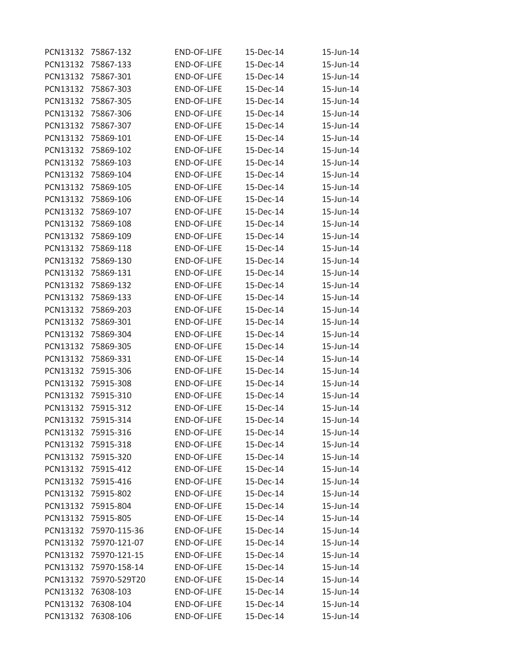| PCN13132 | 75867-132             | <b>END-OF-LIFE</b> | 15-Dec-14 | 15-Jun-14 |
|----------|-----------------------|--------------------|-----------|-----------|
| PCN13132 | 75867-133             | <b>END-OF-LIFE</b> | 15-Dec-14 | 15-Jun-14 |
| PCN13132 | 75867-301             | <b>END-OF-LIFE</b> | 15-Dec-14 | 15-Jun-14 |
| PCN13132 | 75867-303             | <b>END-OF-LIFE</b> | 15-Dec-14 | 15-Jun-14 |
| PCN13132 | 75867-305             | END-OF-LIFE        | 15-Dec-14 | 15-Jun-14 |
| PCN13132 | 75867-306             | <b>END-OF-LIFE</b> | 15-Dec-14 | 15-Jun-14 |
| PCN13132 | 75867-307             | <b>END-OF-LIFE</b> | 15-Dec-14 | 15-Jun-14 |
| PCN13132 | 75869-101             | END-OF-LIFE        | 15-Dec-14 | 15-Jun-14 |
| PCN13132 | 75869-102             | <b>END-OF-LIFE</b> | 15-Dec-14 | 15-Jun-14 |
| PCN13132 | 75869-103             | <b>END-OF-LIFE</b> | 15-Dec-14 | 15-Jun-14 |
| PCN13132 | 75869-104             | <b>END-OF-LIFE</b> | 15-Dec-14 | 15-Jun-14 |
| PCN13132 | 75869-105             | END-OF-LIFE        | 15-Dec-14 | 15-Jun-14 |
| PCN13132 | 75869-106             | <b>END-OF-LIFE</b> | 15-Dec-14 | 15-Jun-14 |
| PCN13132 | 75869-107             | END-OF-LIFE        | 15-Dec-14 | 15-Jun-14 |
| PCN13132 | 75869-108             | END-OF-LIFE        | 15-Dec-14 | 15-Jun-14 |
| PCN13132 | 75869-109             | <b>END-OF-LIFE</b> | 15-Dec-14 | 15-Jun-14 |
| PCN13132 | 75869-118             | <b>END-OF-LIFE</b> | 15-Dec-14 | 15-Jun-14 |
| PCN13132 | 75869-130             | <b>END-OF-LIFE</b> | 15-Dec-14 | 15-Jun-14 |
| PCN13132 | 75869-131             | <b>END-OF-LIFE</b> | 15-Dec-14 | 15-Jun-14 |
| PCN13132 | 75869-132             | <b>END-OF-LIFE</b> | 15-Dec-14 | 15-Jun-14 |
| PCN13132 | 75869-133             | <b>END-OF-LIFE</b> | 15-Dec-14 | 15-Jun-14 |
| PCN13132 | 75869-203             | <b>END-OF-LIFE</b> | 15-Dec-14 | 15-Jun-14 |
| PCN13132 | 75869-301             | <b>END-OF-LIFE</b> | 15-Dec-14 | 15-Jun-14 |
| PCN13132 | 75869-304             | <b>END-OF-LIFE</b> | 15-Dec-14 | 15-Jun-14 |
| PCN13132 | 75869-305             | <b>END-OF-LIFE</b> | 15-Dec-14 | 15-Jun-14 |
| PCN13132 | 75869-331             | END-OF-LIFE        | 15-Dec-14 | 15-Jun-14 |
| PCN13132 | 75915-306             | END-OF-LIFE        | 15-Dec-14 | 15-Jun-14 |
| PCN13132 | 75915-308             | <b>END-OF-LIFE</b> | 15-Dec-14 | 15-Jun-14 |
| PCN13132 | 75915-310             | <b>END-OF-LIFE</b> | 15-Dec-14 | 15-Jun-14 |
| PCN13132 | 75915-312             | <b>END-OF-LIFE</b> | 15-Dec-14 | 15-Jun-14 |
| PCN13132 | 75915-314             | <b>END-OF-LIFE</b> | 15-Dec-14 | 15-Jun-14 |
|          | PCN13132 75915-316    | END-OF-LIFE        | 15-Dec-14 | 15-Jun-14 |
| PCN13132 | 75915-318             | END-OF-LIFE        | 15-Dec-14 | 15-Jun-14 |
|          | PCN13132 75915-320    | END-OF-LIFE        | 15-Dec-14 | 15-Jun-14 |
| PCN13132 | 75915-412             | END-OF-LIFE        | 15-Dec-14 | 15-Jun-14 |
| PCN13132 | 75915-416             | END-OF-LIFE        | 15-Dec-14 | 15-Jun-14 |
|          | PCN13132 75915-802    | END-OF-LIFE        | 15-Dec-14 | 15-Jun-14 |
| PCN13132 | 75915-804             | END-OF-LIFE        | 15-Dec-14 | 15-Jun-14 |
| PCN13132 | 75915-805             | END-OF-LIFE        | 15-Dec-14 | 15-Jun-14 |
| PCN13132 | 75970-115-36          | END-OF-LIFE        | 15-Dec-14 | 15-Jun-14 |
| PCN13132 | 75970-121-07          | END-OF-LIFE        | 15-Dec-14 | 15-Jun-14 |
| PCN13132 | 75970-121-15          | END-OF-LIFE        | 15-Dec-14 | 15-Jun-14 |
| PCN13132 | 75970-158-14          | END-OF-LIFE        | 15-Dec-14 | 15-Jun-14 |
|          | PCN13132 75970-529T20 | END-OF-LIFE        | 15-Dec-14 | 15-Jun-14 |
| PCN13132 | 76308-103             | END-OF-LIFE        | 15-Dec-14 | 15-Jun-14 |
| PCN13132 | 76308-104             | END-OF-LIFE        | 15-Dec-14 | 15-Jun-14 |
| PCN13132 | 76308-106             | END-OF-LIFE        | 15-Dec-14 | 15-Jun-14 |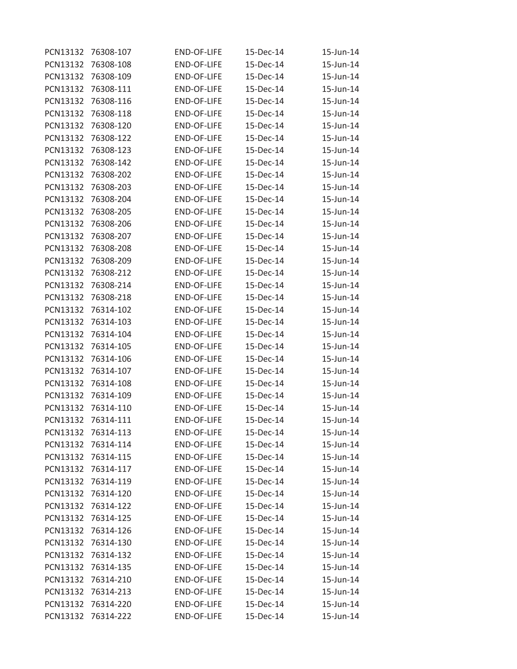| PCN13132 | 76308-107          | <b>END-OF-LIFE</b> | 15-Dec-14 | 15-Jun-14 |
|----------|--------------------|--------------------|-----------|-----------|
| PCN13132 | 76308-108          | <b>END-OF-LIFE</b> | 15-Dec-14 | 15-Jun-14 |
| PCN13132 | 76308-109          | <b>END-OF-LIFE</b> | 15-Dec-14 | 15-Jun-14 |
| PCN13132 | 76308-111          | <b>END-OF-LIFE</b> | 15-Dec-14 | 15-Jun-14 |
| PCN13132 | 76308-116          | <b>END-OF-LIFE</b> | 15-Dec-14 | 15-Jun-14 |
| PCN13132 | 76308-118          | <b>END-OF-LIFE</b> | 15-Dec-14 | 15-Jun-14 |
| PCN13132 | 76308-120          | <b>END-OF-LIFE</b> | 15-Dec-14 | 15-Jun-14 |
| PCN13132 | 76308-122          | END-OF-LIFE        | 15-Dec-14 | 15-Jun-14 |
| PCN13132 | 76308-123          | <b>END-OF-LIFE</b> | 15-Dec-14 | 15-Jun-14 |
| PCN13132 | 76308-142          | <b>END-OF-LIFE</b> | 15-Dec-14 | 15-Jun-14 |
| PCN13132 | 76308-202          | <b>END-OF-LIFE</b> | 15-Dec-14 | 15-Jun-14 |
| PCN13132 | 76308-203          | END-OF-LIFE        | 15-Dec-14 | 15-Jun-14 |
| PCN13132 | 76308-204          | <b>END-OF-LIFE</b> | 15-Dec-14 | 15-Jun-14 |
| PCN13132 | 76308-205          | <b>END-OF-LIFE</b> | 15-Dec-14 | 15-Jun-14 |
| PCN13132 | 76308-206          | <b>END-OF-LIFE</b> | 15-Dec-14 | 15-Jun-14 |
| PCN13132 | 76308-207          | END-OF-LIFE        | 15-Dec-14 | 15-Jun-14 |
| PCN13132 | 76308-208          | <b>END-OF-LIFE</b> | 15-Dec-14 | 15-Jun-14 |
| PCN13132 | 76308-209          | <b>END-OF-LIFE</b> | 15-Dec-14 | 15-Jun-14 |
| PCN13132 | 76308-212          | END-OF-LIFE        | 15-Dec-14 | 15-Jun-14 |
| PCN13132 | 76308-214          | <b>END-OF-LIFE</b> | 15-Dec-14 | 15-Jun-14 |
| PCN13132 | 76308-218          | <b>END-OF-LIFE</b> | 15-Dec-14 | 15-Jun-14 |
| PCN13132 | 76314-102          | <b>END-OF-LIFE</b> | 15-Dec-14 | 15-Jun-14 |
| PCN13132 | 76314-103          | <b>END-OF-LIFE</b> | 15-Dec-14 | 15-Jun-14 |
| PCN13132 | 76314-104          | <b>END-OF-LIFE</b> | 15-Dec-14 | 15-Jun-14 |
| PCN13132 | 76314-105          | <b>END-OF-LIFE</b> | 15-Dec-14 | 15-Jun-14 |
| PCN13132 | 76314-106          | END-OF-LIFE        | 15-Dec-14 | 15-Jun-14 |
| PCN13132 | 76314-107          | END-OF-LIFE        | 15-Dec-14 | 15-Jun-14 |
| PCN13132 | 76314-108          | <b>END-OF-LIFE</b> | 15-Dec-14 | 15-Jun-14 |
| PCN13132 | 76314-109          | <b>END-OF-LIFE</b> | 15-Dec-14 | 15-Jun-14 |
| PCN13132 | 76314-110          | <b>END-OF-LIFE</b> | 15-Dec-14 | 15-Jun-14 |
| PCN13132 | 76314-111          | <b>END-OF-LIFE</b> | 15-Dec-14 | 15-Jun-14 |
| PCN13132 | 76314-113          | END-OF-LIFE        | 15-Dec-14 | 15-Jun-14 |
| PCN13132 | 76314-114          | END-OF-LIFE        | 15-Dec-14 | 15-Jun-14 |
|          | PCN13132 76314-115 | END-OF-LIFE        | 15-Dec-14 | 15-Jun-14 |
| PCN13132 | 76314-117          | <b>END-OF-LIFE</b> | 15-Dec-14 | 15-Jun-14 |
| PCN13132 | 76314-119          | <b>END-OF-LIFE</b> | 15-Dec-14 | 15-Jun-14 |
| PCN13132 | 76314-120          | <b>END-OF-LIFE</b> | 15-Dec-14 | 15-Jun-14 |
| PCN13132 | 76314-122          | END-OF-LIFE        | 15-Dec-14 | 15-Jun-14 |
|          | PCN13132 76314-125 | <b>END-OF-LIFE</b> | 15-Dec-14 | 15-Jun-14 |
| PCN13132 | 76314-126          | END-OF-LIFE        | 15-Dec-14 | 15-Jun-14 |
| PCN13132 | 76314-130          | <b>END-OF-LIFE</b> | 15-Dec-14 | 15-Jun-14 |
| PCN13132 | 76314-132          | <b>END-OF-LIFE</b> | 15-Dec-14 | 15-Jun-14 |
| PCN13132 | 76314-135          | END-OF-LIFE        | 15-Dec-14 | 15-Jun-14 |
| PCN13132 | 76314-210          | <b>END-OF-LIFE</b> | 15-Dec-14 | 15-Jun-14 |
| PCN13132 | 76314-213          | END-OF-LIFE        | 15-Dec-14 | 15-Jun-14 |
|          | PCN13132 76314-220 | END-OF-LIFE        | 15-Dec-14 | 15-Jun-14 |
| PCN13132 | 76314-222          | END-OF-LIFE        | 15-Dec-14 | 15-Jun-14 |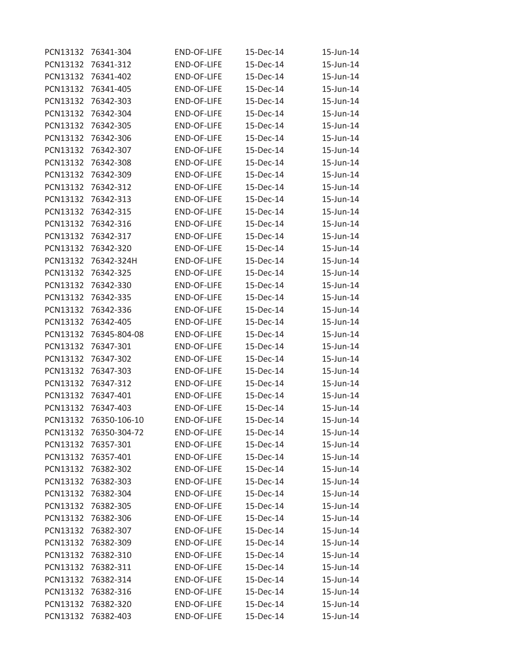| PCN13132 | 76341-304             | <b>END-OF-LIFE</b> | 15-Dec-14 | 15-Jun-14 |
|----------|-----------------------|--------------------|-----------|-----------|
| PCN13132 | 76341-312             | <b>END-OF-LIFE</b> | 15-Dec-14 | 15-Jun-14 |
| PCN13132 | 76341-402             | <b>END-OF-LIFE</b> | 15-Dec-14 | 15-Jun-14 |
| PCN13132 | 76341-405             | <b>END-OF-LIFE</b> | 15-Dec-14 | 15-Jun-14 |
| PCN13132 | 76342-303             | END-OF-LIFE        | 15-Dec-14 | 15-Jun-14 |
| PCN13132 | 76342-304             | <b>END-OF-LIFE</b> | 15-Dec-14 | 15-Jun-14 |
| PCN13132 | 76342-305             | <b>END-OF-LIFE</b> | 15-Dec-14 | 15-Jun-14 |
| PCN13132 | 76342-306             | END-OF-LIFE        | 15-Dec-14 | 15-Jun-14 |
| PCN13132 | 76342-307             | <b>END-OF-LIFE</b> | 15-Dec-14 | 15-Jun-14 |
| PCN13132 | 76342-308             | <b>END-OF-LIFE</b> | 15-Dec-14 | 15-Jun-14 |
| PCN13132 | 76342-309             | <b>END-OF-LIFE</b> | 15-Dec-14 | 15-Jun-14 |
| PCN13132 | 76342-312             | END-OF-LIFE        | 15-Dec-14 | 15-Jun-14 |
| PCN13132 | 76342-313             | <b>END-OF-LIFE</b> | 15-Dec-14 | 15-Jun-14 |
| PCN13132 | 76342-315             | <b>END-OF-LIFE</b> | 15-Dec-14 | 15-Jun-14 |
| PCN13132 | 76342-316             | <b>END-OF-LIFE</b> | 15-Dec-14 | 15-Jun-14 |
| PCN13132 | 76342-317             | <b>END-OF-LIFE</b> | 15-Dec-14 | 15-Jun-14 |
| PCN13132 | 76342-320             | END-OF-LIFE        | 15-Dec-14 | 15-Jun-14 |
| PCN13132 | 76342-324H            | <b>END-OF-LIFE</b> | 15-Dec-14 | 15-Jun-14 |
| PCN13132 | 76342-325             | <b>END-OF-LIFE</b> | 15-Dec-14 | 15-Jun-14 |
| PCN13132 | 76342-330             | <b>END-OF-LIFE</b> | 15-Dec-14 | 15-Jun-14 |
| PCN13132 | 76342-335             | <b>END-OF-LIFE</b> | 15-Dec-14 | 15-Jun-14 |
| PCN13132 | 76342-336             | <b>END-OF-LIFE</b> | 15-Dec-14 | 15-Jun-14 |
| PCN13132 | 76342-405             | <b>END-OF-LIFE</b> | 15-Dec-14 | 15-Jun-14 |
| PCN13132 | 76345-804-08          | <b>END-OF-LIFE</b> | 15-Dec-14 | 15-Jun-14 |
| PCN13132 | 76347-301             | <b>END-OF-LIFE</b> | 15-Dec-14 | 15-Jun-14 |
| PCN13132 | 76347-302             | <b>END-OF-LIFE</b> | 15-Dec-14 | 15-Jun-14 |
| PCN13132 | 76347-303             | END-OF-LIFE        | 15-Dec-14 | 15-Jun-14 |
| PCN13132 | 76347-312             | <b>END-OF-LIFE</b> | 15-Dec-14 | 15-Jun-14 |
| PCN13132 | 76347-401             | <b>END-OF-LIFE</b> | 15-Dec-14 | 15-Jun-14 |
| PCN13132 | 76347-403             | END-OF-LIFE        | 15-Dec-14 | 15-Jun-14 |
| PCN13132 | 76350-106-10          | <b>END-OF-LIFE</b> | 15-Dec-14 | 15-Jun-14 |
|          | PCN13132 76350-304-72 | END-OF-LIFE        | 15-Dec-14 | 15-Jun-14 |
| PCN13132 | 76357-301             | END-OF-LIFE        | 15-Dec-14 | 15-Jun-14 |
|          | PCN13132 76357-401    | END-OF-LIFE        | 15-Dec-14 | 15-Jun-14 |
| PCN13132 | 76382-302             | <b>END-OF-LIFE</b> | 15-Dec-14 | 15-Jun-14 |
| PCN13132 | 76382-303             | END-OF-LIFE        | 15-Dec-14 | 15-Jun-14 |
|          | PCN13132 76382-304    | END-OF-LIFE        | 15-Dec-14 | 15-Jun-14 |
| PCN13132 | 76382-305             | END-OF-LIFE        | 15-Dec-14 | 15-Jun-14 |
| PCN13132 | 76382-306             | END-OF-LIFE        | 15-Dec-14 | 15-Jun-14 |
| PCN13132 | 76382-307             | <b>END-OF-LIFE</b> | 15-Dec-14 | 15-Jun-14 |
| PCN13132 | 76382-309             | END-OF-LIFE        | 15-Dec-14 | 15-Jun-14 |
| PCN13132 | 76382-310             | <b>END-OF-LIFE</b> | 15-Dec-14 | 15-Jun-14 |
| PCN13132 | 76382-311             | END-OF-LIFE        | 15-Dec-14 | 15-Jun-14 |
|          | PCN13132 76382-314    | <b>END-OF-LIFE</b> | 15-Dec-14 | 15-Jun-14 |
| PCN13132 | 76382-316             | END-OF-LIFE        | 15-Dec-14 | 15-Jun-14 |
| PCN13132 | 76382-320             | END-OF-LIFE        | 15-Dec-14 | 15-Jun-14 |
| PCN13132 | 76382-403             | END-OF-LIFE        | 15-Dec-14 | 15-Jun-14 |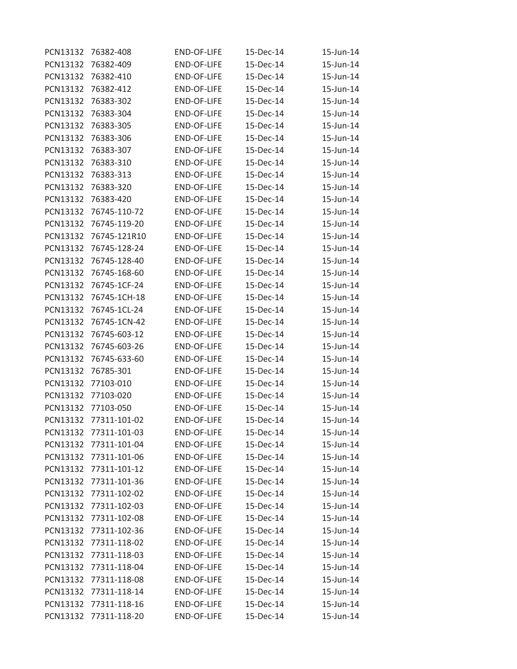| PCN13132 | 76382-408             | END-OF-LIFE        | 15-Dec-14 | 15-Jun-14 |
|----------|-----------------------|--------------------|-----------|-----------|
| PCN13132 | 76382-409             | <b>END-OF-LIFE</b> | 15-Dec-14 | 15-Jun-14 |
| PCN13132 | 76382-410             | <b>END-OF-LIFE</b> | 15-Dec-14 | 15-Jun-14 |
| PCN13132 | 76382-412             | <b>END-OF-LIFE</b> | 15-Dec-14 | 15-Jun-14 |
| PCN13132 | 76383-302             | <b>END-OF-LIFE</b> | 15-Dec-14 | 15-Jun-14 |
| PCN13132 | 76383-304             | <b>END-OF-LIFE</b> | 15-Dec-14 | 15-Jun-14 |
| PCN13132 | 76383-305             | <b>END-OF-LIFE</b> | 15-Dec-14 | 15-Jun-14 |
| PCN13132 | 76383-306             | END-OF-LIFE        | 15-Dec-14 | 15-Jun-14 |
| PCN13132 | 76383-307             | <b>END-OF-LIFE</b> | 15-Dec-14 | 15-Jun-14 |
| PCN13132 | 76383-310             | <b>END-OF-LIFE</b> | 15-Dec-14 | 15-Jun-14 |
| PCN13132 | 76383-313             | <b>END-OF-LIFE</b> | 15-Dec-14 | 15-Jun-14 |
| PCN13132 | 76383-320             | <b>END-OF-LIFE</b> | 15-Dec-14 | 15-Jun-14 |
| PCN13132 | 76383-420             | <b>END-OF-LIFE</b> | 15-Dec-14 | 15-Jun-14 |
| PCN13132 | 76745-110-72          | <b>END-OF-LIFE</b> | 15-Dec-14 | 15-Jun-14 |
| PCN13132 | 76745-119-20          | END-OF-LIFE        | 15-Dec-14 | 15-Jun-14 |
| PCN13132 | 76745-121R10          | <b>END-OF-LIFE</b> | 15-Dec-14 | 15-Jun-14 |
| PCN13132 | 76745-128-24          | <b>END-OF-LIFE</b> | 15-Dec-14 | 15-Jun-14 |
| PCN13132 | 76745-128-40          | <b>END-OF-LIFE</b> | 15-Dec-14 | 15-Jun-14 |
| PCN13132 | 76745-168-60          | END-OF-LIFE        | 15-Dec-14 | 15-Jun-14 |
| PCN13132 | 76745-1CF-24          | <b>END-OF-LIFE</b> | 15-Dec-14 | 15-Jun-14 |
| PCN13132 | 76745-1CH-18          | <b>END-OF-LIFE</b> | 15-Dec-14 | 15-Jun-14 |
| PCN13132 | 76745-1CL-24          | <b>END-OF-LIFE</b> | 15-Dec-14 | 15-Jun-14 |
| PCN13132 | 76745-1CN-42          | <b>END-OF-LIFE</b> | 15-Dec-14 | 15-Jun-14 |
| PCN13132 | 76745-603-12          | <b>END-OF-LIFE</b> | 15-Dec-14 | 15-Jun-14 |
| PCN13132 | 76745-603-26          | <b>END-OF-LIFE</b> | 15-Dec-14 | 15-Jun-14 |
| PCN13132 | 76745-633-60          | END-OF-LIFE        | 15-Dec-14 | 15-Jun-14 |
| PCN13132 | 76785-301             | END-OF-LIFE        | 15-Dec-14 | 15-Jun-14 |
| PCN13132 | 77103-010             | <b>END-OF-LIFE</b> | 15-Dec-14 | 15-Jun-14 |
| PCN13132 | 77103-020             | <b>END-OF-LIFE</b> | 15-Dec-14 | 15-Jun-14 |
| PCN13132 | 77103-050             | <b>END-OF-LIFE</b> | 15-Dec-14 | 15-Jun-14 |
| PCN13132 | 77311-101-02          | <b>END-OF-LIFE</b> | 15-Dec-14 | 15-Jun-14 |
|          | PCN13132 77311-101-03 | END-OF-LIFE        | 15-Dec-14 | 15-Jun-14 |
| PCN13132 | 77311-101-04          | END-OF-LIFE        | 15-Dec-14 | 15-Jun-14 |
|          | PCN13132 77311-101-06 | END-OF-LIFE        | 15-Dec-14 | 15-Jun-14 |
| PCN13132 | 77311-101-12          | <b>END-OF-LIFE</b> | 15-Dec-14 | 15-Jun-14 |
| PCN13132 | 77311-101-36          | END-OF-LIFE        | 15-Dec-14 | 15-Jun-14 |
|          | PCN13132 77311-102-02 | END-OF-LIFE        | 15-Dec-14 | 15-Jun-14 |
| PCN13132 | 77311-102-03          | END-OF-LIFE        | 15-Dec-14 | 15-Jun-14 |
|          | PCN13132 77311-102-08 | END-OF-LIFE        | 15-Dec-14 | 15-Jun-14 |
| PCN13132 | 77311-102-36          | END-OF-LIFE        | 15-Dec-14 | 15-Jun-14 |
| PCN13132 | 77311-118-02          | <b>END-OF-LIFE</b> | 15-Dec-14 | 15-Jun-14 |
| PCN13132 | 77311-118-03          | <b>END-OF-LIFE</b> | 15-Dec-14 | 15-Jun-14 |
| PCN13132 | 77311-118-04          | END-OF-LIFE        | 15-Dec-14 | 15-Jun-14 |
|          | PCN13132 77311-118-08 | END-OF-LIFE        | 15-Dec-14 | 15-Jun-14 |
| PCN13132 | 77311-118-14          | END-OF-LIFE        | 15-Dec-14 | 15-Jun-14 |
|          | PCN13132 77311-118-16 | END-OF-LIFE        | 15-Dec-14 | 15-Jun-14 |
| PCN13132 | 77311-118-20          | END-OF-LIFE        | 15-Dec-14 | 15-Jun-14 |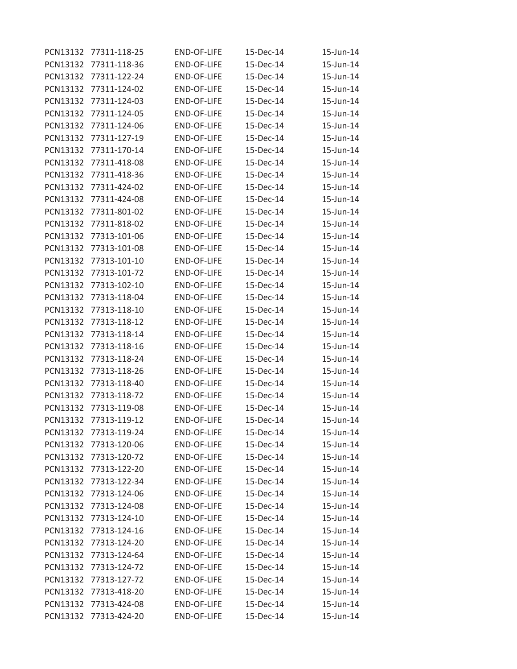| PCN13132        | 77311-118-25          | <b>END-OF-LIFE</b> | 15-Dec-14 | 15-Jun-14 |
|-----------------|-----------------------|--------------------|-----------|-----------|
| PCN13132        | 77311-118-36          | <b>END-OF-LIFE</b> | 15-Dec-14 | 15-Jun-14 |
| PCN13132        | 77311-122-24          | <b>END-OF-LIFE</b> | 15-Dec-14 | 15-Jun-14 |
| PCN13132        | 77311-124-02          | <b>END-OF-LIFE</b> | 15-Dec-14 | 15-Jun-14 |
| PCN13132        | 77311-124-03          | <b>END-OF-LIFE</b> | 15-Dec-14 | 15-Jun-14 |
| PCN13132        | 77311-124-05          | END-OF-LIFE        | 15-Dec-14 | 15-Jun-14 |
| PCN13132        | 77311-124-06          | END-OF-LIFE        | 15-Dec-14 | 15-Jun-14 |
| PCN13132        | 77311-127-19          | <b>END-OF-LIFE</b> | 15-Dec-14 | 15-Jun-14 |
| <b>PCN13132</b> | 77311-170-14          | <b>END-OF-LIFE</b> | 15-Dec-14 | 15-Jun-14 |
| PCN13132        | 77311-418-08          | <b>END-OF-LIFE</b> | 15-Dec-14 | 15-Jun-14 |
| PCN13132        | 77311-418-36          | <b>END-OF-LIFE</b> | 15-Dec-14 | 15-Jun-14 |
| PCN13132        | 77311-424-02          | <b>END-OF-LIFE</b> | 15-Dec-14 | 15-Jun-14 |
| PCN13132        | 77311-424-08          | <b>END-OF-LIFE</b> | 15-Dec-14 | 15-Jun-14 |
| PCN13132        | 77311-801-02          | <b>END-OF-LIFE</b> | 15-Dec-14 | 15-Jun-14 |
| PCN13132        | 77311-818-02          | <b>END-OF-LIFE</b> | 15-Dec-14 | 15-Jun-14 |
| PCN13132        | 77313-101-06          | <b>END-OF-LIFE</b> | 15-Dec-14 | 15-Jun-14 |
| PCN13132        | 77313-101-08          | <b>END-OF-LIFE</b> | 15-Dec-14 | 15-Jun-14 |
| PCN13132        | 77313-101-10          | <b>END-OF-LIFE</b> | 15-Dec-14 | 15-Jun-14 |
| PCN13132        | 77313-101-72          | <b>END-OF-LIFE</b> | 15-Dec-14 | 15-Jun-14 |
| PCN13132        | 77313-102-10          | END-OF-LIFE        | 15-Dec-14 | 15-Jun-14 |
| PCN13132        | 77313-118-04          | <b>END-OF-LIFE</b> | 15-Dec-14 | 15-Jun-14 |
| PCN13132        | 77313-118-10          | END-OF-LIFE        | 15-Dec-14 | 15-Jun-14 |
| PCN13132        | 77313-118-12          | <b>END-OF-LIFE</b> | 15-Dec-14 | 15-Jun-14 |
| PCN13132        | 77313-118-14          | <b>END-OF-LIFE</b> | 15-Dec-14 | 15-Jun-14 |
| PCN13132        | 77313-118-16          | <b>END-OF-LIFE</b> | 15-Dec-14 | 15-Jun-14 |
| PCN13132        | 77313-118-24          | <b>END-OF-LIFE</b> | 15-Dec-14 | 15-Jun-14 |
| PCN13132        | 77313-118-26          | <b>END-OF-LIFE</b> | 15-Dec-14 | 15-Jun-14 |
| <b>PCN13132</b> | 77313-118-40          | <b>END-OF-LIFE</b> | 15-Dec-14 | 15-Jun-14 |
| PCN13132        | 77313-118-72          | <b>END-OF-LIFE</b> | 15-Dec-14 | 15-Jun-14 |
| PCN13132        | 77313-119-08          | <b>END-OF-LIFE</b> | 15-Dec-14 | 15-Jun-14 |
| PCN13132        | 77313-119-12          | <b>END-OF-LIFE</b> | 15-Dec-14 | 15-Jun-14 |
|                 | PCN13132 77313-119-24 | END-OF-LIFE        | 15-Dec-14 | 15-Jun-14 |
| PCN13132        | 77313-120-06          | END-OF-LIFE        | 15-Dec-14 | 15-Jun-14 |
|                 | PCN13132 77313-120-72 | END-OF-LIFE        | 15-Dec-14 | 15-Jun-14 |
| PCN13132        | 77313-122-20          | <b>END-OF-LIFE</b> | 15-Dec-14 | 15-Jun-14 |
| PCN13132        | 77313-122-34          | END-OF-LIFE        | 15-Dec-14 | 15-Jun-14 |
|                 | PCN13132 77313-124-06 | END-OF-LIFE        | 15-Dec-14 | 15-Jun-14 |
| PCN13132        | 77313-124-08          | END-OF-LIFE        | 15-Dec-14 | 15-Jun-14 |
|                 | PCN13132 77313-124-10 | END-OF-LIFE        | 15-Dec-14 | 15-Jun-14 |
| PCN13132        | 77313-124-16          | END-OF-LIFE        | 15-Dec-14 | 15-Jun-14 |
| PCN13132        | 77313-124-20          | END-OF-LIFE        | 15-Dec-14 | 15-Jun-14 |
| PCN13132        | 77313-124-64          | <b>END-OF-LIFE</b> | 15-Dec-14 | 15-Jun-14 |
| PCN13132        | 77313-124-72          | END-OF-LIFE        | 15-Dec-14 | 15-Jun-14 |
|                 | PCN13132 77313-127-72 | END-OF-LIFE        | 15-Dec-14 | 15-Jun-14 |
| PCN13132        | 77313-418-20          | END-OF-LIFE        | 15-Dec-14 | 15-Jun-14 |
|                 | PCN13132 77313-424-08 | END-OF-LIFE        | 15-Dec-14 | 15-Jun-14 |
| PCN13132        | 77313-424-20          | END-OF-LIFE        | 15-Dec-14 | 15-Jun-14 |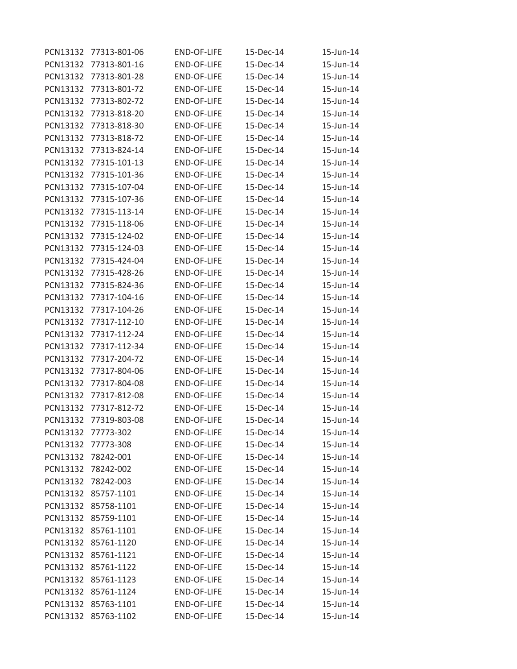| PCN13132 | 77313-801-06        | <b>END-OF-LIFE</b> | 15-Dec-14 | 15-Jun-14 |
|----------|---------------------|--------------------|-----------|-----------|
| PCN13132 | 77313-801-16        | <b>END-OF-LIFE</b> | 15-Dec-14 | 15-Jun-14 |
| PCN13132 | 77313-801-28        | <b>END-OF-LIFE</b> | 15-Dec-14 | 15-Jun-14 |
| PCN13132 | 77313-801-72        | <b>END-OF-LIFE</b> | 15-Dec-14 | 15-Jun-14 |
| PCN13132 | 77313-802-72        | <b>END-OF-LIFE</b> | 15-Dec-14 | 15-Jun-14 |
| PCN13132 | 77313-818-20        | END-OF-LIFE        | 15-Dec-14 | 15-Jun-14 |
| PCN13132 | 77313-818-30        | END-OF-LIFE        | 15-Dec-14 | 15-Jun-14 |
| PCN13132 | 77313-818-72        | <b>END-OF-LIFE</b> | 15-Dec-14 | 15-Jun-14 |
| PCN13132 | 77313-824-14        | <b>END-OF-LIFE</b> | 15-Dec-14 | 15-Jun-14 |
| PCN13132 | 77315-101-13        | <b>END-OF-LIFE</b> | 15-Dec-14 | 15-Jun-14 |
| PCN13132 | 77315-101-36        | <b>END-OF-LIFE</b> | 15-Dec-14 | 15-Jun-14 |
| PCN13132 | 77315-107-04        | <b>END-OF-LIFE</b> | 15-Dec-14 | 15-Jun-14 |
| PCN13132 | 77315-107-36        | <b>END-OF-LIFE</b> | 15-Dec-14 | 15-Jun-14 |
| PCN13132 | 77315-113-14        | <b>END-OF-LIFE</b> | 15-Dec-14 | 15-Jun-14 |
| PCN13132 | 77315-118-06        | <b>END-OF-LIFE</b> | 15-Dec-14 | 15-Jun-14 |
| PCN13132 | 77315-124-02        | <b>END-OF-LIFE</b> | 15-Dec-14 | 15-Jun-14 |
| PCN13132 | 77315-124-03        | <b>END-OF-LIFE</b> | 15-Dec-14 | 15-Jun-14 |
| PCN13132 | 77315-424-04        | <b>END-OF-LIFE</b> | 15-Dec-14 | 15-Jun-14 |
| PCN13132 | 77315-428-26        | <b>END-OF-LIFE</b> | 15-Dec-14 | 15-Jun-14 |
| PCN13132 | 77315-824-36        | END-OF-LIFE        | 15-Dec-14 | 15-Jun-14 |
| PCN13132 | 77317-104-16        | <b>END-OF-LIFE</b> | 15-Dec-14 | 15-Jun-14 |
| PCN13132 | 77317-104-26        | END-OF-LIFE        | 15-Dec-14 | 15-Jun-14 |
| PCN13132 | 77317-112-10        | <b>END-OF-LIFE</b> | 15-Dec-14 | 15-Jun-14 |
| PCN13132 | 77317-112-24        | <b>END-OF-LIFE</b> | 15-Dec-14 | 15-Jun-14 |
| PCN13132 | 77317-112-34        | <b>END-OF-LIFE</b> | 15-Dec-14 | 15-Jun-14 |
| PCN13132 | 77317-204-72        | <b>END-OF-LIFE</b> | 15-Dec-14 | 15-Jun-14 |
| PCN13132 | 77317-804-06        | <b>END-OF-LIFE</b> | 15-Dec-14 | 15-Jun-14 |
| PCN13132 | 77317-804-08        | <b>END-OF-LIFE</b> | 15-Dec-14 | 15-Jun-14 |
| PCN13132 | 77317-812-08        | <b>END-OF-LIFE</b> | 15-Dec-14 | 15-Jun-14 |
| PCN13132 | 77317-812-72        | <b>END-OF-LIFE</b> | 15-Dec-14 | 15-Jun-14 |
| PCN13132 | 77319-803-08        | <b>END-OF-LIFE</b> | 15-Dec-14 | 15-Jun-14 |
|          | PCN13132 77773-302  | END-OF-LIFE        | 15-Dec-14 | 15-Jun-14 |
| PCN13132 | 77773-308           | END-OF-LIFE        | 15-Dec-14 | 15-Jun-14 |
|          | PCN13132 78242-001  | END-OF-LIFE        | 15-Dec-14 | 15-Jun-14 |
| PCN13132 | 78242-002           | <b>END-OF-LIFE</b> | 15-Dec-14 | 15-Jun-14 |
| PCN13132 | 78242-003           | END-OF-LIFE        | 15-Dec-14 | 15-Jun-14 |
|          | PCN13132 85757-1101 | END-OF-LIFE        | 15-Dec-14 | 15-Jun-14 |
| PCN13132 | 85758-1101          | END-OF-LIFE        | 15-Dec-14 | 15-Jun-14 |
|          | PCN13132 85759-1101 | END-OF-LIFE        | 15-Dec-14 | 15-Jun-14 |
| PCN13132 | 85761-1101          | END-OF-LIFE        | 15-Dec-14 | 15-Jun-14 |
| PCN13132 | 85761-1120          | <b>END-OF-LIFE</b> | 15-Dec-14 | 15-Jun-14 |
| PCN13132 | 85761-1121          | <b>END-OF-LIFE</b> | 15-Dec-14 | 15-Jun-14 |
|          | PCN13132 85761-1122 | END-OF-LIFE        | 15-Dec-14 | 15-Jun-14 |
|          | PCN13132 85761-1123 | END-OF-LIFE        | 15-Dec-14 | 15-Jun-14 |
| PCN13132 | 85761-1124          | END-OF-LIFE        | 15-Dec-14 | 15-Jun-14 |
|          | PCN13132 85763-1101 | END-OF-LIFE        | 15-Dec-14 | 15-Jun-14 |
| PCN13132 | 85763-1102          | END-OF-LIFE        | 15-Dec-14 | 15-Jun-14 |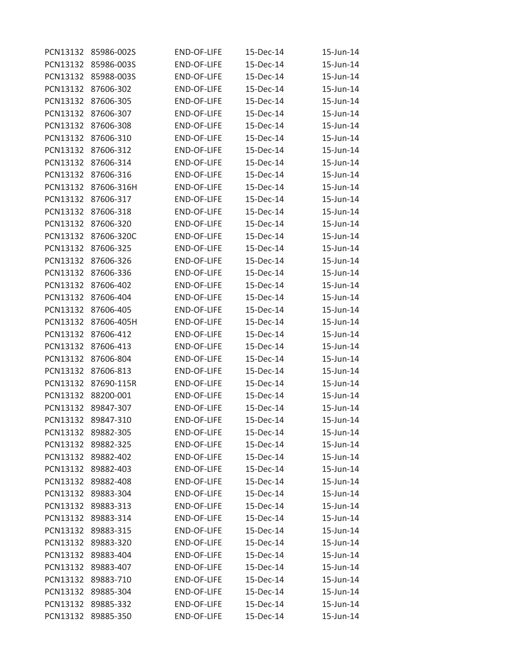| PCN13132 | 85986-002S         | <b>END-OF-LIFE</b> | 15-Dec-14 | 15-Jun-14 |
|----------|--------------------|--------------------|-----------|-----------|
| PCN13132 | 85986-003S         | <b>END-OF-LIFE</b> | 15-Dec-14 | 15-Jun-14 |
| PCN13132 | 85988-003S         | <b>END-OF-LIFE</b> | 15-Dec-14 | 15-Jun-14 |
| PCN13132 | 87606-302          | <b>END-OF-LIFE</b> | 15-Dec-14 | 15-Jun-14 |
| PCN13132 | 87606-305          | <b>END-OF-LIFE</b> | 15-Dec-14 | 15-Jun-14 |
| PCN13132 | 87606-307          | <b>END-OF-LIFE</b> | 15-Dec-14 | 15-Jun-14 |
| PCN13132 | 87606-308          | <b>END-OF-LIFE</b> | 15-Dec-14 | 15-Jun-14 |
| PCN13132 | 87606-310          | <b>END-OF-LIFE</b> | 15-Dec-14 | 15-Jun-14 |
| PCN13132 | 87606-312          | <b>END-OF-LIFE</b> | 15-Dec-14 | 15-Jun-14 |
| PCN13132 | 87606-314          | <b>END-OF-LIFE</b> | 15-Dec-14 | 15-Jun-14 |
| PCN13132 | 87606-316          | <b>END-OF-LIFE</b> | 15-Dec-14 | 15-Jun-14 |
| PCN13132 | 87606-316H         | END-OF-LIFE        | 15-Dec-14 | 15-Jun-14 |
| PCN13132 | 87606-317          | <b>END-OF-LIFE</b> | 15-Dec-14 | 15-Jun-14 |
| PCN13132 | 87606-318          | <b>END-OF-LIFE</b> | 15-Dec-14 | 15-Jun-14 |
| PCN13132 | 87606-320          | <b>END-OF-LIFE</b> | 15-Dec-14 | 15-Jun-14 |
| PCN13132 | 87606-320C         | <b>END-OF-LIFE</b> | 15-Dec-14 | 15-Jun-14 |
| PCN13132 | 87606-325          | <b>END-OF-LIFE</b> | 15-Dec-14 | 15-Jun-14 |
| PCN13132 | 87606-326          | <b>END-OF-LIFE</b> | 15-Dec-14 | 15-Jun-14 |
| PCN13132 | 87606-336          | <b>END-OF-LIFE</b> | 15-Dec-14 | 15-Jun-14 |
| PCN13132 | 87606-402          | <b>END-OF-LIFE</b> | 15-Dec-14 | 15-Jun-14 |
| PCN13132 | 87606-404          | <b>END-OF-LIFE</b> | 15-Dec-14 | 15-Jun-14 |
| PCN13132 | 87606-405          | <b>END-OF-LIFE</b> | 15-Dec-14 | 15-Jun-14 |
| PCN13132 | 87606-405H         | <b>END-OF-LIFE</b> | 15-Dec-14 | 15-Jun-14 |
| PCN13132 | 87606-412          | <b>END-OF-LIFE</b> | 15-Dec-14 | 15-Jun-14 |
| PCN13132 | 87606-413          | <b>END-OF-LIFE</b> | 15-Dec-14 | 15-Jun-14 |
| PCN13132 | 87606-804          | END-OF-LIFE        | 15-Dec-14 | 15-Jun-14 |
| PCN13132 | 87606-813          | <b>END-OF-LIFE</b> | 15-Dec-14 | 15-Jun-14 |
| PCN13132 | 87690-115R         | <b>END-OF-LIFE</b> | 15-Dec-14 | 15-Jun-14 |
| PCN13132 | 88200-001          | <b>END-OF-LIFE</b> | 15-Dec-14 | 15-Jun-14 |
| PCN13132 | 89847-307          | <b>END-OF-LIFE</b> | 15-Dec-14 | 15-Jun-14 |
| PCN13132 | 89847-310          | <b>END-OF-LIFE</b> | 15-Dec-14 | 15-Jun-14 |
|          | PCN13132 89882-305 | <b>END-OF-LIFE</b> | 15-Dec-14 | 15-Jun-14 |
| PCN13132 | 89882-325          | END-OF-LIFE        | 15-Dec-14 | 15-Jun-14 |
|          | PCN13132 89882-402 | END-OF-LIFE        | 15-Dec-14 | 15-Jun-14 |
| PCN13132 | 89882-403          | <b>END-OF-LIFE</b> | 15-Dec-14 | 15-Jun-14 |
| PCN13132 | 89882-408          | END-OF-LIFE        | 15-Dec-14 | 15-Jun-14 |
|          | PCN13132 89883-304 | END-OF-LIFE        | 15-Dec-14 | 15-Jun-14 |
| PCN13132 | 89883-313          | END-OF-LIFE        | 15-Dec-14 | 15-Jun-14 |
|          | PCN13132 89883-314 | END-OF-LIFE        | 15-Dec-14 | 15-Jun-14 |
| PCN13132 | 89883-315          | END-OF-LIFE        | 15-Dec-14 | 15-Jun-14 |
| PCN13132 | 89883-320          | END-OF-LIFE        | 15-Dec-14 | 15-Jun-14 |
| PCN13132 | 89883-404          | <b>END-OF-LIFE</b> | 15-Dec-14 | 15-Jun-14 |
| PCN13132 | 89883-407          | END-OF-LIFE        | 15-Dec-14 | 15-Jun-14 |
|          | PCN13132 89883-710 | <b>END-OF-LIFE</b> | 15-Dec-14 | 15-Jun-14 |
| PCN13132 | 89885-304          | END-OF-LIFE        | 15-Dec-14 | 15-Jun-14 |
|          | PCN13132 89885-332 | END-OF-LIFE        | 15-Dec-14 | 15-Jun-14 |
| PCN13132 | 89885-350          | END-OF-LIFE        | 15-Dec-14 | 15-Jun-14 |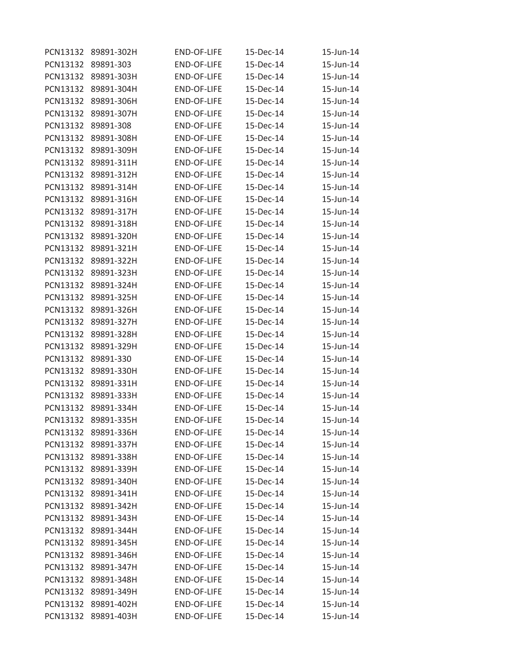| PCN13132 | 89891-302H | <b>END-OF-LIFE</b> | 15-Dec-14 | 15-Jun-14 |
|----------|------------|--------------------|-----------|-----------|
| PCN13132 | 89891-303  | <b>END-OF-LIFE</b> | 15-Dec-14 | 15-Jun-14 |
| PCN13132 | 89891-303H | <b>END-OF-LIFE</b> | 15-Dec-14 | 15-Jun-14 |
| PCN13132 | 89891-304H | <b>END-OF-LIFE</b> | 15-Dec-14 | 15-Jun-14 |
| PCN13132 | 89891-306H | <b>END-OF-LIFE</b> | 15-Dec-14 | 15-Jun-14 |
| PCN13132 | 89891-307H | <b>END-OF-LIFE</b> | 15-Dec-14 | 15-Jun-14 |
| PCN13132 | 89891-308  | <b>END-OF-LIFE</b> | 15-Dec-14 | 15-Jun-14 |
| PCN13132 | 89891-308H | <b>END-OF-LIFE</b> | 15-Dec-14 | 15-Jun-14 |
| PCN13132 | 89891-309H | <b>END-OF-LIFE</b> | 15-Dec-14 | 15-Jun-14 |
| PCN13132 | 89891-311H | <b>END-OF-LIFE</b> | 15-Dec-14 | 15-Jun-14 |
| PCN13132 | 89891-312H | <b>END-OF-LIFE</b> | 15-Dec-14 | 15-Jun-14 |
| PCN13132 | 89891-314H | <b>END-OF-LIFE</b> | 15-Dec-14 | 15-Jun-14 |
| PCN13132 | 89891-316H | <b>END-OF-LIFE</b> | 15-Dec-14 | 15-Jun-14 |
| PCN13132 | 89891-317H | <b>END-OF-LIFE</b> | 15-Dec-14 | 15-Jun-14 |
| PCN13132 | 89891-318H | <b>END-OF-LIFE</b> | 15-Dec-14 | 15-Jun-14 |
| PCN13132 | 89891-320H | <b>END-OF-LIFE</b> | 15-Dec-14 | 15-Jun-14 |
| PCN13132 | 89891-321H | <b>END-OF-LIFE</b> | 15-Dec-14 | 15-Jun-14 |
| PCN13132 | 89891-322H | <b>END-OF-LIFE</b> | 15-Dec-14 | 15-Jun-14 |
| PCN13132 | 89891-323H | END-OF-LIFE        | 15-Dec-14 | 15-Jun-14 |
| PCN13132 | 89891-324H | <b>END-OF-LIFE</b> | 15-Dec-14 | 15-Jun-14 |
| PCN13132 | 89891-325H | <b>END-OF-LIFE</b> | 15-Dec-14 | 15-Jun-14 |
| PCN13132 | 89891-326H | <b>END-OF-LIFE</b> | 15-Dec-14 | 15-Jun-14 |
| PCN13132 | 89891-327H | <b>END-OF-LIFE</b> | 15-Dec-14 | 15-Jun-14 |
| PCN13132 | 89891-328H | <b>END-OF-LIFE</b> | 15-Dec-14 | 15-Jun-14 |
| PCN13132 | 89891-329H | <b>END-OF-LIFE</b> | 15-Dec-14 | 15-Jun-14 |
| PCN13132 | 89891-330  | <b>END-OF-LIFE</b> | 15-Dec-14 | 15-Jun-14 |
| PCN13132 | 89891-330H | <b>END-OF-LIFE</b> | 15-Dec-14 | 15-Jun-14 |
| PCN13132 | 89891-331H | <b>END-OF-LIFE</b> | 15-Dec-14 | 15-Jun-14 |
| PCN13132 | 89891-333H | <b>END-OF-LIFE</b> | 15-Dec-14 | 15-Jun-14 |
| PCN13132 | 89891-334H | <b>END-OF-LIFE</b> | 15-Dec-14 | 15-Jun-14 |
| PCN13132 | 89891-335H | <b>END-OF-LIFE</b> | 15-Dec-14 | 15-Jun-14 |
| PCN13132 | 89891-336H | END-OF-LIFE        | 15-Dec-14 | 15-Jun-14 |
| PCN13132 | 89891-337H | <b>END-OF-LIFE</b> | 15-Dec-14 | 15-Jun-14 |
| PCN13132 | 89891-338H | END-OF-LIFE        | 15-Dec-14 | 15-Jun-14 |
| PCN13132 | 89891-339H | <b>END-OF-LIFE</b> | 15-Dec-14 | 15-Jun-14 |
| PCN13132 | 89891-340H | END-OF-LIFE        | 15-Dec-14 | 15-Jun-14 |
| PCN13132 | 89891-341H | <b>END-OF-LIFE</b> | 15-Dec-14 | 15-Jun-14 |
| PCN13132 | 89891-342H | END-OF-LIFE        | 15-Dec-14 | 15-Jun-14 |
| PCN13132 | 89891-343H | END-OF-LIFE        | 15-Dec-14 | 15-Jun-14 |
| PCN13132 | 89891-344H | <b>END-OF-LIFE</b> | 15-Dec-14 | 15-Jun-14 |
| PCN13132 | 89891-345H | END-OF-LIFE        | 15-Dec-14 | 15-Jun-14 |
| PCN13132 | 89891-346H | <b>END-OF-LIFE</b> | 15-Dec-14 | 15-Jun-14 |
| PCN13132 | 89891-347H | <b>END-OF-LIFE</b> | 15-Dec-14 | 15-Jun-14 |
| PCN13132 | 89891-348H | <b>END-OF-LIFE</b> | 15-Dec-14 | 15-Jun-14 |
| PCN13132 | 89891-349H | END-OF-LIFE        | 15-Dec-14 | 15-Jun-14 |
| PCN13132 | 89891-402H | <b>END-OF-LIFE</b> | 15-Dec-14 | 15-Jun-14 |
| PCN13132 | 89891-403H | <b>END-OF-LIFE</b> | 15-Dec-14 | 15-Jun-14 |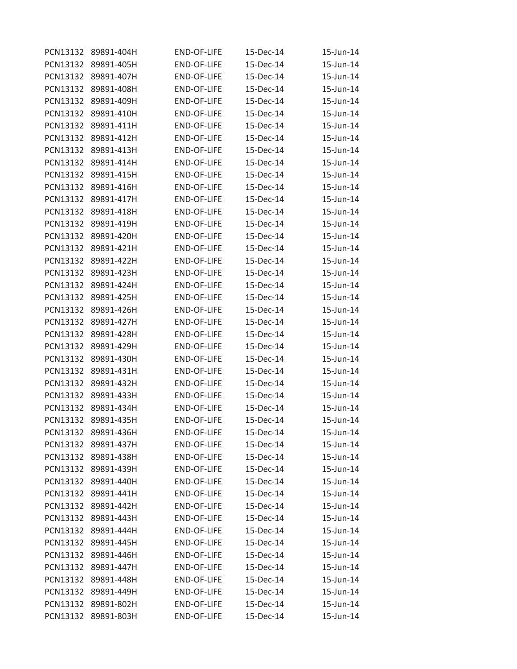| PCN13132 | 89891-404H          | <b>END-OF-LIFE</b> | 15-Dec-14 | 15-Jun-14 |
|----------|---------------------|--------------------|-----------|-----------|
| PCN13132 | 89891-405H          | <b>END-OF-LIFE</b> | 15-Dec-14 | 15-Jun-14 |
| PCN13132 | 89891-407H          | <b>END-OF-LIFE</b> | 15-Dec-14 | 15-Jun-14 |
| PCN13132 | 89891-408H          | <b>END-OF-LIFE</b> | 15-Dec-14 | 15-Jun-14 |
| PCN13132 | 89891-409H          | <b>END-OF-LIFE</b> | 15-Dec-14 | 15-Jun-14 |
| PCN13132 | 89891-410H          | <b>END-OF-LIFE</b> | 15-Dec-14 | 15-Jun-14 |
| PCN13132 | 89891-411H          | <b>END-OF-LIFE</b> | 15-Dec-14 | 15-Jun-14 |
| PCN13132 | 89891-412H          | <b>END-OF-LIFE</b> | 15-Dec-14 | 15-Jun-14 |
| PCN13132 | 89891-413H          | <b>END-OF-LIFE</b> | 15-Dec-14 | 15-Jun-14 |
| PCN13132 | 89891-414H          | <b>END-OF-LIFE</b> | 15-Dec-14 | 15-Jun-14 |
| PCN13132 | 89891-415H          | <b>END-OF-LIFE</b> | 15-Dec-14 | 15-Jun-14 |
| PCN13132 | 89891-416H          | <b>END-OF-LIFE</b> | 15-Dec-14 | 15-Jun-14 |
| PCN13132 | 89891-417H          | <b>END-OF-LIFE</b> | 15-Dec-14 | 15-Jun-14 |
| PCN13132 | 89891-418H          | <b>END-OF-LIFE</b> | 15-Dec-14 | 15-Jun-14 |
| PCN13132 | 89891-419H          | <b>END-OF-LIFE</b> | 15-Dec-14 | 15-Jun-14 |
| PCN13132 | 89891-420H          | END-OF-LIFE        | 15-Dec-14 | 15-Jun-14 |
| PCN13132 | 89891-421H          | <b>END-OF-LIFE</b> | 15-Dec-14 | 15-Jun-14 |
| PCN13132 | 89891-422H          | <b>END-OF-LIFE</b> | 15-Dec-14 | 15-Jun-14 |
| PCN13132 | 89891-423H          | <b>END-OF-LIFE</b> | 15-Dec-14 | 15-Jun-14 |
| PCN13132 | 89891-424H          | <b>END-OF-LIFE</b> | 15-Dec-14 | 15-Jun-14 |
| PCN13132 | 89891-425H          | <b>END-OF-LIFE</b> | 15-Dec-14 | 15-Jun-14 |
| PCN13132 | 89891-426H          | <b>END-OF-LIFE</b> | 15-Dec-14 | 15-Jun-14 |
| PCN13132 | 89891-427H          | <b>END-OF-LIFE</b> | 15-Dec-14 | 15-Jun-14 |
| PCN13132 | 89891-428H          | <b>END-OF-LIFE</b> | 15-Dec-14 | 15-Jun-14 |
| PCN13132 | 89891-429H          | <b>END-OF-LIFE</b> | 15-Dec-14 | 15-Jun-14 |
| PCN13132 | 89891-430H          | <b>END-OF-LIFE</b> | 15-Dec-14 | 15-Jun-14 |
| PCN13132 | 89891-431H          | <b>END-OF-LIFE</b> | 15-Dec-14 | 15-Jun-14 |
| PCN13132 | 89891-432H          | <b>END-OF-LIFE</b> | 15-Dec-14 | 15-Jun-14 |
| PCN13132 | 89891-433H          | <b>END-OF-LIFE</b> | 15-Dec-14 | 15-Jun-14 |
| PCN13132 | 89891-434H          | <b>END-OF-LIFE</b> | 15-Dec-14 | 15-Jun-14 |
| PCN13132 | 89891-435H          | <b>END-OF-LIFE</b> | 15-Dec-14 | 15-Jun-14 |
| PCN13132 | 89891-436H          | <b>END-OF-LIFE</b> | 15-Dec-14 | 15-Jun-14 |
| PCN13132 | 89891-437H          | <b>END-OF-LIFE</b> | 15-Dec-14 | 15-Jun-14 |
| PCN13132 | 89891-438H          | END-OF-LIFE        | 15-Dec-14 | 15-Jun-14 |
| PCN13132 | 89891-439H          | <b>END-OF-LIFE</b> | 15-Dec-14 | 15-Jun-14 |
| PCN13132 | 89891-440H          | END-OF-LIFE        | 15-Dec-14 | 15-Jun-14 |
| PCN13132 | 89891-441H          | END-OF-LIFE        | 15-Dec-14 | 15-Jun-14 |
| PCN13132 | 89891-442H          | END-OF-LIFE        | 15-Dec-14 | 15-Jun-14 |
| PCN13132 | 89891-443H          | <b>END-OF-LIFE</b> | 15-Dec-14 | 15-Jun-14 |
| PCN13132 | 89891-444H          | END-OF-LIFE        | 15-Dec-14 | 15-Jun-14 |
| PCN13132 | 89891-445H          | END-OF-LIFE        | 15-Dec-14 | 15-Jun-14 |
| PCN13132 | 89891-446H          | <b>END-OF-LIFE</b> | 15-Dec-14 | 15-Jun-14 |
| PCN13132 | 89891-447H          | END-OF-LIFE        | 15-Dec-14 | 15-Jun-14 |
|          | PCN13132 89891-448H | <b>END-OF-LIFE</b> | 15-Dec-14 | 15-Jun-14 |
| PCN13132 | 89891-449H          | END-OF-LIFE        | 15-Dec-14 | 15-Jun-14 |
| PCN13132 | 89891-802H          | END-OF-LIFE        | 15-Dec-14 | 15-Jun-14 |
| PCN13132 | 89891-803H          | END-OF-LIFE        | 15-Dec-14 | 15-Jun-14 |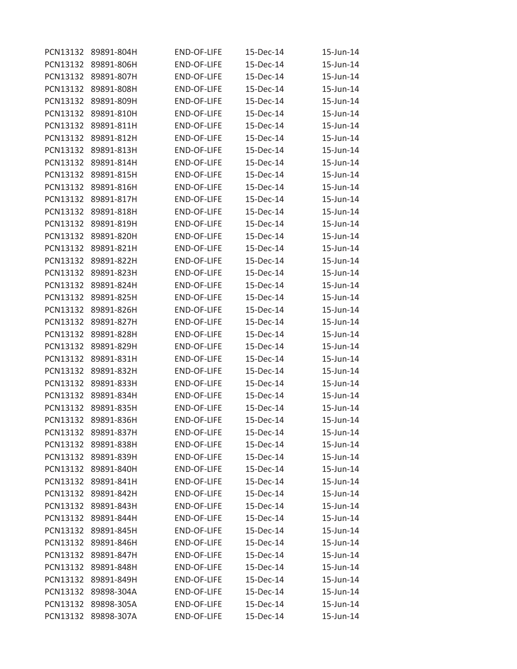| PCN13132 | 89891-804H | <b>END-OF-LIFE</b> | 15-Dec-14 | 15-Jun-14 |
|----------|------------|--------------------|-----------|-----------|
| PCN13132 | 89891-806H | <b>END-OF-LIFE</b> | 15-Dec-14 | 15-Jun-14 |
| PCN13132 | 89891-807H | <b>END-OF-LIFE</b> | 15-Dec-14 | 15-Jun-14 |
| PCN13132 | 89891-808H | <b>END-OF-LIFE</b> | 15-Dec-14 | 15-Jun-14 |
| PCN13132 | 89891-809H | <b>END-OF-LIFE</b> | 15-Dec-14 | 15-Jun-14 |
| PCN13132 | 89891-810H | <b>END-OF-LIFE</b> | 15-Dec-14 | 15-Jun-14 |
| PCN13132 | 89891-811H | <b>END-OF-LIFE</b> | 15-Dec-14 | 15-Jun-14 |
| PCN13132 | 89891-812H | <b>END-OF-LIFE</b> | 15-Dec-14 | 15-Jun-14 |
| PCN13132 | 89891-813H | <b>END-OF-LIFE</b> | 15-Dec-14 | 15-Jun-14 |
| PCN13132 | 89891-814H | <b>END-OF-LIFE</b> | 15-Dec-14 | 15-Jun-14 |
| PCN13132 | 89891-815H | <b>END-OF-LIFE</b> | 15-Dec-14 | 15-Jun-14 |
| PCN13132 | 89891-816H | <b>END-OF-LIFE</b> | 15-Dec-14 | 15-Jun-14 |
| PCN13132 | 89891-817H | <b>END-OF-LIFE</b> | 15-Dec-14 | 15-Jun-14 |
| PCN13132 | 89891-818H | <b>END-OF-LIFE</b> | 15-Dec-14 | 15-Jun-14 |
| PCN13132 | 89891-819H | <b>END-OF-LIFE</b> | 15-Dec-14 | 15-Jun-14 |
| PCN13132 | 89891-820H | <b>END-OF-LIFE</b> | 15-Dec-14 | 15-Jun-14 |
| PCN13132 | 89891-821H | <b>END-OF-LIFE</b> | 15-Dec-14 | 15-Jun-14 |
| PCN13132 | 89891-822H | <b>END-OF-LIFE</b> | 15-Dec-14 | 15-Jun-14 |
| PCN13132 | 89891-823H | END-OF-LIFE        | 15-Dec-14 | 15-Jun-14 |
| PCN13132 | 89891-824H | <b>END-OF-LIFE</b> | 15-Dec-14 | 15-Jun-14 |
| PCN13132 | 89891-825H | <b>END-OF-LIFE</b> | 15-Dec-14 | 15-Jun-14 |
| PCN13132 | 89891-826H | <b>END-OF-LIFE</b> | 15-Dec-14 | 15-Jun-14 |
| PCN13132 | 89891-827H | <b>END-OF-LIFE</b> | 15-Dec-14 | 15-Jun-14 |
| PCN13132 | 89891-828H | <b>END-OF-LIFE</b> | 15-Dec-14 | 15-Jun-14 |
| PCN13132 | 89891-829H | <b>END-OF-LIFE</b> | 15-Dec-14 | 15-Jun-14 |
| PCN13132 | 89891-831H | <b>END-OF-LIFE</b> | 15-Dec-14 | 15-Jun-14 |
| PCN13132 | 89891-832H | <b>END-OF-LIFE</b> | 15-Dec-14 | 15-Jun-14 |
| PCN13132 | 89891-833H | <b>END-OF-LIFE</b> | 15-Dec-14 | 15-Jun-14 |
| PCN13132 | 89891-834H | <b>END-OF-LIFE</b> | 15-Dec-14 | 15-Jun-14 |
| PCN13132 | 89891-835H | <b>END-OF-LIFE</b> | 15-Dec-14 | 15-Jun-14 |
| PCN13132 | 89891-836H | <b>END-OF-LIFE</b> | 15-Dec-14 | 15-Jun-14 |
| PCN13132 | 89891-837H | END-OF-LIFE        | 15-Dec-14 | 15-Jun-14 |
| PCN13132 | 89891-838H | <b>END-OF-LIFE</b> | 15-Dec-14 | 15-Jun-14 |
| PCN13132 | 89891-839H | END-OF-LIFE        | 15-Dec-14 | 15-Jun-14 |
| PCN13132 | 89891-840H | <b>END-OF-LIFE</b> | 15-Dec-14 | 15-Jun-14 |
| PCN13132 | 89891-841H | END-OF-LIFE        | 15-Dec-14 | 15-Jun-14 |
| PCN13132 | 89891-842H | END-OF-LIFE        | 15-Dec-14 | 15-Jun-14 |
| PCN13132 | 89891-843H | END-OF-LIFE        | 15-Dec-14 | 15-Jun-14 |
| PCN13132 | 89891-844H | END-OF-LIFE        | 15-Dec-14 | 15-Jun-14 |
| PCN13132 | 89891-845H | END-OF-LIFE        | 15-Dec-14 | 15-Jun-14 |
| PCN13132 | 89891-846H | END-OF-LIFE        | 15-Dec-14 | 15-Jun-14 |
| PCN13132 | 89891-847H | <b>END-OF-LIFE</b> | 15-Dec-14 | 15-Jun-14 |
| PCN13132 | 89891-848H | <b>END-OF-LIFE</b> | 15-Dec-14 | 15-Jun-14 |
| PCN13132 | 89891-849H | <b>END-OF-LIFE</b> | 15-Dec-14 | 15-Jun-14 |
| PCN13132 | 89898-304A | END-OF-LIFE        | 15-Dec-14 | 15-Jun-14 |
| PCN13132 | 89898-305A | <b>END-OF-LIFE</b> | 15-Dec-14 | 15-Jun-14 |
| PCN13132 | 89898-307A | <b>END-OF-LIFE</b> | 15-Dec-14 | 15-Jun-14 |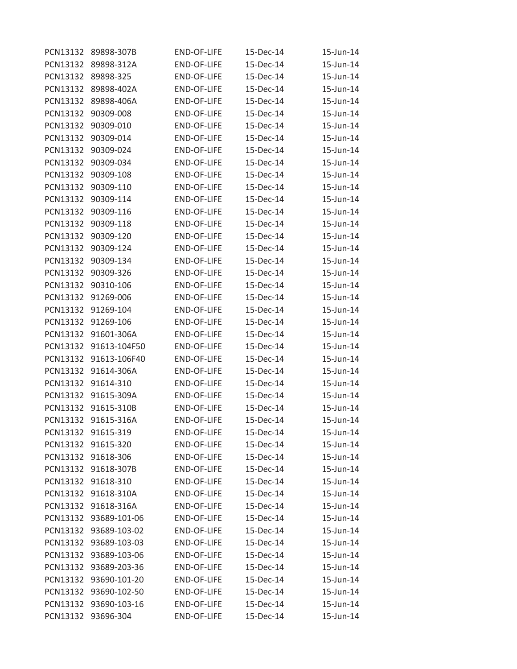| PCN13132 | 89898-307B            | <b>END-OF-LIFE</b> | 15-Dec-14 | 15-Jun-14 |
|----------|-----------------------|--------------------|-----------|-----------|
| PCN13132 | 89898-312A            | <b>END-OF-LIFE</b> | 15-Dec-14 | 15-Jun-14 |
| PCN13132 | 89898-325             | <b>END-OF-LIFE</b> | 15-Dec-14 | 15-Jun-14 |
| PCN13132 | 89898-402A            | <b>END-OF-LIFE</b> | 15-Dec-14 | 15-Jun-14 |
| PCN13132 | 89898-406A            | <b>END-OF-LIFE</b> | 15-Dec-14 | 15-Jun-14 |
| PCN13132 | 90309-008             | <b>END-OF-LIFE</b> | 15-Dec-14 | 15-Jun-14 |
| PCN13132 | 90309-010             | <b>END-OF-LIFE</b> | 15-Dec-14 | 15-Jun-14 |
| PCN13132 | 90309-014             | <b>END-OF-LIFE</b> | 15-Dec-14 | 15-Jun-14 |
| PCN13132 | 90309-024             | <b>END-OF-LIFE</b> | 15-Dec-14 | 15-Jun-14 |
| PCN13132 | 90309-034             | <b>END-OF-LIFE</b> | 15-Dec-14 | 15-Jun-14 |
| PCN13132 | 90309-108             | <b>END-OF-LIFE</b> | 15-Dec-14 | 15-Jun-14 |
| PCN13132 | 90309-110             | <b>END-OF-LIFE</b> | 15-Dec-14 | 15-Jun-14 |
| PCN13132 | 90309-114             | <b>END-OF-LIFE</b> | 15-Dec-14 | 15-Jun-14 |
| PCN13132 | 90309-116             | <b>END-OF-LIFE</b> | 15-Dec-14 | 15-Jun-14 |
| PCN13132 | 90309-118             | <b>END-OF-LIFE</b> | 15-Dec-14 | 15-Jun-14 |
| PCN13132 | 90309-120             | <b>END-OF-LIFE</b> | 15-Dec-14 | 15-Jun-14 |
| PCN13132 | 90309-124             | <b>END-OF-LIFE</b> | 15-Dec-14 | 15-Jun-14 |
| PCN13132 | 90309-134             | <b>END-OF-LIFE</b> | 15-Dec-14 | 15-Jun-14 |
| PCN13132 | 90309-326             | <b>END-OF-LIFE</b> | 15-Dec-14 | 15-Jun-14 |
| PCN13132 | 90310-106             | <b>END-OF-LIFE</b> | 15-Dec-14 | 15-Jun-14 |
| PCN13132 | 91269-006             | <b>END-OF-LIFE</b> | 15-Dec-14 | 15-Jun-14 |
| PCN13132 | 91269-104             | <b>END-OF-LIFE</b> | 15-Dec-14 | 15-Jun-14 |
| PCN13132 | 91269-106             | <b>END-OF-LIFE</b> | 15-Dec-14 | 15-Jun-14 |
| PCN13132 | 91601-306A            | <b>END-OF-LIFE</b> | 15-Dec-14 | 15-Jun-14 |
| PCN13132 | 91613-104F50          | <b>END-OF-LIFE</b> | 15-Dec-14 | 15-Jun-14 |
| PCN13132 | 91613-106F40          | <b>END-OF-LIFE</b> | 15-Dec-14 | 15-Jun-14 |
| PCN13132 | 91614-306A            | <b>END-OF-LIFE</b> | 15-Dec-14 | 15-Jun-14 |
| PCN13132 | 91614-310             | <b>END-OF-LIFE</b> | 15-Dec-14 | 15-Jun-14 |
| PCN13132 | 91615-309A            | <b>END-OF-LIFE</b> | 15-Dec-14 | 15-Jun-14 |
| PCN13132 | 91615-310B            | END-OF-LIFE        | 15-Dec-14 | 15-Jun-14 |
| PCN13132 | 91615-316A            | <b>END-OF-LIFE</b> | 15-Dec-14 | 15-Jun-14 |
|          | PCN13132 91615-319    | END-OF-LIFE        | 15-Dec-14 | 15-Jun-14 |
| PCN13132 | 91615-320             | <b>END-OF-LIFE</b> | 15-Dec-14 | 15-Jun-14 |
|          | PCN13132 91618-306    | END-OF-LIFE        | 15-Dec-14 | 15-Jun-14 |
|          | PCN13132 91618-307B   | END-OF-LIFE        | 15-Dec-14 | 15-Jun-14 |
| PCN13132 | 91618-310             | END-OF-LIFE        | 15-Dec-14 | 15-Jun-14 |
|          | PCN13132 91618-310A   | END-OF-LIFE        | 15-Dec-14 | 15-Jun-14 |
| PCN13132 | 91618-316A            | END-OF-LIFE        | 15-Dec-14 | 15-Jun-14 |
|          | PCN13132 93689-101-06 | END-OF-LIFE        | 15-Dec-14 | 15-Jun-14 |
| PCN13132 | 93689-103-02          | END-OF-LIFE        | 15-Dec-14 | 15-Jun-14 |
| PCN13132 | 93689-103-03          | END-OF-LIFE        | 15-Dec-14 | 15-Jun-14 |
| PCN13132 | 93689-103-06          | END-OF-LIFE        | 15-Dec-14 | 15-Jun-14 |
| PCN13132 | 93689-203-36          | END-OF-LIFE        | 15-Dec-14 | 15-Jun-14 |
|          | PCN13132 93690-101-20 | END-OF-LIFE        | 15-Dec-14 | 15-Jun-14 |
| PCN13132 | 93690-102-50          | END-OF-LIFE        | 15-Dec-14 | 15-Jun-14 |
|          | PCN13132 93690-103-16 | END-OF-LIFE        | 15-Dec-14 | 15-Jun-14 |
| PCN13132 | 93696-304             | END-OF-LIFE        | 15-Dec-14 | 15-Jun-14 |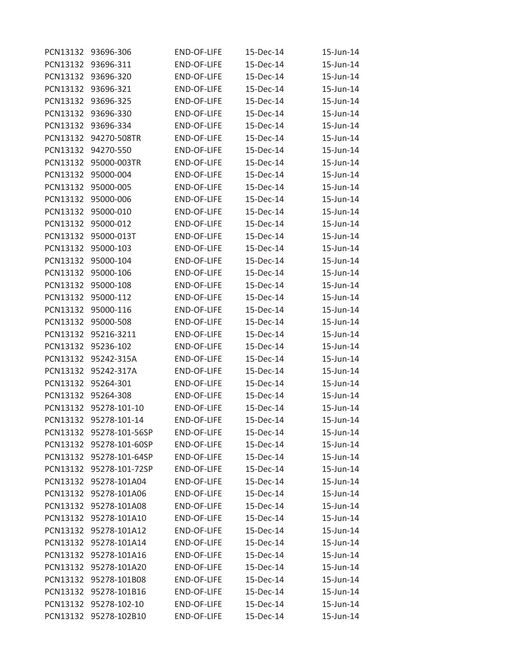| PCN13132 | 93696-306               | <b>END-OF-LIFE</b> | 15-Dec-14 | 15-Jun-14 |
|----------|-------------------------|--------------------|-----------|-----------|
| PCN13132 | 93696-311               | <b>END-OF-LIFE</b> | 15-Dec-14 | 15-Jun-14 |
| PCN13132 | 93696-320               | <b>END-OF-LIFE</b> | 15-Dec-14 | 15-Jun-14 |
| PCN13132 | 93696-321               | <b>END-OF-LIFE</b> | 15-Dec-14 | 15-Jun-14 |
| PCN13132 | 93696-325               | <b>END-OF-LIFE</b> | 15-Dec-14 | 15-Jun-14 |
| PCN13132 | 93696-330               | <b>END-OF-LIFE</b> | 15-Dec-14 | 15-Jun-14 |
| PCN13132 | 93696-334               | <b>END-OF-LIFE</b> | 15-Dec-14 | 15-Jun-14 |
| PCN13132 | 94270-508TR             | END-OF-LIFE        | 15-Dec-14 | 15-Jun-14 |
| PCN13132 | 94270-550               | <b>END-OF-LIFE</b> | 15-Dec-14 | 15-Jun-14 |
| PCN13132 | 95000-003TR             | <b>END-OF-LIFE</b> | 15-Dec-14 | 15-Jun-14 |
| PCN13132 | 95000-004               | <b>END-OF-LIFE</b> | 15-Dec-14 | 15-Jun-14 |
| PCN13132 | 95000-005               | END-OF-LIFE        | 15-Dec-14 | 15-Jun-14 |
| PCN13132 | 95000-006               | <b>END-OF-LIFE</b> | 15-Dec-14 | 15-Jun-14 |
| PCN13132 | 95000-010               | <b>END-OF-LIFE</b> | 15-Dec-14 | 15-Jun-14 |
| PCN13132 | 95000-012               | <b>END-OF-LIFE</b> | 15-Dec-14 | 15-Jun-14 |
| PCN13132 | 95000-013T              | END-OF-LIFE        | 15-Dec-14 | 15-Jun-14 |
| PCN13132 | 95000-103               | END-OF-LIFE        | 15-Dec-14 | 15-Jun-14 |
| PCN13132 | 95000-104               | <b>END-OF-LIFE</b> | 15-Dec-14 | 15-Jun-14 |
| PCN13132 | 95000-106               | <b>END-OF-LIFE</b> | 15-Dec-14 | 15-Jun-14 |
| PCN13132 | 95000-108               | END-OF-LIFE        | 15-Dec-14 | 15-Jun-14 |
| PCN13132 | 95000-112               | <b>END-OF-LIFE</b> | 15-Dec-14 | 15-Jun-14 |
| PCN13132 | 95000-116               | <b>END-OF-LIFE</b> | 15-Dec-14 | 15-Jun-14 |
| PCN13132 | 95000-508               | <b>END-OF-LIFE</b> | 15-Dec-14 | 15-Jun-14 |
| PCN13132 | 95216-3211              | <b>END-OF-LIFE</b> | 15-Dec-14 | 15-Jun-14 |
| PCN13132 | 95236-102               | <b>END-OF-LIFE</b> | 15-Dec-14 | 15-Jun-14 |
| PCN13132 | 95242-315A              | END-OF-LIFE        | 15-Dec-14 | 15-Jun-14 |
| PCN13132 | 95242-317A              | END-OF-LIFE        | 15-Dec-14 | 15-Jun-14 |
| PCN13132 | 95264-301               | <b>END-OF-LIFE</b> | 15-Dec-14 | 15-Jun-14 |
| PCN13132 | 95264-308               | <b>END-OF-LIFE</b> | 15-Dec-14 | 15-Jun-14 |
| PCN13132 | 95278-101-10            | <b>END-OF-LIFE</b> | 15-Dec-14 | 15-Jun-14 |
| PCN13132 | 95278-101-14            | <b>END-OF-LIFE</b> | 15-Dec-14 | 15-Jun-14 |
|          | PCN13132 95278-101-56SP | <b>END-OF-LIFE</b> | 15-Dec-14 | 15-Jun-14 |
| PCN13132 | 95278-101-60SP          | END-OF-LIFE        | 15-Dec-14 | 15-Jun-14 |
|          | PCN13132 95278-101-64SP | END-OF-LIFE        | 15-Dec-14 | 15-Jun-14 |
| PCN13132 | 95278-101-72SP          | <b>END-OF-LIFE</b> | 15-Dec-14 | 15-Jun-14 |
| PCN13132 | 95278-101A04            | END-OF-LIFE        | 15-Dec-14 | 15-Jun-14 |
|          | PCN13132 95278-101A06   | END-OF-LIFE        | 15-Dec-14 | 15-Jun-14 |
|          | PCN13132 95278-101A08   | END-OF-LIFE        | 15-Dec-14 | 15-Jun-14 |
|          | PCN13132 95278-101A10   | END-OF-LIFE        | 15-Dec-14 | 15-Jun-14 |
| PCN13132 | 95278-101A12            | END-OF-LIFE        | 15-Dec-14 | 15-Jun-14 |
|          | PCN13132 95278-101A14   | <b>END-OF-LIFE</b> | 15-Dec-14 | 15-Jun-14 |
| PCN13132 | 95278-101A16            | <b>END-OF-LIFE</b> | 15-Dec-14 | 15-Jun-14 |
|          | PCN13132 95278-101A20   | END-OF-LIFE        | 15-Dec-14 | 15-Jun-14 |
|          | PCN13132 95278-101B08   | <b>END-OF-LIFE</b> | 15-Dec-14 | 15-Jun-14 |
| PCN13132 | 95278-101B16            | END-OF-LIFE        | 15-Dec-14 | 15-Jun-14 |
|          | PCN13132 95278-102-10   | END-OF-LIFE        | 15-Dec-14 | 15-Jun-14 |
| PCN13132 | 95278-102B10            | END-OF-LIFE        | 15-Dec-14 | 15-Jun-14 |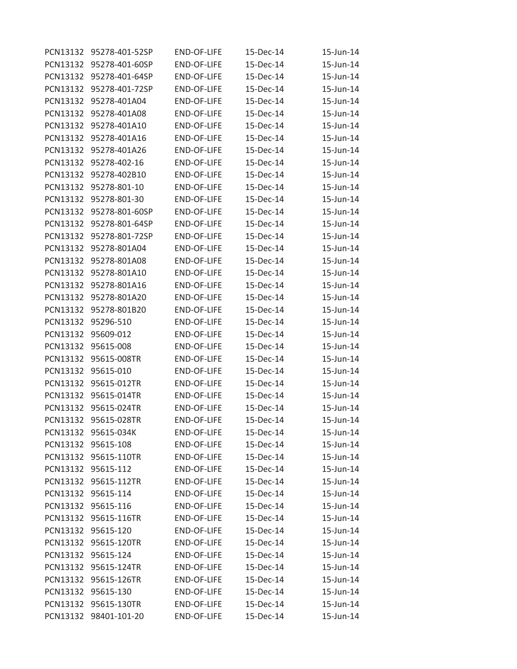| PCN13132 | 95278-401-52SP        | <b>END-OF-LIFE</b> | 15-Dec-14 | 15-Jun-14 |
|----------|-----------------------|--------------------|-----------|-----------|
| PCN13132 | 95278-401-60SP        | <b>END-OF-LIFE</b> | 15-Dec-14 | 15-Jun-14 |
| PCN13132 | 95278-401-64SP        | <b>END-OF-LIFE</b> | 15-Dec-14 | 15-Jun-14 |
| PCN13132 | 95278-401-72SP        | <b>END-OF-LIFE</b> | 15-Dec-14 | 15-Jun-14 |
| PCN13132 | 95278-401A04          | <b>END-OF-LIFE</b> | 15-Dec-14 | 15-Jun-14 |
| PCN13132 | 95278-401A08          | <b>END-OF-LIFE</b> | 15-Dec-14 | 15-Jun-14 |
| PCN13132 | 95278-401A10          | <b>END-OF-LIFE</b> | 15-Dec-14 | 15-Jun-14 |
| PCN13132 | 95278-401A16          | <b>END-OF-LIFE</b> | 15-Dec-14 | 15-Jun-14 |
| PCN13132 | 95278-401A26          | <b>END-OF-LIFE</b> | 15-Dec-14 | 15-Jun-14 |
| PCN13132 | 95278-402-16          | <b>END-OF-LIFE</b> | 15-Dec-14 | 15-Jun-14 |
| PCN13132 | 95278-402B10          | <b>END-OF-LIFE</b> | 15-Dec-14 | 15-Jun-14 |
| PCN13132 | 95278-801-10          | <b>END-OF-LIFE</b> | 15-Dec-14 | 15-Jun-14 |
| PCN13132 | 95278-801-30          | <b>END-OF-LIFE</b> | 15-Dec-14 | 15-Jun-14 |
| PCN13132 | 95278-801-60SP        | <b>END-OF-LIFE</b> | 15-Dec-14 | 15-Jun-14 |
| PCN13132 | 95278-801-64SP        | <b>END-OF-LIFE</b> | 15-Dec-14 | 15-Jun-14 |
| PCN13132 | 95278-801-72SP        | <b>END-OF-LIFE</b> | 15-Dec-14 | 15-Jun-14 |
| PCN13132 | 95278-801A04          | <b>END-OF-LIFE</b> | 15-Dec-14 | 15-Jun-14 |
| PCN13132 | 95278-801A08          | <b>END-OF-LIFE</b> | 15-Dec-14 | 15-Jun-14 |
| PCN13132 | 95278-801A10          | <b>END-OF-LIFE</b> | 15-Dec-14 | 15-Jun-14 |
| PCN13132 | 95278-801A16          | <b>END-OF-LIFE</b> | 15-Dec-14 | 15-Jun-14 |
| PCN13132 | 95278-801A20          | <b>END-OF-LIFE</b> | 15-Dec-14 | 15-Jun-14 |
| PCN13132 | 95278-801B20          | <b>END-OF-LIFE</b> | 15-Dec-14 | 15-Jun-14 |
| PCN13132 | 95296-510             | <b>END-OF-LIFE</b> | 15-Dec-14 | 15-Jun-14 |
| PCN13132 | 95609-012             | <b>END-OF-LIFE</b> | 15-Dec-14 | 15-Jun-14 |
| PCN13132 | 95615-008             | <b>END-OF-LIFE</b> | 15-Dec-14 | 15-Jun-14 |
| PCN13132 | 95615-008TR           | <b>END-OF-LIFE</b> | 15-Dec-14 | 15-Jun-14 |
| PCN13132 | 95615-010             | <b>END-OF-LIFE</b> | 15-Dec-14 | 15-Jun-14 |
| PCN13132 | 95615-012TR           | <b>END-OF-LIFE</b> | 15-Dec-14 | 15-Jun-14 |
| PCN13132 | 95615-014TR           | <b>END-OF-LIFE</b> | 15-Dec-14 | 15-Jun-14 |
| PCN13132 | 95615-024TR           | <b>END-OF-LIFE</b> | 15-Dec-14 | 15-Jun-14 |
| PCN13132 | 95615-028TR           | <b>END-OF-LIFE</b> | 15-Dec-14 | 15-Jun-14 |
|          | PCN13132 95615-034K   | END-OF-LIFE        | 15-Dec-14 | 15-Jun-14 |
| PCN13132 | 95615-108             | END-OF-LIFE        | 15-Dec-14 | 15-Jun-14 |
|          | PCN13132 95615-110TR  | END-OF-LIFE        | 15-Dec-14 | 15-Jun-14 |
|          | PCN13132 95615-112    | <b>END-OF-LIFE</b> | 15-Dec-14 | 15-Jun-14 |
|          | PCN13132 95615-112TR  | END-OF-LIFE        | 15-Dec-14 | 15-Jun-14 |
|          | PCN13132 95615-114    | END-OF-LIFE        | 15-Dec-14 | 15-Jun-14 |
|          | PCN13132 95615-116    | END-OF-LIFE        | 15-Dec-14 | 15-Jun-14 |
|          | PCN13132 95615-116TR  | END-OF-LIFE        | 15-Dec-14 | 15-Jun-14 |
|          | PCN13132 95615-120    | END-OF-LIFE        | 15-Dec-14 | 15-Jun-14 |
| PCN13132 | 95615-120TR           | END-OF-LIFE        | 15-Dec-14 | 15-Jun-14 |
|          | PCN13132 95615-124    | END-OF-LIFE        | 15-Dec-14 | 15-Jun-14 |
|          | PCN13132 95615-124TR  | END-OF-LIFE        | 15-Dec-14 | 15-Jun-14 |
|          | PCN13132 95615-126TR  | END-OF-LIFE        | 15-Dec-14 | 15-Jun-14 |
|          | PCN13132 95615-130    | END-OF-LIFE        | 15-Dec-14 | 15-Jun-14 |
|          | PCN13132 95615-130TR  | END-OF-LIFE        | 15-Dec-14 | 15-Jun-14 |
|          | PCN13132 98401-101-20 | END-OF-LIFE        | 15-Dec-14 | 15-Jun-14 |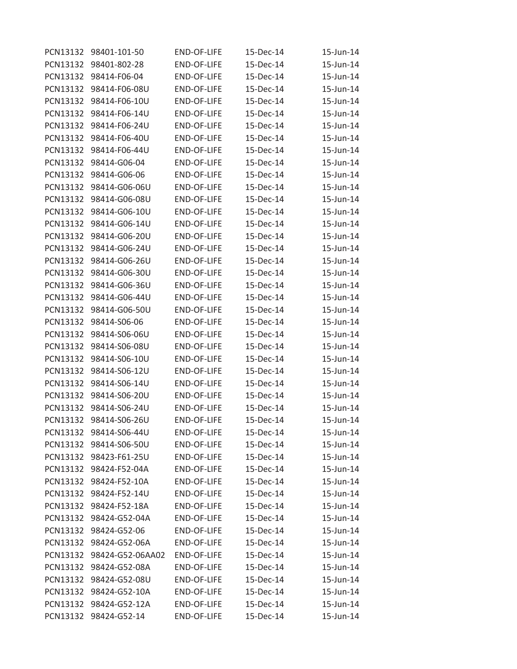| PCN13132 | 98401-101-50           | <b>END-OF-LIFE</b> | 15-Dec-14 | 15-Jun-14 |
|----------|------------------------|--------------------|-----------|-----------|
| PCN13132 | 98401-802-28           | <b>END-OF-LIFE</b> | 15-Dec-14 | 15-Jun-14 |
| PCN13132 | 98414-F06-04           | <b>END-OF-LIFE</b> | 15-Dec-14 | 15-Jun-14 |
| PCN13132 | 98414-F06-08U          | <b>END-OF-LIFE</b> | 15-Dec-14 | 15-Jun-14 |
| PCN13132 | 98414-F06-10U          | <b>END-OF-LIFE</b> | 15-Dec-14 | 15-Jun-14 |
| PCN13132 | 98414-F06-14U          | <b>END-OF-LIFE</b> | 15-Dec-14 | 15-Jun-14 |
| PCN13132 | 98414-F06-24U          | <b>END-OF-LIFE</b> | 15-Dec-14 | 15-Jun-14 |
| PCN13132 | 98414-F06-40U          | END-OF-LIFE        | 15-Dec-14 | 15-Jun-14 |
| PCN13132 | 98414-F06-44U          | <b>END-OF-LIFE</b> | 15-Dec-14 | 15-Jun-14 |
| PCN13132 | 98414-G06-04           | <b>END-OF-LIFE</b> | 15-Dec-14 | 15-Jun-14 |
| PCN13132 | 98414-G06-06           | <b>END-OF-LIFE</b> | 15-Dec-14 | 15-Jun-14 |
| PCN13132 | 98414-G06-06U          | END-OF-LIFE        | 15-Dec-14 | 15-Jun-14 |
| PCN13132 | 98414-G06-08U          | <b>END-OF-LIFE</b> | 15-Dec-14 | 15-Jun-14 |
| PCN13132 | 98414-G06-10U          | <b>END-OF-LIFE</b> | 15-Dec-14 | 15-Jun-14 |
| PCN13132 | 98414-G06-14U          | <b>END-OF-LIFE</b> | 15-Dec-14 | 15-Jun-14 |
| PCN13132 | 98414-G06-20U          | END-OF-LIFE        | 15-Dec-14 | 15-Jun-14 |
| PCN13132 | 98414-G06-24U          | <b>END-OF-LIFE</b> | 15-Dec-14 | 15-Jun-14 |
| PCN13132 | 98414-G06-26U          | <b>END-OF-LIFE</b> | 15-Dec-14 | 15-Jun-14 |
| PCN13132 | 98414-G06-30U          | <b>END-OF-LIFE</b> | 15-Dec-14 | 15-Jun-14 |
| PCN13132 | 98414-G06-36U          | <b>END-OF-LIFE</b> | 15-Dec-14 | 15-Jun-14 |
| PCN13132 | 98414-G06-44U          | <b>END-OF-LIFE</b> | 15-Dec-14 | 15-Jun-14 |
| PCN13132 | 98414-G06-50U          | <b>END-OF-LIFE</b> | 15-Dec-14 | 15-Jun-14 |
| PCN13132 | 98414-S06-06           | <b>END-OF-LIFE</b> | 15-Dec-14 | 15-Jun-14 |
| PCN13132 | 98414-S06-06U          | <b>END-OF-LIFE</b> | 15-Dec-14 | 15-Jun-14 |
| PCN13132 | 98414-S06-08U          | <b>END-OF-LIFE</b> | 15-Dec-14 | 15-Jun-14 |
| PCN13132 | 98414-S06-10U          | END-OF-LIFE        | 15-Dec-14 | 15-Jun-14 |
| PCN13132 | 98414-S06-12U          | END-OF-LIFE        | 15-Dec-14 | 15-Jun-14 |
| PCN13132 | 98414-S06-14U          | <b>END-OF-LIFE</b> | 15-Dec-14 | 15-Jun-14 |
| PCN13132 | 98414-S06-20U          | <b>END-OF-LIFE</b> | 15-Dec-14 | 15-Jun-14 |
| PCN13132 | 98414-S06-24U          | END-OF-LIFE        | 15-Dec-14 | 15-Jun-14 |
| PCN13132 | 98414-S06-26U          | <b>END-OF-LIFE</b> | 15-Dec-14 | 15-Jun-14 |
|          | PCN13132 98414-S06-44U | END-OF-LIFE        | 15-Dec-14 | 15-Jun-14 |
| PCN13132 | 98414-S06-50U          | END-OF-LIFE        | 15-Dec-14 | 15-Jun-14 |
|          | PCN13132 98423-F61-25U | END-OF-LIFE        | 15-Dec-14 | 15-Jun-14 |
| PCN13132 | 98424-F52-04A          | <b>END-OF-LIFE</b> | 15-Dec-14 | 15-Jun-14 |
| PCN13132 | 98424-F52-10A          | END-OF-LIFE        | 15-Dec-14 | 15-Jun-14 |
|          | PCN13132 98424-F52-14U | END-OF-LIFE        | 15-Dec-14 | 15-Jun-14 |
|          | PCN13132 98424-F52-18A | END-OF-LIFE        | 15-Dec-14 | 15-Jun-14 |
|          | PCN13132 98424-G52-04A | END-OF-LIFE        | 15-Dec-14 | 15-Jun-14 |
| PCN13132 | 98424-G52-06           | <b>END-OF-LIFE</b> | 15-Dec-14 | 15-Jun-14 |
| PCN13132 | 98424-G52-06A          | END-OF-LIFE        | 15-Dec-14 | 15-Jun-14 |
| PCN13132 | 98424-G52-06AA02       | END-OF-LIFE        | 15-Dec-14 | 15-Jun-14 |
|          | PCN13132 98424-G52-08A | END-OF-LIFE        | 15-Dec-14 | 15-Jun-14 |
|          | PCN13132 98424-G52-08U | END-OF-LIFE        | 15-Dec-14 | 15-Jun-14 |
| PCN13132 | 98424-G52-10A          | END-OF-LIFE        | 15-Dec-14 | 15-Jun-14 |
|          | PCN13132 98424-G52-12A | END-OF-LIFE        | 15-Dec-14 | 15-Jun-14 |
|          | PCN13132 98424-G52-14  | END-OF-LIFE        | 15-Dec-14 | 15-Jun-14 |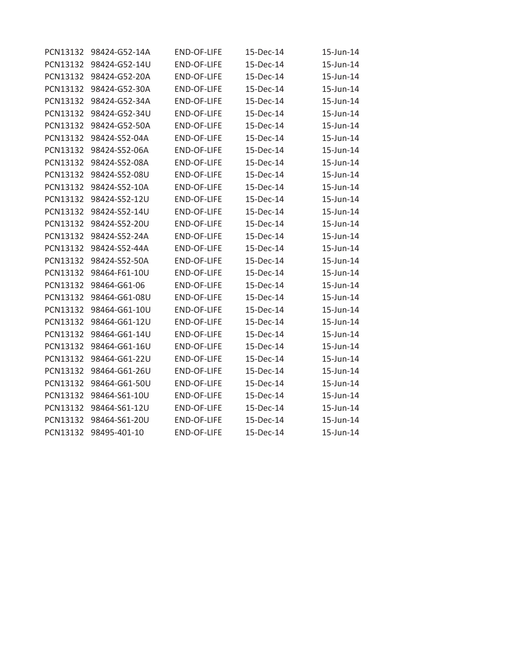| PCN13132 | 98424-G52-14A | <b>END-OF-LIFE</b> | 15-Dec-14 | 15-Jun-14 |
|----------|---------------|--------------------|-----------|-----------|
| PCN13132 | 98424-G52-14U | <b>END-OF-LIFE</b> | 15-Dec-14 | 15-Jun-14 |
| PCN13132 | 98424-G52-20A | <b>END-OF-LIFE</b> | 15-Dec-14 | 15-Jun-14 |
| PCN13132 | 98424-G52-30A | <b>END-OF-LIFE</b> | 15-Dec-14 | 15-Jun-14 |
| PCN13132 | 98424-G52-34A | END-OF-LIFE        | 15-Dec-14 | 15-Jun-14 |
| PCN13132 | 98424-G52-34U | <b>END-OF-LIFE</b> | 15-Dec-14 | 15-Jun-14 |
| PCN13132 | 98424-G52-50A | <b>END-OF-LIFE</b> | 15-Dec-14 | 15-Jun-14 |
| PCN13132 | 98424-S52-04A | <b>END-OF-LIFE</b> | 15-Dec-14 | 15-Jun-14 |
| PCN13132 | 98424-S52-06A | <b>END-OF-LIFE</b> | 15-Dec-14 | 15-Jun-14 |
| PCN13132 | 98424-S52-08A | <b>END-OF-LIFE</b> | 15-Dec-14 | 15-Jun-14 |
| PCN13132 | 98424-S52-08U | <b>END-OF-LIFE</b> | 15-Dec-14 | 15-Jun-14 |
| PCN13132 | 98424-S52-10A | <b>END-OF-LIFE</b> | 15-Dec-14 | 15-Jun-14 |
| PCN13132 | 98424-S52-12U | END-OF-LIFE        | 15-Dec-14 | 15-Jun-14 |
| PCN13132 | 98424-S52-14U | <b>END-OF-LIFE</b> | 15-Dec-14 | 15-Jun-14 |
| PCN13132 | 98424-S52-20U | <b>END-OF-LIFE</b> | 15-Dec-14 | 15-Jun-14 |
| PCN13132 | 98424-S52-24A | <b>END-OF-LIFE</b> | 15-Dec-14 | 15-Jun-14 |
| PCN13132 | 98424-S52-44A | <b>END-OF-LIFE</b> | 15-Dec-14 | 15-Jun-14 |
| PCN13132 | 98424-S52-50A | <b>END-OF-LIFE</b> | 15-Dec-14 | 15-Jun-14 |
| PCN13132 | 98464-F61-10U | <b>END-OF-LIFE</b> | 15-Dec-14 | 15-Jun-14 |
| PCN13132 | 98464-G61-06  | <b>END-OF-LIFE</b> | 15-Dec-14 | 15-Jun-14 |
| PCN13132 | 98464-G61-08U | <b>END-OF-LIFE</b> | 15-Dec-14 | 15-Jun-14 |
| PCN13132 | 98464-G61-10U | <b>END-OF-LIFE</b> | 15-Dec-14 | 15-Jun-14 |
| PCN13132 | 98464-G61-12U | <b>END-OF-LIFE</b> | 15-Dec-14 | 15-Jun-14 |
| PCN13132 | 98464-G61-14U | <b>END-OF-LIFE</b> | 15-Dec-14 | 15-Jun-14 |
| PCN13132 | 98464-G61-16U | <b>END-OF-LIFE</b> | 15-Dec-14 | 15-Jun-14 |
| PCN13132 | 98464-G61-22U | <b>END-OF-LIFE</b> | 15-Dec-14 | 15-Jun-14 |
| PCN13132 | 98464-G61-26U | <b>END-OF-LIFE</b> | 15-Dec-14 | 15-Jun-14 |
| PCN13132 | 98464-G61-50U | <b>END-OF-LIFE</b> | 15-Dec-14 | 15-Jun-14 |
| PCN13132 | 98464-S61-10U | <b>END-OF-LIFE</b> | 15-Dec-14 | 15-Jun-14 |
| PCN13132 | 98464-S61-12U | <b>END-OF-LIFE</b> | 15-Dec-14 | 15-Jun-14 |
| PCN13132 | 98464-S61-20U | <b>END-OF-LIFE</b> | 15-Dec-14 | 15-Jun-14 |
| PCN13132 | 98495-401-10  | <b>END-OF-LIFE</b> | 15-Dec-14 | 15-Jun-14 |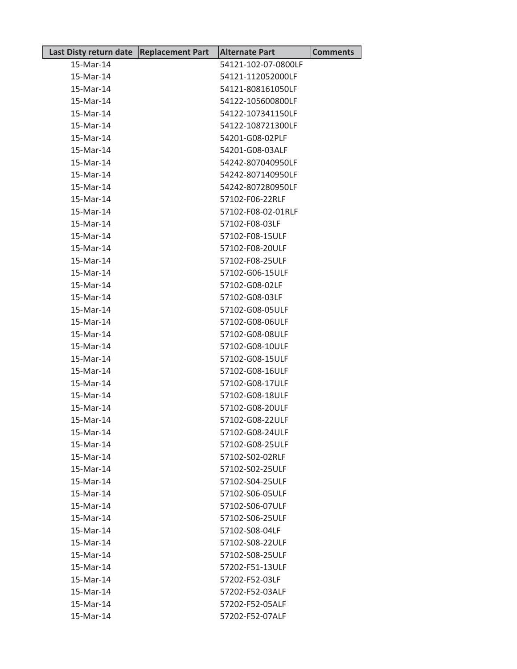| Last Disty return date   Replacement Part | <b>Alternate Part</b> | <b>Comments</b> |
|-------------------------------------------|-----------------------|-----------------|
| 15-Mar-14                                 | 54121-102-07-0800LF   |                 |
| 15-Mar-14                                 | 54121-112052000LF     |                 |
| 15-Mar-14                                 | 54121-808161050LF     |                 |
| 15-Mar-14                                 | 54122-105600800LF     |                 |
| 15-Mar-14                                 | 54122-107341150LF     |                 |
| 15-Mar-14                                 | 54122-108721300LF     |                 |
| 15-Mar-14                                 | 54201-G08-02PLF       |                 |
| 15-Mar-14                                 | 54201-G08-03ALF       |                 |
| 15-Mar-14                                 | 54242-807040950LF     |                 |
| 15-Mar-14                                 | 54242-807140950LF     |                 |
| 15-Mar-14                                 | 54242-807280950LF     |                 |
| 15-Mar-14                                 | 57102-F06-22RLF       |                 |
| 15-Mar-14                                 | 57102-F08-02-01RLF    |                 |
| 15-Mar-14                                 | 57102-F08-03LF        |                 |
| 15-Mar-14                                 | 57102-F08-15ULF       |                 |
| 15-Mar-14                                 | 57102-F08-20ULF       |                 |
| 15-Mar-14                                 | 57102-F08-25ULF       |                 |
| 15-Mar-14                                 | 57102-G06-15ULF       |                 |
| 15-Mar-14                                 | 57102-G08-02LF        |                 |
| 15-Mar-14                                 | 57102-G08-03LF        |                 |
| 15-Mar-14                                 | 57102-G08-05ULF       |                 |
| 15-Mar-14                                 | 57102-G08-06ULF       |                 |
| 15-Mar-14                                 | 57102-G08-08ULF       |                 |
| 15-Mar-14                                 | 57102-G08-10ULF       |                 |
| 15-Mar-14                                 | 57102-G08-15ULF       |                 |
| 15-Mar-14                                 | 57102-G08-16ULF       |                 |
| 15-Mar-14                                 | 57102-G08-17ULF       |                 |
| 15-Mar-14                                 | 57102-G08-18ULF       |                 |
| 15-Mar-14                                 | 57102-G08-20ULF       |                 |
| 15-Mar-14                                 | 57102-G08-22ULF       |                 |
| 15-Mar-14                                 | 57102-G08-24ULF       |                 |
| 15-Mar-14                                 | 57102-G08-25ULF       |                 |
| 15-Mar-14                                 | 57102-S02-02RLF       |                 |
| 15-Mar-14                                 | 57102-S02-25ULF       |                 |
| 15-Mar-14                                 | 57102-S04-25ULF       |                 |
| 15-Mar-14                                 | 57102-S06-05ULF       |                 |
| 15-Mar-14                                 | 57102-S06-07ULF       |                 |
| 15-Mar-14                                 | 57102-S06-25ULF       |                 |
| 15-Mar-14                                 | 57102-S08-04LF        |                 |
| 15-Mar-14                                 | 57102-S08-22ULF       |                 |
| 15-Mar-14                                 | 57102-S08-25ULF       |                 |
| 15-Mar-14                                 | 57202-F51-13ULF       |                 |
| 15-Mar-14                                 | 57202-F52-03LF        |                 |
| 15-Mar-14                                 | 57202-F52-03ALF       |                 |
| 15-Mar-14                                 | 57202-F52-05ALF       |                 |
| 15-Mar-14                                 | 57202-F52-07ALF       |                 |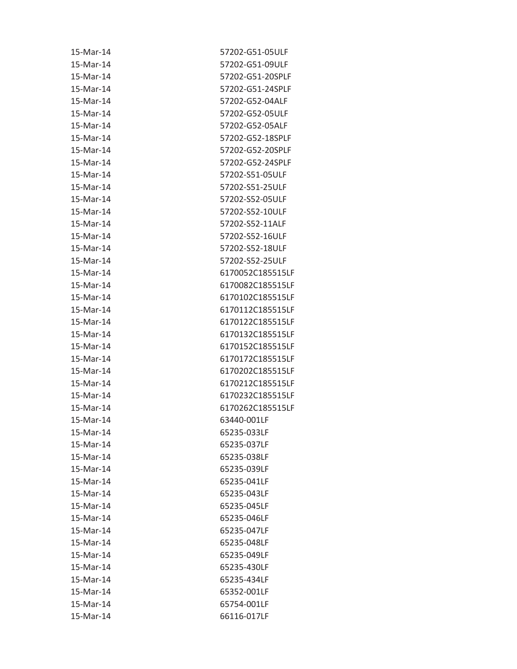| 15-Mar-14 | 57202-G51-05ULF  |
|-----------|------------------|
| 15-Mar-14 | 57202-G51-09ULF  |
| 15-Mar-14 | 57202-G51-20SPLF |
| 15-Mar-14 | 57202-G51-24SPLF |
| 15-Mar-14 | 57202-G52-04ALF  |
| 15-Mar-14 | 57202-G52-05ULF  |
| 15-Mar-14 | 57202-G52-05ALF  |
| 15-Mar-14 | 57202-G52-18SPLF |
| 15-Mar-14 | 57202-G52-20SPLF |
| 15-Mar-14 | 57202-G52-24SPLF |
| 15-Mar-14 | 57202-S51-05ULF  |
| 15-Mar-14 | 57202-S51-25ULF  |
| 15-Mar-14 | 57202-S52-05ULF  |
| 15-Mar-14 | 57202-S52-10ULF  |
| 15-Mar-14 | 57202-S52-11ALF  |
| 15-Mar-14 | 57202-S52-16ULF  |
| 15-Mar-14 | 57202-S52-18ULF  |
| 15-Mar-14 | 57202-S52-25ULF  |
| 15-Mar-14 | 6170052C185515LF |
| 15-Mar-14 | 6170082C185515LF |
| 15-Mar-14 | 6170102C185515LF |
| 15-Mar-14 | 6170112C185515LF |
| 15-Mar-14 | 6170122C185515LF |
| 15-Mar-14 | 6170132C185515LF |
| 15-Mar-14 | 6170152C185515LF |
| 15-Mar-14 | 6170172C185515LF |
| 15-Mar-14 | 6170202C185515LF |
| 15-Mar-14 | 6170212C185515LF |
| 15-Mar-14 | 6170232C185515LF |
| 15-Mar-14 | 6170262C185515LF |
| 15-Mar-14 | 63440-001LF      |
| 15-Mar-14 | 65235-033LF      |
| 15-Mar-14 | 65235-037LF      |
| 15-Mar-14 | 65235-038LF      |
| 15-Mar-14 | 65235-039LF      |
| 15-Mar-14 | 65235-041LF      |
| 15-Mar-14 | 65235-043LF      |
| 15-Mar-14 | 65235-045LF      |
| 15-Mar-14 | 65235-046LF      |
| 15-Mar-14 | 65235-047LF      |
| 15-Mar-14 | 65235-048LF      |
| 15-Mar-14 | 65235-049LF      |
| 15-Mar-14 | 65235-430LF      |
| 15-Mar-14 | 65235-434LF      |
| 15-Mar-14 | 65352-001LF      |
| 15-Mar-14 | 65754-001LF      |
| 15-Mar-14 | 66116-017LF      |
|           |                  |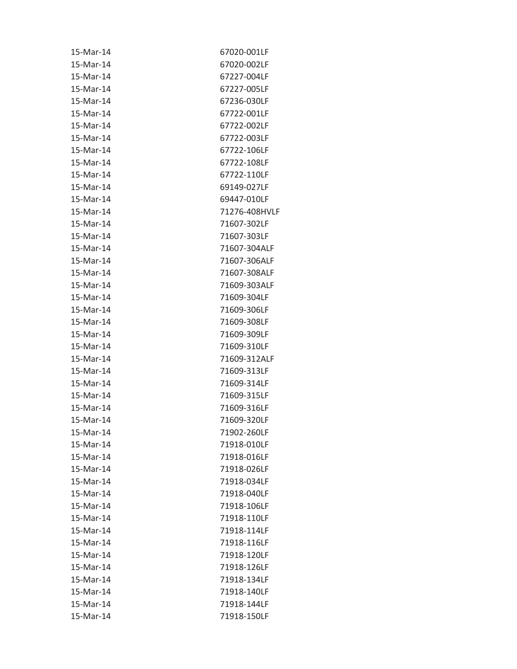| 15-Mar-14 | 67020-001LF   |
|-----------|---------------|
| 15-Mar-14 | 67020-002LF   |
| 15-Mar-14 | 67227-004LF   |
| 15-Mar-14 | 67227-005LF   |
| 15-Mar-14 | 67236-030LF   |
| 15-Mar-14 | 67722-001LF   |
| 15-Mar-14 | 67722-002LF   |
| 15-Mar-14 | 67722-003LF   |
| 15-Mar-14 | 67722-106LF   |
| 15-Mar-14 | 67722-108LF   |
| 15-Mar-14 | 67722-110LF   |
| 15-Mar-14 | 69149-027LF   |
| 15-Mar-14 | 69447-010LF   |
| 15-Mar-14 | 71276-408HVLF |
| 15-Mar-14 | 71607-302LF   |
| 15-Mar-14 | 71607-303LF   |
| 15-Mar-14 | 71607-304ALF  |
| 15-Mar-14 | 71607-306ALF  |
| 15-Mar-14 | 71607-308ALF  |
| 15-Mar-14 | 71609-303ALF  |
| 15-Mar-14 | 71609-304LF   |
| 15-Mar-14 | 71609-306LF   |
| 15-Mar-14 | 71609-308LF   |
| 15-Mar-14 | 71609-309LF   |
| 15-Mar-14 | 71609-310LF   |
| 15-Mar-14 | 71609-312ALF  |
| 15-Mar-14 | 71609-313LF   |
| 15-Mar-14 | 71609-314LF   |
| 15-Mar-14 | 71609-315LF   |
| 15-Mar-14 | 71609-316LF   |
| 15-Mar-14 | 71609-320LF   |
| 15-Mar-14 | 71902-260LF   |
| 15-Mar-14 | 71918-010LF   |
| 15-Mar-14 | 71918-016LF   |
| 15-Mar-14 | 71918-026LF   |
| 15-Mar-14 | 71918-034LF   |
| 15-Mar-14 | 71918-040LF   |
| 15-Mar-14 | 71918-106LF   |
| 15-Mar-14 | 71918-110LF   |
| 15-Mar-14 | 71918-114LF   |
| 15-Mar-14 | 71918-116LF   |
| 15-Mar-14 | 71918-120LF   |
| 15-Mar-14 | 71918-126LF   |
| 15-Mar-14 | 71918-134LF   |
| 15-Mar-14 | 71918-140LF   |
| 15-Mar-14 | 71918-144LF   |
| 15-Mar-14 | 71918-150LF   |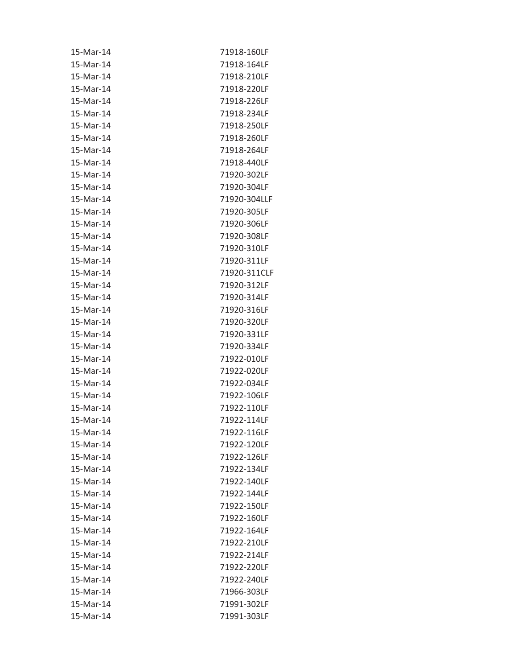| 15-Mar-14 | 71918-160LF  |
|-----------|--------------|
| 15-Mar-14 | 71918-164LF  |
| 15-Mar-14 | 71918-210LF  |
| 15-Mar-14 | 71918-220LF  |
| 15-Mar-14 | 71918-226LF  |
| 15-Mar-14 | 71918-234LF  |
| 15-Mar-14 | 71918-250LF  |
| 15-Mar-14 | 71918-260LF  |
| 15-Mar-14 | 71918-264LF  |
| 15-Mar-14 | 71918-440LF  |
| 15-Mar-14 | 71920-302LF  |
| 15-Mar-14 | 71920-304LF  |
| 15-Mar-14 | 71920-304LLF |
| 15-Mar-14 | 71920-305LF  |
| 15-Mar-14 | 71920-306LF  |
| 15-Mar-14 | 71920-308LF  |
| 15-Mar-14 | 71920-310LF  |
| 15-Mar-14 | 71920-311LF  |
| 15-Mar-14 | 71920-311CLF |
| 15-Mar-14 | 71920-312LF  |
| 15-Mar-14 | 71920-314LF  |
| 15-Mar-14 | 71920-316LF  |
| 15-Mar-14 | 71920-320LF  |
| 15-Mar-14 | 71920-331LF  |
| 15-Mar-14 | 71920-334LF  |
| 15-Mar-14 | 71922-010LF  |
| 15-Mar-14 | 71922-020LF  |
| 15-Mar-14 | 71922-034LF  |
| 15-Mar-14 | 71922-106LF  |
| 15-Mar-14 | 71922-110LF  |
| 15-Mar-14 | 71922-114LF  |
| 15-Mar-14 | 71922-116LF  |
| 15-Mar-14 | 71922-120LF  |
| 15-Mar-14 | 71922-126LF  |
| 15-Mar-14 | 71922-134LF  |
| 15-Mar-14 | 71922-140LF  |
| 15-Mar-14 | 71922-144LF  |
| 15-Mar-14 | 71922-150LF  |
| 15-Mar-14 | 71922-160LF  |
| 15-Mar-14 | 71922-164LF  |
| 15-Mar-14 | 71922-210LF  |
| 15-Mar-14 | 71922-214LF  |
| 15-Mar-14 | 71922-220LF  |
| 15-Mar-14 | 71922-240LF  |
| 15-Mar-14 | 71966-303LF  |
| 15-Mar-14 | 71991-302LF  |
| 15-Mar-14 | 71991-303LF  |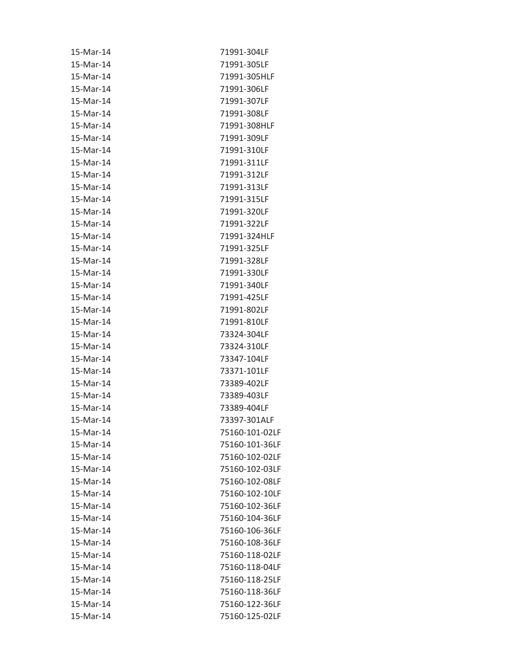| 15-Mar-14 | 71991-304LF    |
|-----------|----------------|
| 15-Mar-14 | 71991-305LF    |
| 15-Mar-14 | 71991-305HLF   |
| 15-Mar-14 | 71991-306LF    |
| 15-Mar-14 | 71991-307LF    |
| 15-Mar-14 | 71991-308LF    |
| 15-Mar-14 | 71991-308HLF   |
| 15-Mar-14 | 71991-309LF    |
| 15-Mar-14 | 71991-310LF    |
| 15-Mar-14 | 71991-311LF    |
| 15-Mar-14 | 71991-312LF    |
| 15-Mar-14 | 71991-313LF    |
| 15-Mar-14 | 71991-315LF    |
| 15-Mar-14 | 71991-320LF    |
| 15-Mar-14 | 71991-322LF    |
| 15-Mar-14 | 71991-324HLF   |
| 15-Mar-14 | 71991-325LF    |
| 15-Mar-14 | 71991-328LF    |
| 15-Mar-14 | 71991-330LF    |
| 15-Mar-14 | 71991-340LF    |
| 15-Mar-14 | 71991-425LF    |
| 15-Mar-14 | 71991-802LF    |
| 15-Mar-14 | 71991-810LF    |
| 15-Mar-14 | 73324-304LF    |
| 15-Mar-14 | 73324-310LF    |
| 15-Mar-14 | 73347-104LF    |
| 15-Mar-14 | 73371-101LF    |
| 15-Mar-14 | 73389-402LF    |
| 15-Mar-14 | 73389-403LF    |
| 15-Mar-14 | 73389-404LF    |
| 15-Mar-14 | 73397-301ALF   |
| 15-Mar-14 | 75160-101-02LF |
| 15-Mar-14 | 75160-101-36LF |
| 15-Mar-14 | 75160-102-02LF |
| 15-Mar-14 | 75160-102-03LF |
| 15-Mar-14 | 75160-102-08LF |
| 15-Mar-14 | 75160-102-10LF |
| 15-Mar-14 | 75160-102-36LF |
| 15-Mar-14 | 75160-104-36LF |
| 15-Mar-14 | 75160-106-36LF |
| 15-Mar-14 | 75160-108-36LF |
| 15-Mar-14 | 75160-118-02LF |
| 15-Mar-14 | 75160-118-04LF |
| 15-Mar-14 | 75160-118-25LF |
| 15-Mar-14 | 75160-118-36LF |
| 15-Mar-14 | 75160-122-36LF |
| 15-Mar-14 | 75160-125-02LF |
|           |                |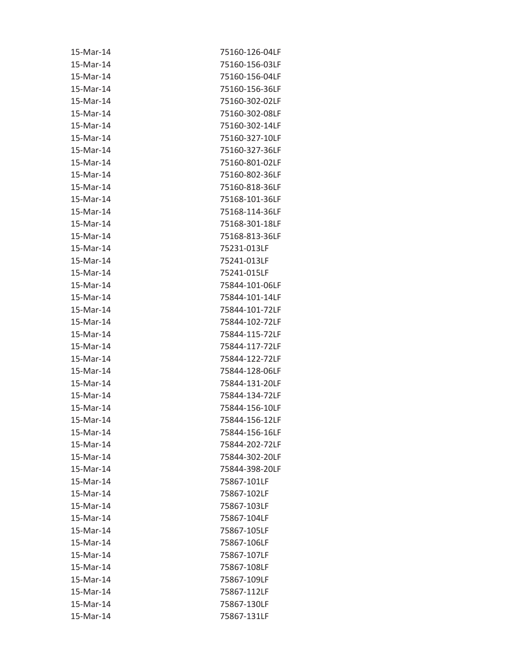| 15-Mar-14 | 75160-126-04LF |
|-----------|----------------|
| 15-Mar-14 | 75160-156-03LF |
| 15-Mar-14 | 75160-156-04LF |
| 15-Mar-14 | 75160-156-36LF |
| 15-Mar-14 | 75160-302-02LF |
| 15-Mar-14 | 75160-302-08LF |
| 15-Mar-14 | 75160-302-14LF |
| 15-Mar-14 | 75160-327-10LF |
| 15-Mar-14 | 75160-327-36LF |
| 15-Mar-14 | 75160-801-02LF |
| 15-Mar-14 | 75160-802-36LF |
| 15-Mar-14 | 75160-818-36LF |
| 15-Mar-14 | 75168-101-36LF |
| 15-Mar-14 | 75168-114-36LF |
| 15-Mar-14 | 75168-301-18LF |
| 15-Mar-14 | 75168-813-36LF |
| 15-Mar-14 | 75231-013LF    |
| 15-Mar-14 | 75241-013LF    |
| 15-Mar-14 | 75241-015LF    |
| 15-Mar-14 | 75844-101-06LF |
| 15-Mar-14 | 75844-101-14LF |
| 15-Mar-14 | 75844-101-72LF |
| 15-Mar-14 | 75844-102-72LF |
| 15-Mar-14 | 75844-115-72LF |
| 15-Mar-14 | 75844-117-72LF |
| 15-Mar-14 | 75844-122-72LF |
| 15-Mar-14 | 75844-128-06LF |
| 15-Mar-14 | 75844-131-20LF |
| 15-Mar-14 | 75844-134-72LF |
| 15-Mar-14 | 75844-156-10LF |
| 15-Mar-14 | 75844-156-12LF |
| 15-Mar-14 | 75844-156-16LF |
| 15-Mar-14 | 75844-202-72LF |
| 15-Mar-14 | 75844-302-20LF |
| 15-Mar-14 | 75844-398-20LF |
| 15-Mar-14 | 75867-101LF    |
| 15-Mar-14 | 75867-102LF    |
| 15-Mar-14 | 75867-103LF    |
| 15-Mar-14 | 75867-104LF    |
| 15-Mar-14 | 75867-105LF    |
| 15-Mar-14 | 75867-106LF    |
| 15-Mar-14 | 75867-107LF    |
| 15-Mar-14 | 75867-108LF    |
| 15-Mar-14 | 75867-109LF    |
| 15-Mar-14 | 75867-112LF    |
| 15-Mar-14 | 75867-130LF    |
| 15-Mar-14 | 75867-131LF    |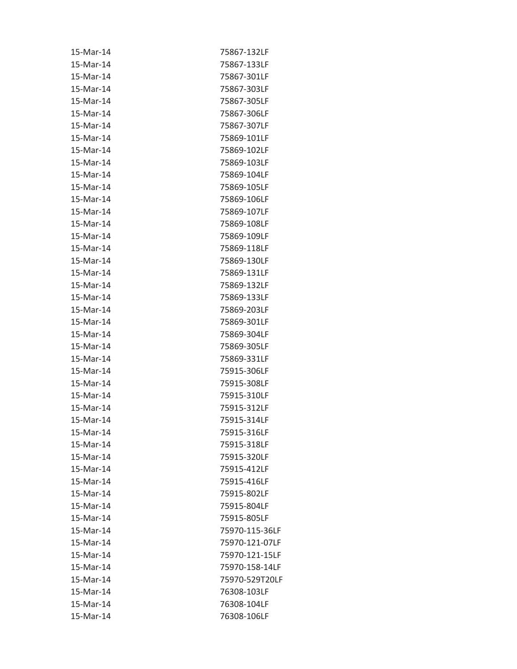| 15-Mar-14 | 75867-132LF    |
|-----------|----------------|
| 15-Mar-14 | 75867-133LF    |
| 15-Mar-14 | 75867-301LF    |
| 15-Mar-14 | 75867-303LF    |
| 15-Mar-14 | 75867-305LF    |
| 15-Mar-14 | 75867-306LF    |
| 15-Mar-14 | 75867-307LF    |
| 15-Mar-14 | 75869-101LF    |
| 15-Mar-14 | 75869-102LF    |
| 15-Mar-14 | 75869-103LF    |
| 15-Mar-14 | 75869-104LF    |
| 15-Mar-14 | 75869-105LF    |
| 15-Mar-14 | 75869-106LF    |
| 15-Mar-14 | 75869-107LF    |
| 15-Mar-14 | 75869-108LF    |
| 15-Mar-14 | 75869-109LF    |
| 15-Mar-14 | 75869-118LF    |
| 15-Mar-14 | 75869-130LF    |
| 15-Mar-14 | 75869-131LF    |
| 15-Mar-14 | 75869-132LF    |
| 15-Mar-14 | 75869-133LF    |
| 15-Mar-14 | 75869-203LF    |
| 15-Mar-14 | 75869-301LF    |
| 15-Mar-14 | 75869-304LF    |
| 15-Mar-14 | 75869-305LF    |
| 15-Mar-14 | 75869-331LF    |
| 15-Mar-14 | 75915-306LF    |
| 15-Mar-14 | 75915-308LF    |
| 15-Mar-14 | 75915-310LF    |
| 15-Mar-14 | 75915-312LF    |
| 15-Mar-14 | 75915-314LF    |
| 15-Mar-14 | 75915-316LF    |
| 15-Mar-14 | 75915-318LF    |
| 15-Mar-14 | 75915-320LF    |
| 15-Mar-14 | 75915-412LF    |
| 15-Mar-14 | 75915-416LF    |
| 15-Mar-14 | 75915-802LF    |
| 15-Mar-14 | 75915-804LF    |
| 15-Mar-14 | 75915-805LF    |
| 15-Mar-14 | 75970-115-36LF |
| 15-Mar-14 | 75970-121-07LF |
| 15-Mar-14 | 75970-121-15LF |
| 15-Mar-14 | 75970-158-14LF |
| 15-Mar-14 | 75970-529T20LF |
| 15-Mar-14 | 76308-103LF    |
| 15-Mar-14 | 76308-104LF    |
| 15-Mar-14 | 76308-106LF    |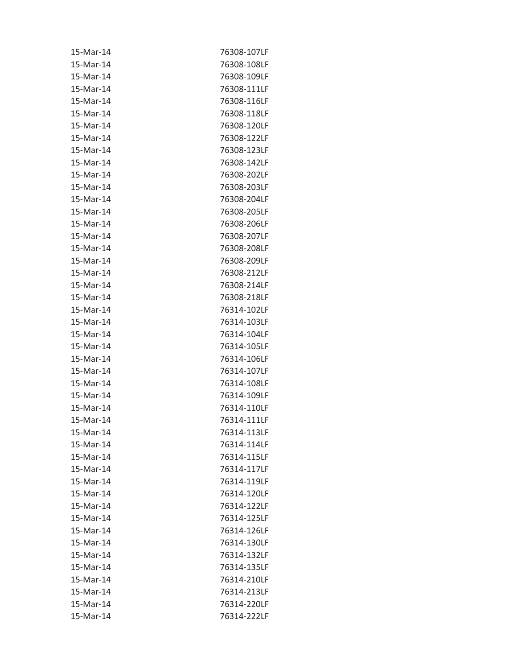| 15-Mar-14 | 76308-107LF |
|-----------|-------------|
| 15-Mar-14 | 76308-108LF |
| 15-Mar-14 | 76308-109LF |
| 15-Mar-14 | 76308-111LF |
| 15-Mar-14 | 76308-116LF |
| 15-Mar-14 | 76308-118LF |
| 15-Mar-14 | 76308-120LF |
| 15-Mar-14 | 76308-122LF |
| 15-Mar-14 | 76308-123LF |
| 15-Mar-14 | 76308-142LF |
| 15-Mar-14 | 76308-202LF |
| 15-Mar-14 | 76308-203LF |
| 15-Mar-14 | 76308-204LF |
| 15-Mar-14 | 76308-205LF |
| 15-Mar-14 | 76308-206LF |
| 15-Mar-14 | 76308-207LF |
| 15-Mar-14 | 76308-208LF |
| 15-Mar-14 | 76308-209LF |
| 15-Mar-14 | 76308-212LF |
| 15-Mar-14 | 76308-214LF |
| 15-Mar-14 | 76308-218LF |
| 15-Mar-14 | 76314-102LF |
| 15-Mar-14 | 76314-103LF |
| 15-Mar-14 | 76314-104LF |
| 15-Mar-14 | 76314-105LF |
| 15-Mar-14 | 76314-106LF |
| 15-Mar-14 | 76314-107LF |
| 15-Mar-14 | 76314-108LF |
| 15-Mar-14 | 76314-109LF |
| 15-Mar-14 | 76314-110LF |
| 15-Mar-14 | 76314-111LF |
| 15-Mar-14 | 76314-113LF |
| 15-Mar-14 | 76314-114LF |
| 15-Mar-14 | 76314-115LF |
| 15-Mar-14 | 76314-117LF |
| 15-Mar-14 | 76314-119LF |
| 15-Mar-14 | 76314-120LF |
| 15-Mar-14 | 76314-122LF |
| 15-Mar-14 | 76314-125LF |
| 15-Mar-14 | 76314-126LF |
| 15-Mar-14 | 76314-130LF |
| 15-Mar-14 | 76314-132LF |
| 15-Mar-14 | 76314-135LF |
| 15-Mar-14 | 76314-210LF |
| 15-Mar-14 | 76314-213LF |
| 15-Mar-14 | 76314-220LF |
| 15-Mar-14 | 76314-222LF |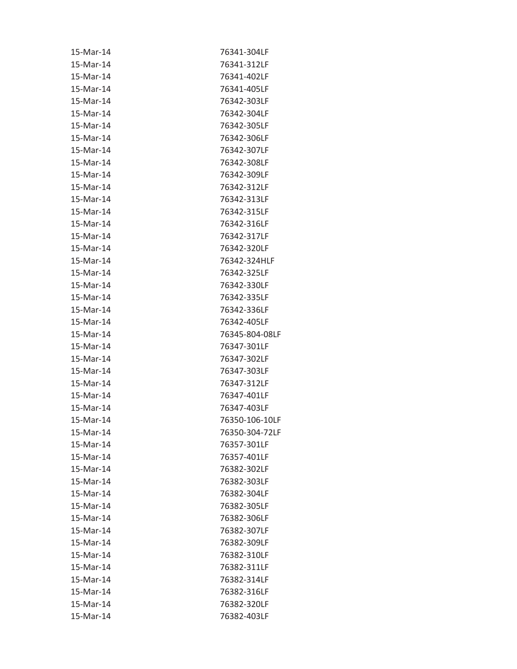| 15-Mar-14 | 76341-304LF    |
|-----------|----------------|
| 15-Mar-14 | 76341-312LF    |
| 15-Mar-14 | 76341-402LF    |
| 15-Mar-14 | 76341-405LF    |
| 15-Mar-14 | 76342-303LF    |
| 15-Mar-14 | 76342-304LF    |
| 15-Mar-14 | 76342-305LF    |
| 15-Mar-14 | 76342-306LF    |
| 15-Mar-14 | 76342-307LF    |
| 15-Mar-14 | 76342-308LF    |
| 15-Mar-14 | 76342-309LF    |
| 15-Mar-14 | 76342-312LF    |
| 15-Mar-14 | 76342-313LF    |
| 15-Mar-14 | 76342-315LF    |
| 15-Mar-14 | 76342-316LF    |
| 15-Mar-14 | 76342-317LF    |
| 15-Mar-14 | 76342-320LF    |
| 15-Mar-14 | 76342-324HLF   |
| 15-Mar-14 | 76342-325LF    |
| 15-Mar-14 | 76342-330LF    |
| 15-Mar-14 | 76342-335LF    |
| 15-Mar-14 | 76342-336LF    |
| 15-Mar-14 | 76342-405LF    |
| 15-Mar-14 | 76345-804-08LF |
| 15-Mar-14 | 76347-301LF    |
| 15-Mar-14 | 76347-302LF    |
| 15-Mar-14 | 76347-303LF    |
| 15-Mar-14 | 76347-312LF    |
| 15-Mar-14 | 76347-401LF    |
| 15-Mar-14 | 76347-403LF    |
| 15-Mar-14 | 76350-106-10LF |
| 15-Mar-14 | 76350-304-72LF |
| 15-Mar-14 | 76357-301LF    |
| 15-Mar-14 | 76357-401LF    |
| 15-Mar-14 | 76382-302LF    |
| 15-Mar-14 | 76382-303LF    |
| 15-Mar-14 | 76382-304LF    |
| 15-Mar-14 | 76382-305LF    |
| 15-Mar-14 | 76382-306LF    |
| 15-Mar-14 | 76382-307LF    |
| 15-Mar-14 | 76382-309LF    |
| 15-Mar-14 | 76382-310LF    |
| 15-Mar-14 | 76382-311LF    |
| 15-Mar-14 | 76382-314LF    |
| 15-Mar-14 | 76382-316LF    |
| 15-Mar-14 | 76382-320LF    |
| 15-Mar-14 | 76382-403LF    |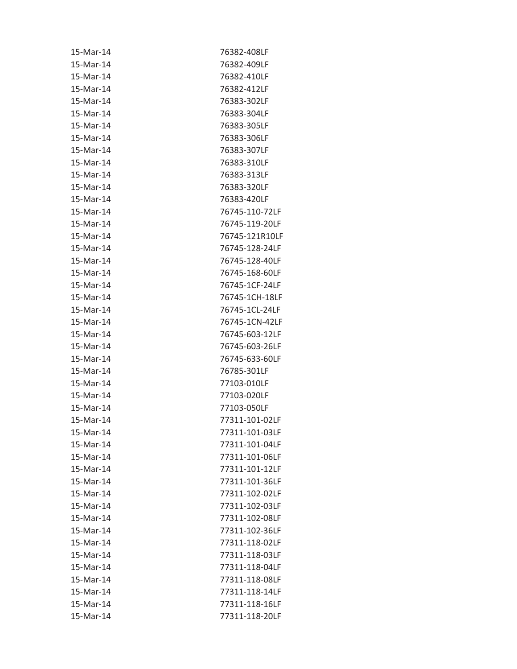| 15-Mar-14 | 76382-408LF    |
|-----------|----------------|
| 15-Mar-14 | 76382-409LF    |
| 15-Mar-14 | 76382-410LF    |
| 15-Mar-14 | 76382-412LF    |
| 15-Mar-14 | 76383-302LF    |
| 15-Mar-14 | 76383-304LF    |
| 15-Mar-14 | 76383-305LF    |
| 15-Mar-14 | 76383-306LF    |
| 15-Mar-14 | 76383-307LF    |
| 15-Mar-14 | 76383-310LF    |
| 15-Mar-14 | 76383-313LF    |
| 15-Mar-14 | 76383-320LF    |
| 15-Mar-14 | 76383-420LF    |
| 15-Mar-14 | 76745-110-72LF |
| 15-Mar-14 | 76745-119-20LF |
| 15-Mar-14 | 76745-121R10LF |
| 15-Mar-14 | 76745-128-24LF |
| 15-Mar-14 | 76745-128-40LF |
| 15-Mar-14 | 76745-168-60LF |
| 15-Mar-14 | 76745-1CF-24LF |
| 15-Mar-14 | 76745-1CH-18LF |
| 15-Mar-14 | 76745-1CL-24LF |
| 15-Mar-14 | 76745-1CN-42LF |
| 15-Mar-14 | 76745-603-12LF |
| 15-Mar-14 | 76745-603-26LF |
| 15-Mar-14 | 76745-633-60LF |
| 15-Mar-14 | 76785-301LF    |
| 15-Mar-14 | 77103-010LF    |
| 15-Mar-14 | 77103-020LF    |
| 15-Mar-14 | 77103-050LF    |
| 15-Mar-14 | 77311-101-02LF |
| 15-Mar-14 | 77311-101-03LF |
| 15-Mar-14 | 77311-101-04LF |
| 15-Mar-14 | 77311-101-06LF |
| 15-Mar-14 | 77311-101-12LF |
| 15-Mar-14 | 77311-101-36LF |
| 15-Mar-14 | 77311-102-02LF |
| 15-Mar-14 | 77311-102-03LF |
| 15-Mar-14 | 77311-102-08LF |
| 15-Mar-14 | 77311-102-36LF |
| 15-Mar-14 | 77311-118-02LF |
| 15-Mar-14 | 77311-118-03LF |
| 15-Mar-14 | 77311-118-04LF |
| 15-Mar-14 | 77311-118-08LF |
| 15-Mar-14 | 77311-118-14LF |
| 15-Mar-14 | 77311-118-16LF |
| 15-Mar-14 | 77311-118-20LF |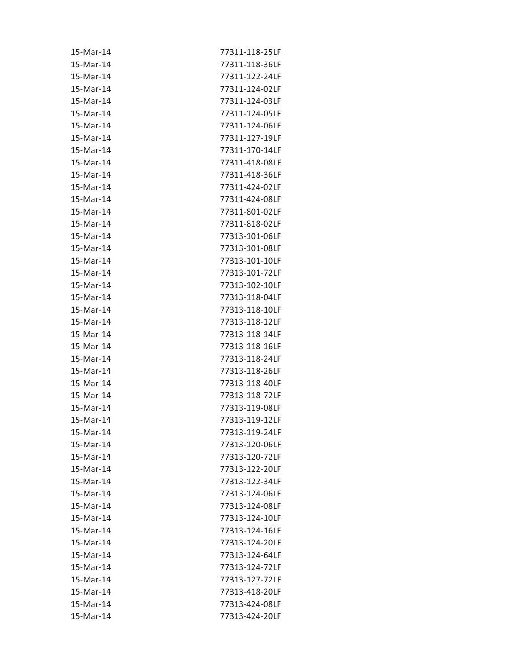| 15-Mar-14 | 77311-118-25LF |
|-----------|----------------|
| 15-Mar-14 | 77311-118-36LF |
| 15-Mar-14 | 77311-122-24LF |
| 15-Mar-14 | 77311-124-02LF |
| 15-Mar-14 | 77311-124-03LF |
| 15-Mar-14 | 77311-124-05LF |
| 15-Mar-14 | 77311-124-06LF |
| 15-Mar-14 | 77311-127-19LF |
| 15-Mar-14 | 77311-170-14LF |
| 15-Mar-14 | 77311-418-08LF |
| 15-Mar-14 | 77311-418-36LF |
| 15-Mar-14 | 77311-424-02LF |
| 15-Mar-14 | 77311-424-08LF |
| 15-Mar-14 | 77311-801-02LF |
| 15-Mar-14 | 77311-818-02LF |
| 15-Mar-14 | 77313-101-06LF |
| 15-Mar-14 | 77313-101-08LF |
| 15-Mar-14 | 77313-101-10LF |
| 15-Mar-14 | 77313-101-72LF |
| 15-Mar-14 | 77313-102-10LF |
| 15-Mar-14 | 77313-118-04LF |
| 15-Mar-14 | 77313-118-10LF |
| 15-Mar-14 | 77313-118-12LF |
| 15-Mar-14 | 77313-118-14LF |
| 15-Mar-14 | 77313-118-16LF |
| 15-Mar-14 | 77313-118-24LF |
| 15-Mar-14 | 77313-118-26LF |
| 15-Mar-14 | 77313-118-40LF |
| 15-Mar-14 | 77313-118-72LF |
| 15-Mar-14 | 77313-119-08LF |
| 15-Mar-14 | 77313-119-12LF |
| 15-Mar-14 | 77313-119-24LF |
| 15-Mar-14 | 77313-120-06LF |
| 15-Mar-14 | 77313-120-72LF |
| 15-Mar-14 | 77313-122-20LF |
| 15-Mar-14 | 77313-122-34LF |
| 15-Mar-14 | 77313-124-06LF |
| 15-Mar-14 | 77313-124-08LF |
| 15-Mar-14 | 77313-124-10LF |
| 15-Mar-14 | 77313-124-16LF |
| 15-Mar-14 | 77313-124-20LF |
| 15-Mar-14 | 77313-124-64LF |
| 15-Mar-14 | 77313-124-72LF |
| 15-Mar-14 | 77313-127-72LF |
| 15-Mar-14 | 77313-418-20LF |
| 15-Mar-14 | 77313-424-08LF |
| 15-Mar-14 | 77313-424-20LF |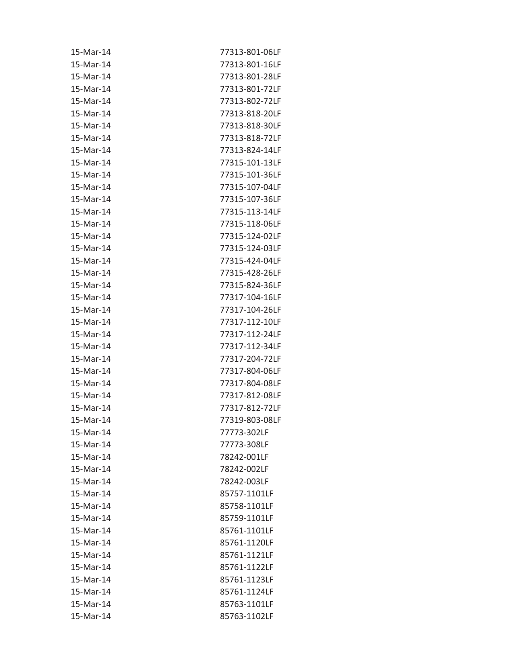| 15-Mar-14 | 77313-801-06LF |
|-----------|----------------|
| 15-Mar-14 | 77313-801-16LF |
| 15-Mar-14 | 77313-801-28LF |
| 15-Mar-14 | 77313-801-72LF |
| 15-Mar-14 | 77313-802-72LF |
| 15-Mar-14 | 77313-818-20LF |
| 15-Mar-14 | 77313-818-30LF |
| 15-Mar-14 | 77313-818-72LF |
| 15-Mar-14 | 77313-824-14LF |
| 15-Mar-14 | 77315-101-13LF |
| 15-Mar-14 | 77315-101-36LF |
| 15-Mar-14 | 77315-107-04LF |
| 15-Mar-14 | 77315-107-36LF |
| 15-Mar-14 | 77315-113-14LF |
| 15-Mar-14 | 77315-118-06LF |
| 15-Mar-14 | 77315-124-02LF |
| 15-Mar-14 | 77315-124-03LF |
| 15-Mar-14 | 77315-424-04LF |
| 15-Mar-14 | 77315-428-26LF |
| 15-Mar-14 | 77315-824-36LF |
| 15-Mar-14 | 77317-104-16LF |
| 15-Mar-14 | 77317-104-26LF |
| 15-Mar-14 | 77317-112-10LF |
| 15-Mar-14 | 77317-112-24LF |
| 15-Mar-14 | 77317-112-34LF |
| 15-Mar-14 | 77317-204-72LF |
| 15-Mar-14 | 77317-804-06LF |
| 15-Mar-14 | 77317-804-08LF |
| 15-Mar-14 | 77317-812-08LF |
| 15-Mar-14 | 77317-812-72LF |
| 15-Mar-14 | 77319-803-08LF |
| 15-Mar-14 | 77773-302LF    |
| 15-Mar-14 | 77773-308LF    |
| 15-Mar-14 | 78242-001LF    |
| 15-Mar-14 | 78242-002LF    |
| 15-Mar-14 | 78242-003LF    |
| 15-Mar-14 | 85757-1101LF   |
| 15-Mar-14 | 85758-1101LF   |
| 15-Mar-14 | 85759-1101LF   |
| 15-Mar-14 | 85761-1101LF   |
| 15-Mar-14 | 85761-1120LF   |
| 15-Mar-14 | 85761-1121LF   |
| 15-Mar-14 | 85761-1122LF   |
| 15-Mar-14 | 85761-1123LF   |
| 15-Mar-14 | 85761-1124LF   |
| 15-Mar-14 | 85763-1101LF   |
| 15-Mar-14 | 85763-1102LF   |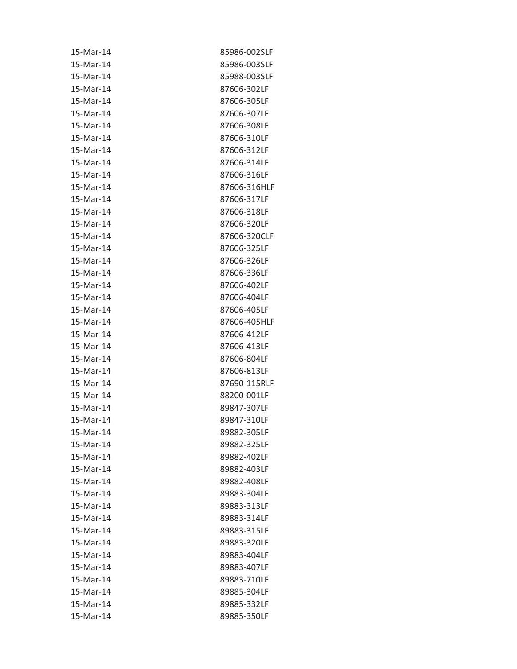| 15-Mar-14 | 85986-002SLF |
|-----------|--------------|
| 15-Mar-14 | 85986-003SLF |
| 15-Mar-14 | 85988-003SLF |
| 15-Mar-14 | 87606-302LF  |
| 15-Mar-14 | 87606-305LF  |
| 15-Mar-14 | 87606-307LF  |
| 15-Mar-14 | 87606-308LF  |
| 15-Mar-14 | 87606-310LF  |
| 15-Mar-14 | 87606-312LF  |
| 15-Mar-14 | 87606-314LF  |
| 15-Mar-14 | 87606-316LF  |
| 15-Mar-14 | 87606-316HLF |
| 15-Mar-14 | 87606-317LF  |
| 15-Mar-14 | 87606-318LF  |
| 15-Mar-14 | 87606-320LF  |
| 15-Mar-14 | 87606-320CLF |
| 15-Mar-14 | 87606-325LF  |
| 15-Mar-14 | 87606-326LF  |
| 15-Mar-14 | 87606-336LF  |
| 15-Mar-14 | 87606-402LF  |
| 15-Mar-14 | 87606-404LF  |
| 15-Mar-14 | 87606-405LF  |
| 15-Mar-14 | 87606-405HLF |
| 15-Mar-14 | 87606-412LF  |
| 15-Mar-14 | 87606-413LF  |
| 15-Mar-14 | 87606-804LF  |
| 15-Mar-14 | 87606-813LF  |
| 15-Mar-14 | 87690-115RLF |
| 15-Mar-14 | 88200-001LF  |
| 15-Mar-14 | 89847-307LF  |
| 15-Mar-14 | 89847-310LF  |
| 15-Mar-14 | 89882-305LF  |
| 15-Mar-14 | 89882-325LF  |
| 15-Mar-14 | 89882-402LF  |
| 15-Mar-14 | 89882-403LF  |
| 15-Mar-14 | 89882-408LF  |
| 15-Mar-14 | 89883-304LF  |
| 15-Mar-14 | 89883-313LF  |
| 15-Mar-14 | 89883-314LF  |
| 15-Mar-14 | 89883-315LF  |
| 15-Mar-14 | 89883-320LF  |
| 15-Mar-14 | 89883-404LF  |
| 15-Mar-14 | 89883-407LF  |
| 15-Mar-14 | 89883-710LF  |
| 15-Mar-14 | 89885-304LF  |
| 15-Mar-14 | 89885-332LF  |
| 15-Mar-14 | 89885-350LF  |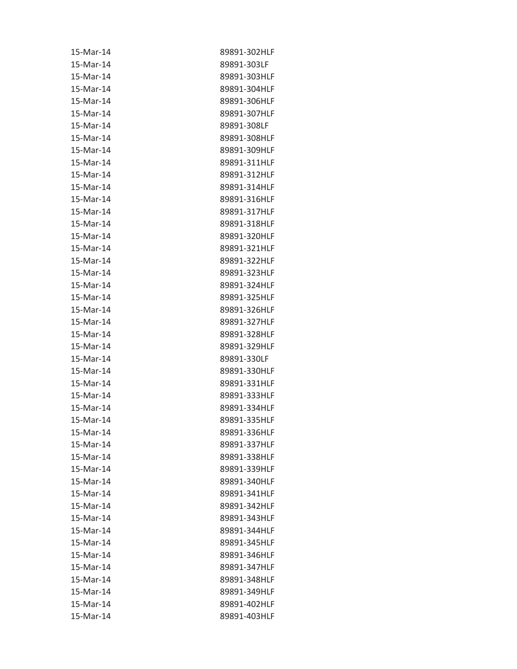| 15-Mar-14 | 89891-302HLF |
|-----------|--------------|
| 15-Mar-14 | 89891-303LF  |
| 15-Mar-14 | 89891-303HLF |
| 15-Mar-14 | 89891-304HLF |
| 15-Mar-14 | 89891-306HLF |
| 15-Mar-14 | 89891-307HLF |
| 15-Mar-14 | 89891-308LF  |
| 15-Mar-14 | 89891-308HLF |
| 15-Mar-14 | 89891-309HLF |
| 15-Mar-14 | 89891-311HLF |
| 15-Mar-14 | 89891-312HLF |
| 15-Mar-14 | 89891-314HLF |
| 15-Mar-14 | 89891-316HLF |
| 15-Mar-14 | 89891-317HLF |
| 15-Mar-14 | 89891-318HLF |
| 15-Mar-14 | 89891-320HLF |
| 15-Mar-14 | 89891-321HLF |
| 15-Mar-14 | 89891-322HLF |
| 15-Mar-14 | 89891-323HLF |
| 15-Mar-14 | 89891-324HLF |
| 15-Mar-14 | 89891-325HLF |
| 15-Mar-14 | 89891-326HLF |
| 15-Mar-14 | 89891-327HLF |
| 15-Mar-14 | 89891-328HLF |
| 15-Mar-14 | 89891-329HLF |
| 15-Mar-14 | 89891-330LF  |
| 15-Mar-14 | 89891-330HLF |
| 15-Mar-14 | 89891-331HLF |
| 15-Mar-14 | 89891-333HLF |
| 15-Mar-14 | 89891-334HLF |
| 15-Mar-14 | 89891-335HLF |
| 15-Mar-14 | 89891-336HLF |
| 15-Mar-14 | 89891-337HLF |
| 15-Mar-14 | 89891-338HLF |
| 15-Mar-14 | 89891-339HLF |
| 15-Mar-14 | 89891-340HLF |
| 15-Mar-14 | 89891-341HLF |
| 15-Mar-14 | 89891-342HLF |
| 15-Mar-14 | 89891-343HLF |
| 15-Mar-14 | 89891-344HLF |
| 15-Mar-14 | 89891-345HLF |
| 15-Mar-14 | 89891-346HLF |
| 15-Mar-14 | 89891-347HLF |
| 15-Mar-14 | 89891-348HLF |
| 15-Mar-14 | 89891-349HLF |
| 15-Mar-14 | 89891-402HLF |
| 15-Mar-14 | 89891-403HLF |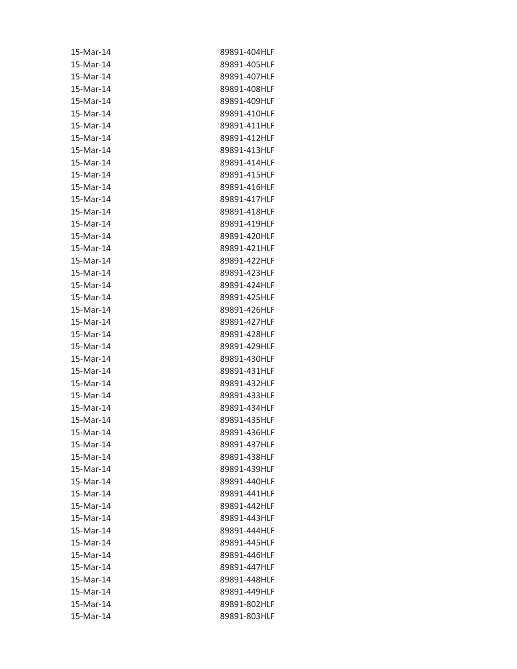| 15-Mar-14 | 89891-404HLF |
|-----------|--------------|
| 15-Mar-14 | 89891-405HLF |
| 15-Mar-14 | 89891-407HLF |
| 15-Mar-14 | 89891-408HLF |
| 15-Mar-14 | 89891-409HLF |
| 15-Mar-14 | 89891-410HLF |
| 15-Mar-14 | 89891-411HLF |
| 15-Mar-14 | 89891-412HLF |
| 15-Mar-14 | 89891-413HLF |
| 15-Mar-14 | 89891-414HLF |
| 15-Mar-14 | 89891-415HLF |
| 15-Mar-14 | 89891-416HLF |
| 15-Mar-14 | 89891-417HLF |
| 15-Mar-14 | 89891-418HLF |
| 15-Mar-14 | 89891-419HLF |
| 15-Mar-14 | 89891-420HLF |
| 15-Mar-14 | 89891-421HLF |
| 15-Mar-14 | 89891-422HLF |
| 15-Mar-14 | 89891-423HLF |
| 15-Mar-14 | 89891-424HLF |
| 15-Mar-14 | 89891-425HLF |
| 15-Mar-14 | 89891-426HLF |
| 15-Mar-14 | 89891-427HLF |
| 15-Mar-14 | 89891-428HLF |
| 15-Mar-14 | 89891-429HLF |
| 15-Mar-14 | 89891-430HLF |
| 15-Mar-14 | 89891-431HLF |
| 15-Mar-14 | 89891-432HLF |
| 15-Mar-14 | 89891-433HLF |
| 15-Mar-14 | 89891-434HLF |
| 15-Mar-14 | 89891-435HLF |
| 15-Mar-14 | 89891-436HLF |
| 15-Mar-14 | 89891-437HLF |
| 15-Mar-14 | 89891-438HLF |
| 15-Mar-14 | 89891-439HLF |
| 15-Mar-14 | 89891-440HLF |
| 15-Mar-14 | 89891-441HLF |
| 15-Mar-14 | 89891-442HLF |
| 15-Mar-14 | 89891-443HLF |
| 15-Mar-14 | 89891-444HLF |
| 15-Mar-14 | 89891-445HLF |
| 15-Mar-14 | 89891-446HLF |
| 15-Mar-14 | 89891-447HLF |
| 15-Mar-14 | 89891-448HLF |
| 15-Mar-14 | 89891-449HLF |
| 15-Mar-14 | 89891-802HLF |
| 15-Mar-14 | 89891-803HLF |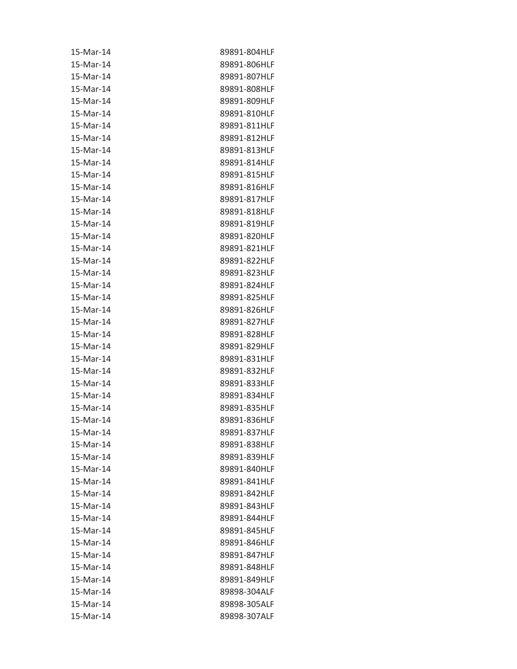| 15-Mar-14 | 89891-804HLF |
|-----------|--------------|
| 15-Mar-14 | 89891-806HLF |
| 15-Mar-14 | 89891-807HLF |
| 15-Mar-14 | 89891-808HLF |
| 15-Mar-14 | 89891-809HLF |
| 15-Mar-14 | 89891-810HLF |
| 15-Mar-14 | 89891-811HLF |
| 15-Mar-14 | 89891-812HLF |
| 15-Mar-14 | 89891-813HLF |
| 15-Mar-14 | 89891-814HLF |
| 15-Mar-14 | 89891-815HLF |
| 15-Mar-14 | 89891-816HLF |
| 15-Mar-14 | 89891-817HLF |
| 15-Mar-14 | 89891-818HLF |
| 15-Mar-14 | 89891-819HLF |
| 15-Mar-14 | 89891-820HLF |
| 15-Mar-14 | 89891-821HLF |
| 15-Mar-14 | 89891-822HLF |
| 15-Mar-14 | 89891-823HLF |
| 15-Mar-14 | 89891-824HLF |
| 15-Mar-14 | 89891-825HLF |
| 15-Mar-14 | 89891-826HLF |
| 15-Mar-14 | 89891-827HLF |
| 15-Mar-14 | 89891-828HLF |
| 15-Mar-14 | 89891-829HLF |
| 15-Mar-14 | 89891-831HLF |
| 15-Mar-14 | 89891-832HLF |
| 15-Mar-14 | 89891-833HLF |
| 15-Mar-14 | 89891-834HLF |
| 15-Mar-14 | 89891-835HLF |
| 15-Mar-14 | 89891-836HLF |
| 15-Mar-14 | 89891-837HLF |
| 15-Mar-14 | 89891-838HLF |
| 15-Mar-14 | 89891-839HLF |
| 15-Mar-14 | 89891-840HLF |
| 15-Mar-14 | 89891-841HLF |
| 15-Mar-14 | 89891-842HLF |
| 15-Mar-14 | 89891-843HLF |
| 15-Mar-14 | 89891-844HLF |
| 15-Mar-14 | 89891-845HLF |
| 15-Mar-14 | 89891-846HLF |
| 15-Mar-14 | 89891-847HLF |
| 15-Mar-14 | 89891-848HLF |
| 15-Mar-14 | 89891-849HLF |
| 15-Mar-14 | 89898-304ALF |
| 15-Mar-14 | 89898-305ALF |
| 15-Mar-14 | 89898-307ALF |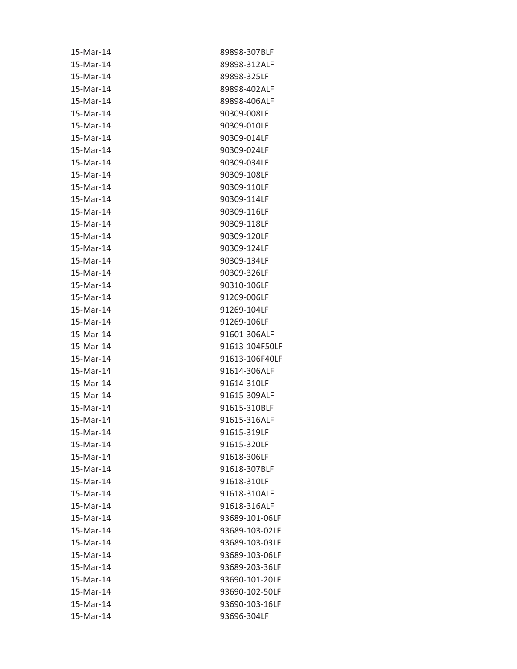| 15-Mar-14 | 89898-307BLF   |
|-----------|----------------|
| 15-Mar-14 | 89898-312ALF   |
| 15-Mar-14 | 89898-325LF    |
| 15-Mar-14 | 89898-402ALF   |
| 15-Mar-14 | 89898-406ALF   |
| 15-Mar-14 | 90309-008LF    |
| 15-Mar-14 | 90309-010LF    |
| 15-Mar-14 | 90309-014LF    |
| 15-Mar-14 | 90309-024LF    |
| 15-Mar-14 | 90309-034LF    |
| 15-Mar-14 | 90309-108LF    |
| 15-Mar-14 | 90309-110LF    |
| 15-Mar-14 | 90309-114LF    |
| 15-Mar-14 | 90309-116LF    |
| 15-Mar-14 | 90309-118LF    |
| 15-Mar-14 | 90309-120LF    |
| 15-Mar-14 | 90309-124LF    |
| 15-Mar-14 | 90309-134LF    |
| 15-Mar-14 | 90309-326LF    |
| 15-Mar-14 | 90310-106LF    |
| 15-Mar-14 | 91269-006LF    |
| 15-Mar-14 | 91269-104LF    |
| 15-Mar-14 | 91269-106LF    |
| 15-Mar-14 | 91601-306ALF   |
| 15-Mar-14 | 91613-104F50LF |
| 15-Mar-14 | 91613-106F40LF |
| 15-Mar-14 | 91614-306ALF   |
| 15-Mar-14 | 91614-310LF    |
| 15-Mar-14 | 91615-309ALF   |
| 15-Mar-14 | 91615-310BLF   |
| 15-Mar-14 | 91615-316ALF   |
| 15-Mar-14 | 91615-319LF    |
| 15-Mar-14 | 91615-320LF    |
| 15-Mar-14 | 91618-306LF    |
| 15-Mar-14 | 91618-307BLF   |
| 15-Mar-14 | 91618-310LF    |
| 15-Mar-14 | 91618-310ALF   |
| 15-Mar-14 | 91618-316ALF   |
| 15-Mar-14 | 93689-101-06LF |
| 15-Mar-14 | 93689-103-02LF |
| 15-Mar-14 | 93689-103-03LF |
| 15-Mar-14 | 93689-103-06LF |
| 15-Mar-14 | 93689-203-36LF |
| 15-Mar-14 | 93690-101-20LF |
| 15-Mar-14 | 93690-102-50LF |
| 15-Mar-14 | 93690-103-16LF |
| 15-Mar-14 | 93696-304LF    |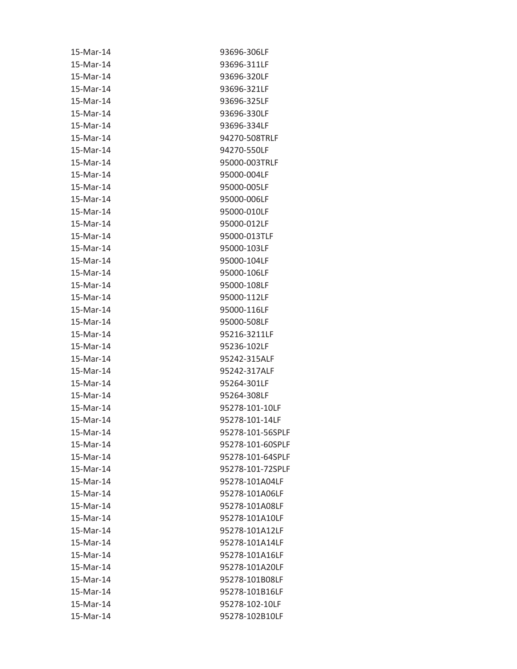| 15-Mar-14 | 93696-306LF      |
|-----------|------------------|
| 15-Mar-14 | 93696-311LF      |
| 15-Mar-14 | 93696-320LF      |
| 15-Mar-14 | 93696-321LF      |
| 15-Mar-14 | 93696-325LF      |
| 15-Mar-14 | 93696-330LF      |
| 15-Mar-14 | 93696-334LF      |
| 15-Mar-14 | 94270-508TRLF    |
| 15-Mar-14 | 94270-550LF      |
| 15-Mar-14 | 95000-003TRLF    |
| 15-Mar-14 | 95000-004LF      |
| 15-Mar-14 | 95000-005LF      |
| 15-Mar-14 | 95000-006LF      |
| 15-Mar-14 | 95000-010LF      |
| 15-Mar-14 | 95000-012LF      |
| 15-Mar-14 | 95000-013TLF     |
| 15-Mar-14 | 95000-103LF      |
| 15-Mar-14 | 95000-104LF      |
| 15-Mar-14 | 95000-106LF      |
| 15-Mar-14 | 95000-108LF      |
| 15-Mar-14 | 95000-112LF      |
| 15-Mar-14 | 95000-116LF      |
| 15-Mar-14 | 95000-508LF      |
| 15-Mar-14 | 95216-3211LF     |
| 15-Mar-14 | 95236-102LF      |
| 15-Mar-14 | 95242-315ALF     |
| 15-Mar-14 | 95242-317ALF     |
| 15-Mar-14 | 95264-301LF      |
| 15-Mar-14 | 95264-308LF      |
| 15-Mar-14 | 95278-101-10LF   |
| 15-Mar-14 | 95278-101-14LF   |
| 15-Mar-14 | 95278-101-56SPLF |
| 15-Mar-14 | 95278-101-60SPLF |
| 15-Mar-14 | 95278-101-64SPLF |
| 15-Mar-14 | 95278-101-72SPLF |
| 15-Mar-14 | 95278-101A04LF   |
| 15-Mar-14 | 95278-101A06LF   |
| 15-Mar-14 | 95278-101A08LF   |
| 15-Mar-14 | 95278-101A10LF   |
| 15-Mar-14 | 95278-101A12LF   |
| 15-Mar-14 | 95278-101A14LF   |
| 15-Mar-14 | 95278-101A16LF   |
| 15-Mar-14 | 95278-101A20LF   |
| 15-Mar-14 | 95278-101B08LF   |
| 15-Mar-14 | 95278-101B16LF   |
| 15-Mar-14 | 95278-102-10LF   |
| 15-Mar-14 | 95278-102B10LF   |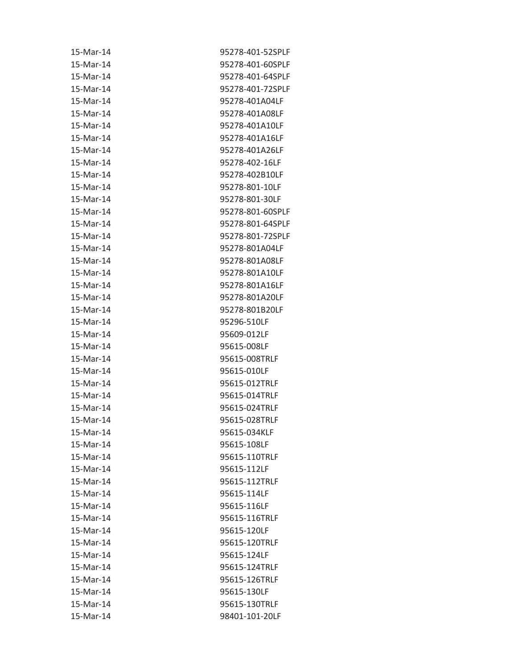| 15-Mar-14 | 95278-401-52SPLF |
|-----------|------------------|
| 15-Mar-14 | 95278-401-60SPLF |
| 15-Mar-14 | 95278-401-64SPLF |
| 15-Mar-14 | 95278-401-72SPLF |
| 15-Mar-14 | 95278-401A04LF   |
| 15-Mar-14 | 95278-401A08LF   |
| 15-Mar-14 | 95278-401A10LF   |
| 15-Mar-14 | 95278-401A16LF   |
| 15-Mar-14 | 95278-401A26LF   |
| 15-Mar-14 | 95278-402-16LF   |
| 15-Mar-14 | 95278-402B10LF   |
| 15-Mar-14 | 95278-801-10LF   |
| 15-Mar-14 | 95278-801-30LF   |
| 15-Mar-14 | 95278-801-60SPLF |
| 15-Mar-14 | 95278-801-64SPLF |
| 15-Mar-14 | 95278-801-72SPLF |
| 15-Mar-14 | 95278-801A04LF   |
| 15-Mar-14 | 95278-801A08LF   |
| 15-Mar-14 | 95278-801A10LF   |
| 15-Mar-14 | 95278-801A16LF   |
| 15-Mar-14 | 95278-801A20LF   |
| 15-Mar-14 | 95278-801B20LF   |
| 15-Mar-14 | 95296-510LF      |
| 15-Mar-14 | 95609-012LF      |
| 15-Mar-14 | 95615-008LF      |
| 15-Mar-14 | 95615-008TRLF    |
| 15-Mar-14 | 95615-010LF      |
| 15-Mar-14 | 95615-012TRLF    |
| 15-Mar-14 | 95615-014TRLF    |
| 15-Mar-14 | 95615-024TRLF    |
| 15-Mar-14 | 95615-028TRLF    |
| 15-Mar-14 | 95615-034KLF     |
| 15-Mar-14 | 95615-108LF      |
| 15-Mar-14 | 95615-110TRLF    |
| 15-Mar-14 | 95615-112LF      |
| 15-Mar-14 | 95615-112TRLF    |
| 15-Mar-14 | 95615-114LF      |
| 15-Mar-14 | 95615-116LF      |
| 15-Mar-14 | 95615-116TRLF    |
| 15-Mar-14 | 95615-120LF      |
| 15-Mar-14 | 95615-120TRLF    |
| 15-Mar-14 | 95615-124LF      |
| 15-Mar-14 | 95615-124TRLF    |
| 15-Mar-14 | 95615-126TRLF    |
| 15-Mar-14 | 95615-130LF      |
| 15-Mar-14 | 95615-130TRLF    |
| 15-Mar-14 | 98401-101-20LF   |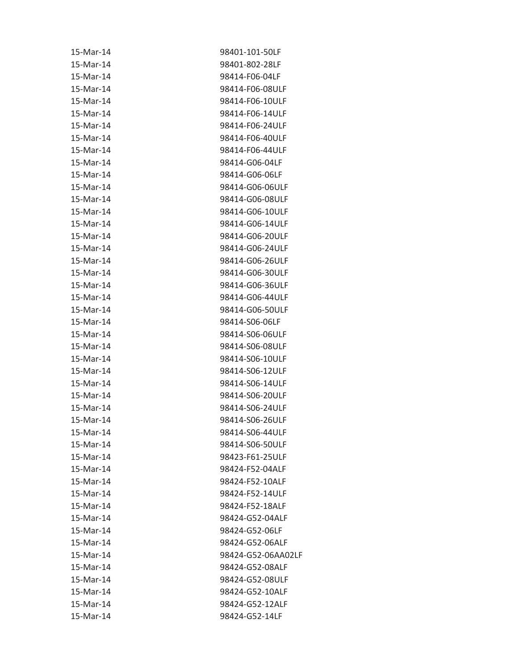| 15-Mar-14 | 98401-101-50LF     |
|-----------|--------------------|
| 15-Mar-14 | 98401-802-28LF     |
| 15-Mar-14 | 98414-F06-04LF     |
| 15-Mar-14 | 98414-F06-08ULF    |
| 15-Mar-14 | 98414-F06-10ULF    |
| 15-Mar-14 | 98414-F06-14ULF    |
| 15-Mar-14 | 98414-F06-24ULF    |
| 15-Mar-14 | 98414-F06-40ULF    |
| 15-Mar-14 | 98414-F06-44ULF    |
| 15-Mar-14 | 98414-G06-04LF     |
| 15-Mar-14 | 98414-G06-06LF     |
| 15-Mar-14 | 98414-G06-06ULF    |
| 15-Mar-14 | 98414-G06-08ULF    |
| 15-Mar-14 | 98414-G06-10ULF    |
| 15-Mar-14 | 98414-G06-14ULF    |
| 15-Mar-14 | 98414-G06-20ULF    |
| 15-Mar-14 | 98414-G06-24ULF    |
| 15-Mar-14 | 98414-G06-26ULF    |
| 15-Mar-14 | 98414-G06-30ULF    |
| 15-Mar-14 | 98414-G06-36ULF    |
| 15-Mar-14 | 98414-G06-44ULF    |
| 15-Mar-14 | 98414-G06-50ULF    |
| 15-Mar-14 | 98414-S06-06LF     |
| 15-Mar-14 | 98414-S06-06ULF    |
| 15-Mar-14 | 98414-S06-08ULF    |
| 15-Mar-14 | 98414-S06-10ULF    |
| 15-Mar-14 | 98414-S06-12ULF    |
| 15-Mar-14 | 98414-S06-14ULF    |
| 15-Mar-14 | 98414-S06-20ULF    |
| 15-Mar-14 | 98414-S06-24ULF    |
| 15-Mar-14 | 98414-S06-26ULF    |
| 15-Mar-14 | 98414-S06-44ULF    |
| 15-Mar-14 | 98414-S06-50ULF    |
| 15-Mar-14 | 98423-F61-25ULF    |
| 15-Mar-14 | 98424-F52-04ALF    |
| 15-Mar-14 | 98424-F52-10ALF    |
| 15-Mar-14 | 98424-F52-14ULF    |
| 15-Mar-14 | 98424-F52-18ALF    |
| 15-Mar-14 | 98424-G52-04ALF    |
| 15-Mar-14 | 98424-G52-06LF     |
| 15-Mar-14 | 98424-G52-06ALF    |
| 15-Mar-14 | 98424-G52-06AA02LF |
| 15-Mar-14 | 98424-G52-08ALF    |
| 15-Mar-14 | 98424-G52-08ULF    |
| 15-Mar-14 | 98424-G52-10ALF    |
| 15-Mar-14 | 98424-G52-12ALF    |
| 15-Mar-14 | 98424-G52-14LF     |